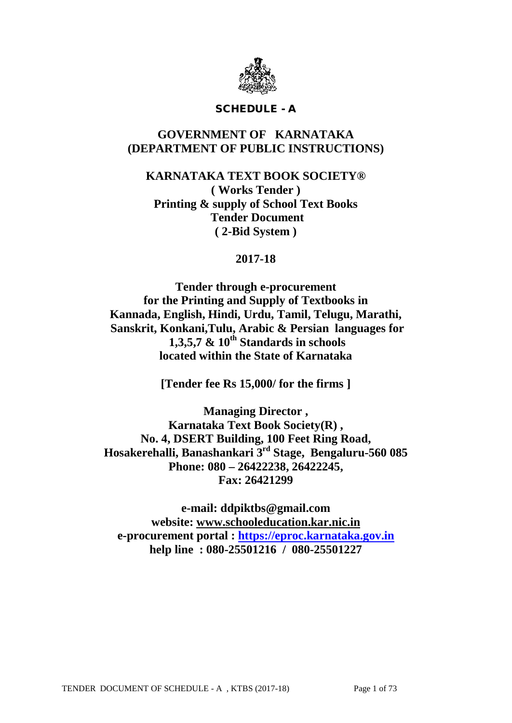

## SCHEDULE - A

# **GOVERNMENT OF KARNATAKA (DEPARTMENT OF PUBLIC INSTRUCTIONS)**

**KARNATAKA TEXT BOOK SOCIETY® ( Works Tender ) Printing & supply of School Text Books Tender Document ( 2-Bid System )**

# **2017-18**

**Tender through e-procurement for the Printing and Supply of Textbooks in Kannada, English, Hindi, Urdu, Tamil, Telugu, Marathi, Sanskrit, Konkani,Tulu, Arabic & Persian languages for 1,3,5,7 & 10th Standards in schools located within the State of Karnataka**

**[Tender fee Rs 15,000/ for the firms ]**

**Managing Director , Karnataka Text Book Society(R) , No. 4, DSERT Building, 100 Feet Ring Road, Hosakerehalli, Banashankari 3rd Stage, Bengaluru-560 085 Phone: 080 – 26422238, 26422245, Fax: 26421299**

**e-mail: ddpiktbs@gmail.com website: [www.schooleducation.kar.nic.in](http://www.schooleducation.kar.nic.in/) e-procurement portal : [https://eproc.karnataka.gov.in](https://eproc.karnataka.gov.in/) help line : 080-25501216 / 080-25501227**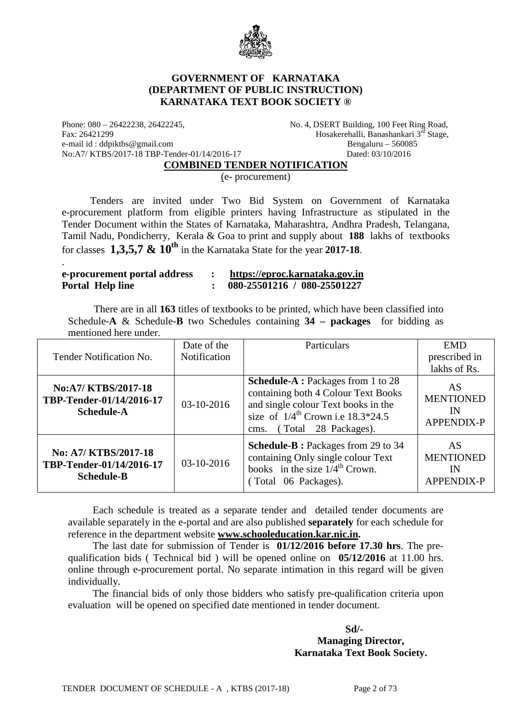

#### **GOVERNMENT OF KARNATAKA (DEPARTMENT OF PUBLIC INSTRUCTION) KARNATAKA TEXT BOOK SOCIETY ®**

Phone: 080 – 26422238, 26422245, No. 4, DSERT Building, 100 Feet Ring Road, Fax: 26421299 Hosakerehalli, Banashankari 3<sup>rd</sup> Stage,<br>e-mail id: ddpiktbs@gmail.com Bengaluru – 560085 e-mail id : ddpiktbs@gmail.com No:A7/ KTBS/2017-18 TBP-Tender-01/14/2016-17 Dated: 03/10/2016

.

#### **COMBINED TENDER NOTIFICATION**

(e- procurement)

 Tenders are invited under Two Bid System on Government of Karnataka e-procurement platform from eligible printers having Infrastructure as stipulated in the Tender Document within the States of Karnataka, Maharashtra, Andhra Pradesh, Telangana, Tamil Nadu, Pondicherry, Kerala & Goa to print and supply about **188** lakhs of textbooks for classes **1,3,5,7 & 10th** in the Karnataka State for the year **2017-18**.

| e-procurement portal address | https://eproc.karnataka.gov.in |
|------------------------------|--------------------------------|
| Portal Help line             | 080-25501216 / 080-25501227    |

 There are in all **163** titles of textbooks to be printed, which have been classified into Schedule-**A** & Schedule-**B** two Schedules containing **34 – packages** for bidding as mentioned here under.

|                                                                       | Date of the  | Particulars                                                                                                                                                                                                | <b>EMD</b>                                 |
|-----------------------------------------------------------------------|--------------|------------------------------------------------------------------------------------------------------------------------------------------------------------------------------------------------------------|--------------------------------------------|
| Tender Notification No.                                               | Notification |                                                                                                                                                                                                            | prescribed in                              |
|                                                                       |              |                                                                                                                                                                                                            | lakhs of Rs.                               |
| No:A7/ KTBS/2017-18<br>TBP-Tender-01/14/2016-17<br><b>Schedule-A</b>  | 03-10-2016   | <b>Schedule-A</b> : Packages from 1 to 28<br>containing both 4 Colour Text Books<br>and single colour Text books in the<br>size of $1/4^{\text{th}}$ Crown i.e $18.3*24.5$<br>(Total 28 Packages).<br>cms. | AS<br><b>MENTIONED</b><br>IN<br>APPENDIX-P |
| No: A7/ KTBS/2017-18<br>TBP-Tender-01/14/2016-17<br><b>Schedule-B</b> | 03-10-2016   | <b>Schedule-B</b> : Packages from 29 to 34<br>containing Only single colour Text<br>books in the size $1/4^{\text{th}}$ Crown.<br>(Total 06 Packages).                                                     | AS<br><b>MENTIONED</b><br>IN<br>APPENDIX-P |

Each schedule is treated as a separate tender and detailed tender documents are available separately in the e-portal and are also published **separately** for each schedule for reference in the department website **[www.schooleducation.kar.nic.in.](http://www.schooleducation.kar.nic.in/)**

The last date for submission of Tender is **01/12/2016 before 17.30 hrs**. The prequalification bids ( Technical bid ) will be opened online on **05/12/2016** at 11.00 hrs. online through e-procurement portal. No separate intimation in this regard will be given individually.

The financial bids of only those bidders who satisfy pre-qualification criteria upon evaluation will be opened on specified date mentioned in tender document.

**Sd/-**

**Managing Director, Karnataka Text Book Society.**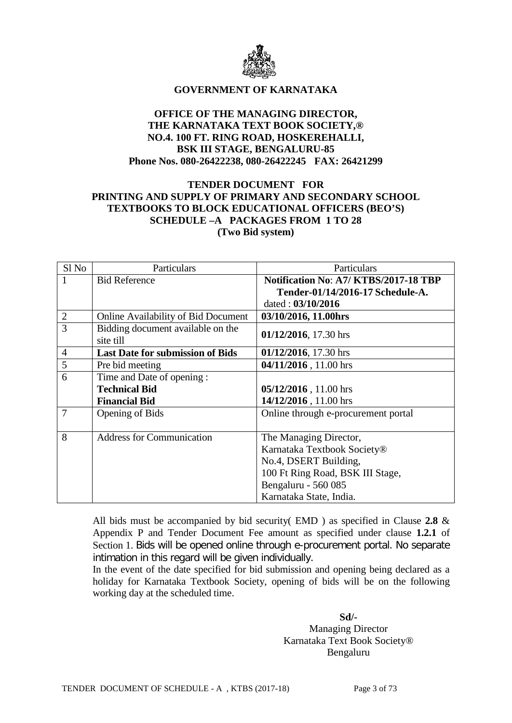

#### **GOVERNMENT OF KARNATAKA**

#### **OFFICE OF THE MANAGING DIRECTOR, THE KARNATAKA TEXT BOOK SOCIETY,® NO.4. 100 FT. RING ROAD, HOSKEREHALLI, BSK III STAGE, BENGALURU-85 Phone Nos. 080-26422238, 080-26422245 FAX: 26421299**

## **TENDER DOCUMENT FOR PRINTING AND SUPPLY OF PRIMARY AND SECONDARY SCHOOL TEXTBOOKS TO BLOCK EDUCATIONAL OFFICERS (BEO'S) SCHEDULE –A PACKAGES FROM 1 TO 28 (Two Bid system)**

| Sl <sub>No</sub> | Particulars                                    | Particulars                           |  |  |
|------------------|------------------------------------------------|---------------------------------------|--|--|
| 1                | <b>Bid Reference</b>                           | Notification No: A7/ KTBS/2017-18 TBP |  |  |
|                  |                                                | Tender-01/14/2016-17 Schedule-A.      |  |  |
|                  |                                                | dated: 03/10/2016                     |  |  |
| $\overline{2}$   | <b>Online Availability of Bid Document</b>     | 03/10/2016, 11.00hrs                  |  |  |
| 3                | Bidding document available on the<br>site till | 01/12/2016, 17.30 hrs                 |  |  |
| $\overline{4}$   | <b>Last Date for submission of Bids</b>        | 01/12/2016, 17.30 hrs                 |  |  |
| 5                | Pre bid meeting                                | 04/11/2016, 11.00 hrs                 |  |  |
| 6                | Time and Date of opening:                      |                                       |  |  |
|                  | <b>Technical Bid</b>                           | 05/12/2016, 11.00 hrs                 |  |  |
|                  | <b>Financial Bid</b>                           | 14/12/2016, 11.00 hrs                 |  |  |
| 7                | Opening of Bids                                | Online through e-procurement portal   |  |  |
|                  |                                                |                                       |  |  |
| 8                | <b>Address for Communication</b>               | The Managing Director,                |  |  |
|                  |                                                | Karnataka Textbook Society®           |  |  |
|                  |                                                | No.4, DSERT Building,                 |  |  |
|                  |                                                | 100 Ft Ring Road, BSK III Stage,      |  |  |
|                  |                                                | Bengaluru - 560 085                   |  |  |
|                  |                                                | Karnataka State, India.               |  |  |

All bids must be accompanied by bid security( EMD ) as specified in Clause **2.8** & Appendix P and Tender Document Fee amount as specified under clause **1.2.1** of Section 1. Bids will be opened online through e-procurement portal. No separate intimation in this regard will be given individually.

In the event of the date specified for bid submission and opening being declared as a holiday for Karnataka Textbook Society, opening of bids will be on the following working day at the scheduled time.

> **Sd/-** Managing Director Karnataka Text Book Society® Bengaluru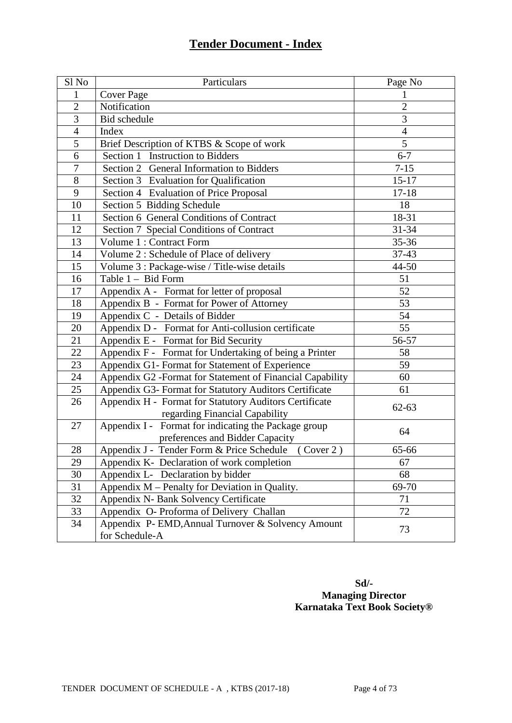# **Tender Document - Index**

| Sl No           | Particulars                                               | Page No        |
|-----------------|-----------------------------------------------------------|----------------|
| 1               | <b>Cover Page</b>                                         |                |
| $\overline{2}$  | Notification                                              | $\overline{2}$ |
| 3               | Bid schedule                                              | 3              |
| $\overline{4}$  | Index                                                     | $\overline{4}$ |
| 5               | Brief Description of KTBS & Scope of work                 | 5              |
| 6               | Section 1 Instruction to Bidders                          | $6 - 7$        |
| $\overline{7}$  | Section 2 General Information to Bidders                  | $7 - 15$       |
| 8               | Section 3 Evaluation for Qualification                    | $15 - 17$      |
| 9               | Section 4 Evaluation of Price Proposal                    | $17 - 18$      |
| 10              | Section 5 Bidding Schedule                                | 18             |
| 11              | Section 6 General Conditions of Contract                  | 18-31          |
| 12              | Section 7 Special Conditions of Contract                  | 31-34          |
| 13              | Volume 1 : Contract Form                                  | 35-36          |
| 14              | Volume 2 : Schedule of Place of delivery                  | 37-43          |
| 15              | Volume 3 : Package-wise / Title-wise details              | 44-50          |
| 16              | Table 1 - Bid Form                                        | 51             |
| 17              | Appendix A - Format for letter of proposal                | 52             |
| 18              | Appendix B - Format for Power of Attorney                 | 53             |
| 19              | Appendix C - Details of Bidder                            | 54             |
| 20              | Appendix D - Format for Anti-collusion certificate        | 55             |
| 21              | Appendix E - Format for Bid Security                      | 56-57          |
| $\overline{22}$ | Appendix F - Format for Undertaking of being a Printer    | 58             |
| 23              | Appendix G1- Format for Statement of Experience           | 59             |
| 24              | Appendix G2 -Format for Statement of Financial Capability | 60             |
| 25              | Appendix G3- Format for Statutory Auditors Certificate    | 61             |
| 26              | Appendix H - Format for Statutory Auditors Certificate    | $62 - 63$      |
|                 | regarding Financial Capability                            |                |
| 27              | Appendix I - Format for indicating the Package group      | 64             |
|                 | preferences and Bidder Capacity                           |                |
| 28              | Appendix J - Tender Form & Price Schedule (Cover 2)       | 65-66          |
| 29              | Appendix K- Declaration of work completion                | 67             |
| 30              | Appendix L- Declaration by bidder                         | 68             |
| 31              | Appendix M – Penalty for Deviation in Quality.            | 69-70          |
| 32              | Appendix N- Bank Solvency Certificate                     | 71             |
| 33              | Appendix O- Proforma of Delivery Challan                  | 72             |
| 34              | Appendix P- EMD, Annual Turnover & Solvency Amount        | 73             |
|                 | for Schedule-A                                            |                |

# **Sd/- Managing Director Karnataka Text Book Society®**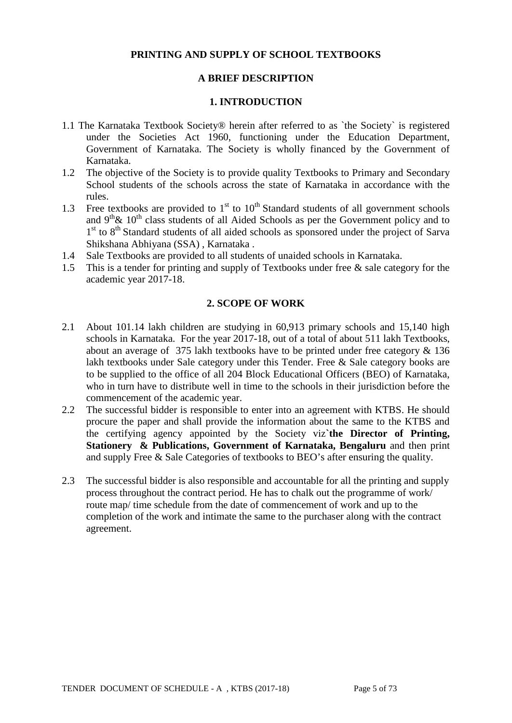#### **PRINTING AND SUPPLY OF SCHOOL TEXTBOOKS**

#### **A BRIEF DESCRIPTION**

#### **1. INTRODUCTION**

- 1.1 The Karnataka Textbook Society® herein after referred to as `the Society` is registered under the Societies Act 1960, functioning under the Education Department, Government of Karnataka. The Society is wholly financed by the Government of Karnataka.
- 1.2 The objective of the Society is to provide quality Textbooks to Primary and Secondary School students of the schools across the state of Karnataka in accordance with the rules.
- 1.3 Free textbooks are provided to  $1<sup>st</sup>$  to  $10<sup>th</sup>$  Standard students of all government schools and  $9<sup>th</sup> \& 10<sup>th</sup>$  class students of all Aided Schools as per the Government policy and to 1st to 8<sup>th</sup> Standard students of all aided schools as sponsored under the project of Sarva Shikshana Abhiyana (SSA) , Karnataka .
- 1.4 Sale Textbooks are provided to all students of unaided schools in Karnataka.
- 1.5 This is a tender for printing and supply of Textbooks under free & sale category for the academic year 2017-18.

#### **2. SCOPE OF WORK**

- 2.1 About 101.14 lakh children are studying in 60,913 primary schools and 15,140 high schools in Karnataka. For the year 2017-18, out of a total of about 511 lakh Textbooks, about an average of 375 lakh textbooks have to be printed under free category & 136 lakh textbooks under Sale category under this Tender. Free & Sale category books are to be supplied to the office of all 204 Block Educational Officers (BEO) of Karnataka, who in turn have to distribute well in time to the schools in their jurisdiction before the commencement of the academic year.
- 2.2 The successful bidder is responsible to enter into an agreement with KTBS. He should procure the paper and shall provide the information about the same to the KTBS and the certifying agency appointed by the Society viz**`the Director of Printing, Stationery & Publications, Government of Karnataka, Bengaluru** and then print and supply Free & Sale Categories of textbooks to BEO's after ensuring the quality.
- 2.3 The successful bidder is also responsible and accountable for all the printing and supply process throughout the contract period. He has to chalk out the programme of work/ route map/ time schedule from the date of commencement of work and up to the completion of the work and intimate the same to the purchaser along with the contract agreement.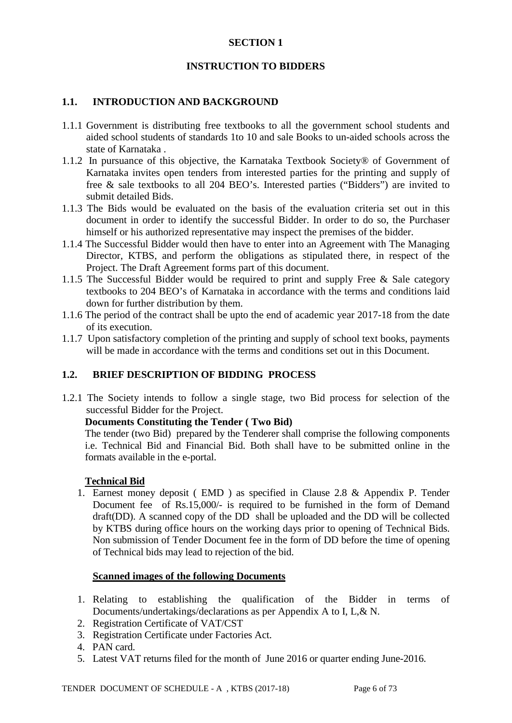#### **SECTION 1**

#### **INSTRUCTION TO BIDDERS**

#### **1.1. INTRODUCTION AND BACKGROUND**

- 1.1.1 Government is distributing free textbooks to all the government school students and aided school students of standards 1to 10 and sale Books to un-aided schools across the state of Karnataka .
- 1.1.2 In pursuance of this objective, the Karnataka Textbook Society® of Government of Karnataka invites open tenders from interested parties for the printing and supply of free & sale textbooks to all 204 BEO's. Interested parties ("Bidders") are invited to submit detailed Bids.
- 1.1.3 The Bids would be evaluated on the basis of the evaluation criteria set out in this document in order to identify the successful Bidder. In order to do so, the Purchaser himself or his authorized representative may inspect the premises of the bidder.
- 1.1.4 The Successful Bidder would then have to enter into an Agreement with The Managing Director, KTBS, and perform the obligations as stipulated there, in respect of the Project. The Draft Agreement forms part of this document.
- 1.1.5 The Successful Bidder would be required to print and supply Free & Sale category textbooks to 204 BEO's of Karnataka in accordance with the terms and conditions laid down for further distribution by them.
- 1.1.6 The period of the contract shall be upto the end of academic year 2017-18 from the date of its execution.
- 1.1.7 Upon satisfactory completion of the printing and supply of school text books, payments will be made in accordance with the terms and conditions set out in this Document.

#### **1.2. BRIEF DESCRIPTION OF BIDDING PROCESS**

1.2.1 The Society intends to follow a single stage, two Bid process for selection of the successful Bidder for the Project.

#### **Documents Constituting the Tender ( Two Bid)**

The tender (two Bid) prepared by the Tenderer shall comprise the following components i.e. Technical Bid and Financial Bid. Both shall have to be submitted online in the formats available in the e-portal.

#### **Technical Bid**

1. Earnest money deposit ( EMD ) as specified in Clause 2.8 & Appendix P. Tender Document fee of Rs.15,000/- is required to be furnished in the form of Demand draft(DD). A scanned copy of the DD shall be uploaded and the DD will be collected by KTBS during office hours on the working days prior to opening of Technical Bids. Non submission of Tender Document fee in the form of DD before the time of opening of Technical bids may lead to rejection of the bid.

#### **Scanned images of the following Documents**

- 1. Relating to establishing the qualification of the Bidder in terms of Documents/undertakings/declarations as per Appendix A to I, L,& N.
- 2. Registration Certificate of VAT/CST
- 3. Registration Certificate under Factories Act.
- 4. PAN card.
- 5. Latest VAT returns filed for the month of June 2016 or quarter ending June-2016.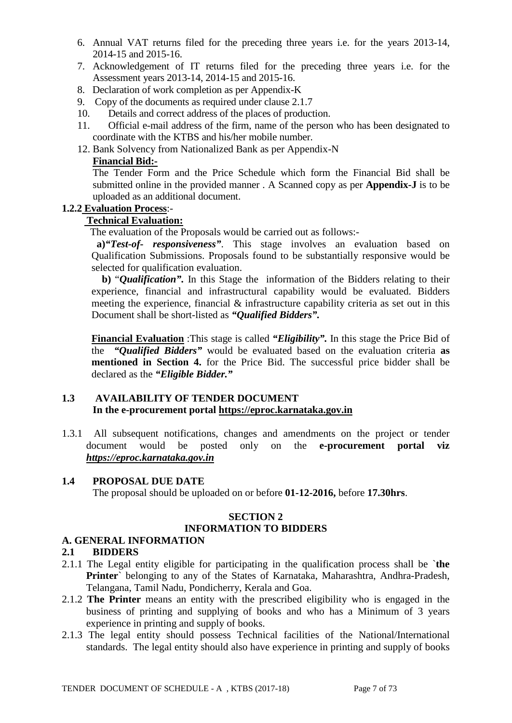- 6. Annual VAT returns filed for the preceding three years i.e. for the years 2013-14, 2014-15 and 2015-16.
- 7. Acknowledgement of IT returns filed for the preceding three years i.e. for the Assessment years 2013-14, 2014-15 and 2015-16.
- 8. Declaration of work completion as per Appendix-K
- 9. Copy of the documents as required under clause 2.1.7
- 10. Details and correct address of the places of production.
- 11. Official e-mail address of the firm, name of the person who has been designated to coordinate with the KTBS and his/her mobile number.
- 12. Bank Solvency from Nationalized Bank as per Appendix-N

## **Financial Bid:-**

The Tender Form and the Price Schedule which form the Financial Bid shall be submitted online in the provided manner . A Scanned copy as per **Appendix-J** is to be uploaded as an additional document.

## **1.2.2 Evaluation Process**:-

# **Technical Evaluation:**

The evaluation of the Proposals would be carried out as follows:-

**a)***"Test-of- responsiveness"*. This stage involves an evaluation based on Qualification Submissions. Proposals found to be substantially responsive would be selected for qualification evaluation.

 **b)** "*Qualification".* In this Stage the information of the Bidders relating to their experience, financial and infrastructural capability would be evaluated. Bidders meeting the experience, financial & infrastructure capability criteria as set out in this Document shall be short-listed as *"Qualified Bidders".*

**Financial Evaluation** :This stage is called *"Eligibility".* In this stage the Price Bid of the *"Qualified Bidders"* would be evaluated based on the evaluation criteria **as mentioned in Section 4.** for the Price Bid. The successful price bidder shall be declared as the *"Eligible Bidder."*

#### **1.3 AVAILABILITY OF TENDER DOCUMENT In the e-procurement portal [https://eproc.karnataka.gov.in](https://eproc.karnataka.gov.in/)**

1.3.1 All subsequent notifications, changes and amendments on the project or tender document would be posted only on the **e-procurement portal viz** *[https://eproc.karnataka.gov.in](https://eproc.karnataka.gov.in/)*

#### **1.4 PROPOSAL DUE DATE**

The proposal should be uploaded on or before **01-12-2016,** before **17.30hrs**.

## **SECTION 2**

## **INFORMATION TO BIDDERS**

## **A. GENERAL INFORMATION**

## **2.1 BIDDERS**

- 2.1.1 The Legal entity eligible for participating in the qualification process shall be `**the Printer**` belonging to any of the States of Karnataka, Maharashtra, Andhra-Pradesh, Telangana, Tamil Nadu, Pondicherry, Kerala and Goa.
- 2.1.2 **The Printer** means an entity with the prescribed eligibility who is engaged in the business of printing and supplying of books and who has a Minimum of 3 years experience in printing and supply of books.
- 2.1.3 The legal entity should possess Technical facilities of the National/International standards. The legal entity should also have experience in printing and supply of books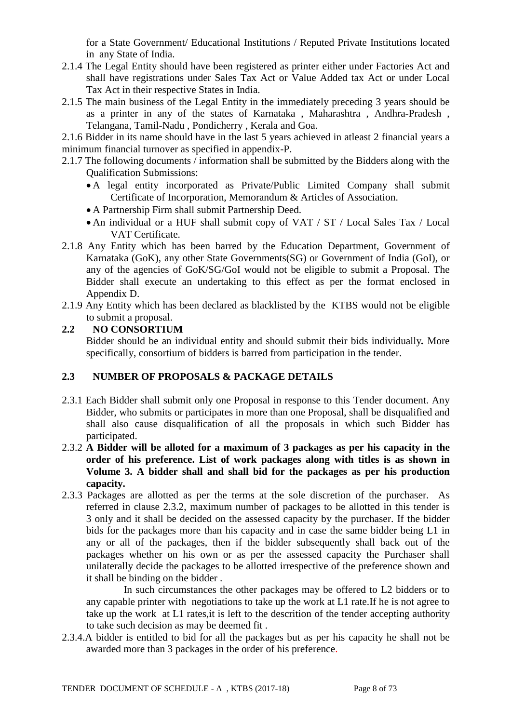for a State Government/ Educational Institutions / Reputed Private Institutions located in any State of India.

- 2.1.4 The Legal Entity should have been registered as printer either under Factories Act and shall have registrations under Sales Tax Act or Value Added tax Act or under Local Tax Act in their respective States in India.
- 2.1.5 The main business of the Legal Entity in the immediately preceding 3 years should be as a printer in any of the states of Karnataka , Maharashtra , Andhra-Pradesh , Telangana, Tamil-Nadu , Pondicherry , Kerala and Goa.

2.1.6 Bidder in its name should have in the last 5 years achieved in atleast 2 financial years a minimum financial turnover as specified in appendix-P.

- 2.1.7 The following documents / information shall be submitted by the Bidders along with the Qualification Submissions:
	- A legal entity incorporated as Private/Public Limited Company shall submit Certificate of Incorporation, Memorandum & Articles of Association.
	- A Partnership Firm shall submit Partnership Deed.
	- An individual or a HUF shall submit copy of VAT / ST / Local Sales Tax / Local VAT Certificate.
- 2.1.8 Any Entity which has been barred by the Education Department, Government of Karnataka (GoK), any other State Governments(SG) or Government of India (GoI), or any of the agencies of GoK/SG/GoI would not be eligible to submit a Proposal. The Bidder shall execute an undertaking to this effect as per the format enclosed in Appendix D.
- 2.1.9 Any Entity which has been declared as blacklisted by the KTBS would not be eligible to submit a proposal.

#### **2.2 NO CONSORTIUM** Bidder should be an individual entity and should submit their bids individually*.* More specifically, consortium of bidders is barred from participation in the tender.

## **2.3 NUMBER OF PROPOSALS & PACKAGE DETAILS**

- 2.3.1 Each Bidder shall submit only one Proposal in response to this Tender document. Any Bidder, who submits or participates in more than one Proposal, shall be disqualified and shall also cause disqualification of all the proposals in which such Bidder has participated.
- 2.3.2 **A Bidder will be alloted for a maximum of 3 packages as per his capacity in the order of his preference. List of work packages along with titles is as shown in Volume 3. A bidder shall and shall bid for the packages as per his production capacity.**
- 2.3.3 Packages are allotted as per the terms at the sole discretion of the purchaser. As referred in clause 2.3.2, maximum number of packages to be allotted in this tender is 3 only and it shall be decided on the assessed capacity by the purchaser. If the bidder bids for the packages more than his capacity and in case the same bidder being L1 in any or all of the packages, then if the bidder subsequently shall back out of the packages whether on his own or as per the assessed capacity the Purchaser shall unilaterally decide the packages to be allotted irrespective of the preference shown and it shall be binding on the bidder .

In such circumstances the other packages may be offered to L2 bidders or to any capable printer with negotiations to take up the work at L1 rate.If he is not agree to take up the work at L1 rates,it is left to the descrition of the tender accepting authority to take such decision as may be deemed fit .

2.3.4.A bidder is entitled to bid for all the packages but as per his capacity he shall not be awarded more than 3 packages in the order of his preference.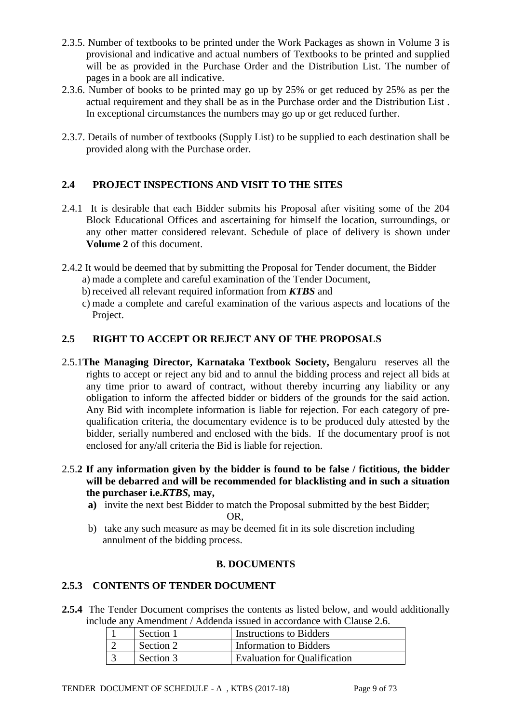- 2.3.5. Number of textbooks to be printed under the Work Packages as shown in Volume 3 is provisional and indicative and actual numbers of Textbooks to be printed and supplied will be as provided in the Purchase Order and the Distribution List. The number of pages in a book are all indicative.
- 2.3.6. Number of books to be printed may go up by 25% or get reduced by 25% as per the actual requirement and they shall be as in the Purchase order and the Distribution List . In exceptional circumstances the numbers may go up or get reduced further.
- 2.3.7. Details of number of textbooks (Supply List) to be supplied to each destination shall be provided along with the Purchase order.

# **2.4 PROJECT INSPECTIONS AND VISIT TO THE SITES**

- 2.4.1 It is desirable that each Bidder submits his Proposal after visiting some of the 204 Block Educational Offices and ascertaining for himself the location, surroundings, or any other matter considered relevant. Schedule of place of delivery is shown under **Volume 2** of this document.
- 2.4.2 It would be deemed that by submitting the Proposal for Tender document, the Bidder a) made a complete and careful examination of the Tender Document,
	- b) received all relevant required information from *KTBS* and
	- c) made a complete and careful examination of the various aspects and locations of the Project.

# **2.5 RIGHT TO ACCEPT OR REJECT ANY OF THE PROPOSALS**

- 2.5.1**The Managing Director, Karnataka Textbook Society,** Bengaluru reserves all the rights to accept or reject any bid and to annul the bidding process and reject all bids at any time prior to award of contract, without thereby incurring any liability or any obligation to inform the affected bidder or bidders of the grounds for the said action. Any Bid with incomplete information is liable for rejection. For each category of prequalification criteria, the documentary evidence is to be produced duly attested by the bidder, serially numbered and enclosed with the bids. If the documentary proof is not enclosed for any/all criteria the Bid is liable for rejection.
- 2.5.**2 If any information given by the bidder is found to be false / fictitious, the bidder will be debarred and will be recommended for blacklisting and in such a situation the purchaser i.e.***KTBS,* **may,**
	- **a)** invite the next best Bidder to match the Proposal submitted by the best Bidder; OR,
	- b) take any such measure as may be deemed fit in its sole discretion including annulment of the bidding process.

## **B. DOCUMENTS**

## **2.5.3 CONTENTS OF TENDER DOCUMENT**

**2.5.4** The Tender Document comprises the contents as listed below, and would additionally include any Amendment / Addenda issued in accordance with Clause 2.6.

| Section 1 | Instructions to Bidders             |
|-----------|-------------------------------------|
| Section 2 | Information to Bidders              |
| Section 3 | <b>Evaluation for Qualification</b> |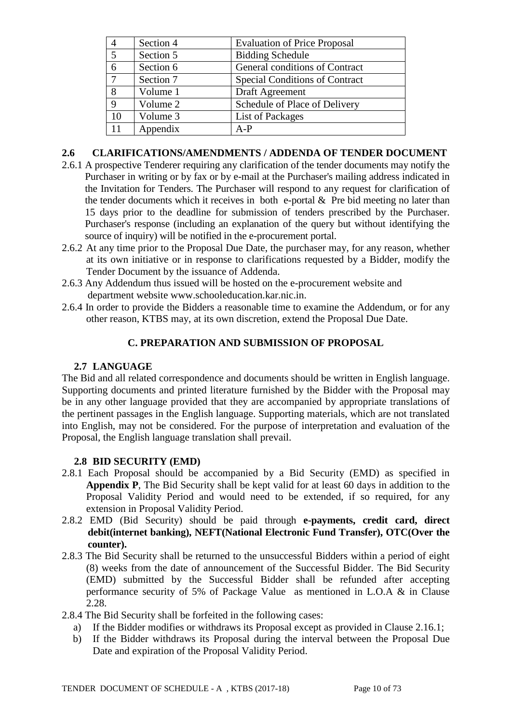| 4             | Section 4 | <b>Evaluation of Price Proposal</b>   |  |  |
|---------------|-----------|---------------------------------------|--|--|
| 5             | Section 5 | <b>Bidding Schedule</b>               |  |  |
| 6             | Section 6 | General conditions of Contract        |  |  |
| $\mathcal{I}$ | Section 7 | <b>Special Conditions of Contract</b> |  |  |
| 8             | Volume 1  | Draft Agreement                       |  |  |
| 9             | Volume 2  | Schedule of Place of Delivery         |  |  |
| 10            | Volume 3  | List of Packages                      |  |  |
|               | Appendix  | $A-P$                                 |  |  |

#### **2.6 CLARIFICATIONS/AMENDMENTS / ADDENDA OF TENDER DOCUMENT**

- 2.6.1 A prospective Tenderer requiring any clarification of the tender documents may notify the Purchaser in writing or by fax or by e-mail at the Purchaser's mailing address indicated in the Invitation for Tenders. The Purchaser will respond to any request for clarification of the tender documents which it receives in both e-portal  $\&$  Pre bid meeting no later than 15 days prior to the deadline for submission of tenders prescribed by the Purchaser. Purchaser's response (including an explanation of the query but without identifying the source of inquiry) will be notified in the e-procurement portal.
- 2.6.2 At any time prior to the Proposal Due Date, the purchaser may, for any reason, whether at its own initiative or in response to clarifications requested by a Bidder, modify the Tender Document by the issuance of Addenda.
- 2.6.3 Any Addendum thus issued will be hosted on the e-procurement website and department website www.schooleducation.kar.nic.in.
- 2.6.4 In order to provide the Bidders a reasonable time to examine the Addendum, or for any other reason, KTBS may, at its own discretion, extend the Proposal Due Date.

# **C. PREPARATION AND SUBMISSION OF PROPOSAL**

## **2.7 LANGUAGE**

The Bid and all related correspondence and documents should be written in English language. Supporting documents and printed literature furnished by the Bidder with the Proposal may be in any other language provided that they are accompanied by appropriate translations of the pertinent passages in the English language. Supporting materials, which are not translated into English, may not be considered. For the purpose of interpretation and evaluation of the Proposal, the English language translation shall prevail.

## **2.8 BID SECURITY (EMD)**

- 2.8.1 Each Proposal should be accompanied by a Bid Security (EMD) as specified in **Appendix P**, The Bid Security shall be kept valid for at least 60 days in addition to the Proposal Validity Period and would need to be extended, if so required, for any extension in Proposal Validity Period.
- 2.8.2 EMD (Bid Security) should be paid through **e-payments, credit card, direct debit(internet banking), NEFT(National Electronic Fund Transfer), OTC(Over the counter).**
- 2.8.3 The Bid Security shall be returned to the unsuccessful Bidders within a period of eight (8) weeks from the date of announcement of the Successful Bidder. The Bid Security (EMD) submitted by the Successful Bidder shall be refunded after accepting performance security of 5% of Package Value as mentioned in L.O.A & in Clause 2.28.
- 2.8.4 The Bid Security shall be forfeited in the following cases:
	- a) If the Bidder modifies or withdraws its Proposal except as provided in Clause 2.16.1;
	- b) If the Bidder withdraws its Proposal during the interval between the Proposal Due Date and expiration of the Proposal Validity Period.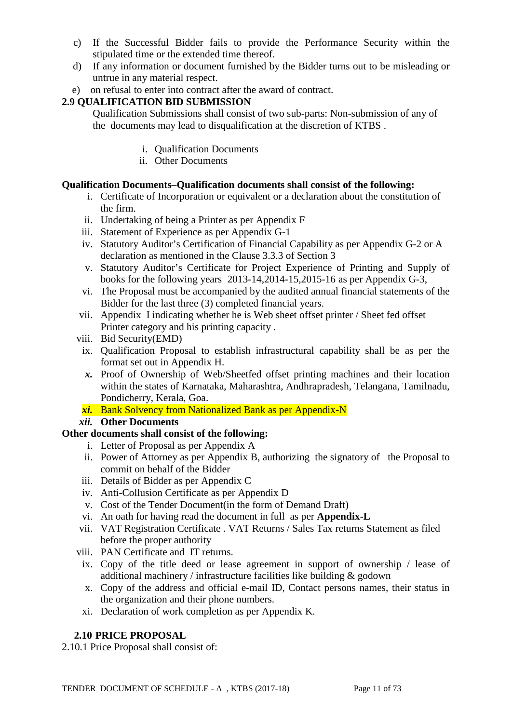- c) If the Successful Bidder fails to provide the Performance Security within the stipulated time or the extended time thereof.
- d) If any information or document furnished by the Bidder turns out to be misleading or untrue in any material respect.
- e) on refusal to enter into contract after the award of contract.

# **2.9 QUALIFICATION BID SUBMISSION**

Qualification Submissions shall consist of two sub-parts: Non-submission of any of the documents may lead to disqualification at the discretion of KTBS .

- i. Qualification Documents
- ii. Other Documents

# **Qualification Documents***–***Qualification documents shall consist of the following:**

- i. Certificate of Incorporation or equivalent or a declaration about the constitution of the firm.
- ii. Undertaking of being a Printer as per Appendix F
- iii. Statement of Experience as per Appendix G-1
- iv. Statutory Auditor's Certification of Financial Capability as per Appendix G-2 or A declaration as mentioned in the Clause 3.3.3 of Section 3
- v. Statutory Auditor's Certificate for Project Experience of Printing and Supply of books for the following years 2013-14,2014-15,2015-16 as per Appendix G-3,
- vi. The Proposal must be accompanied by the audited annual financial statements of the Bidder for the last three (3) completed financial years.
- vii. Appendix I indicating whether he is Web sheet offset printer / Sheet fed offset Printer category and his printing capacity .
- viii. Bid Security(EMD)
- ix. Qualification Proposal to establish infrastructural capability shall be as per the format set out in Appendix H.
- *x.* Proof of Ownership of Web/Sheetfed offset printing machines and their location within the states of Karnataka, Maharashtra, Andhrapradesh, Telangana, Tamilnadu, Pondicherry, Kerala, Goa.
- *xi.* Bank Solvency from Nationalized Bank as per Appendix-N
- *xii.* **Other Documents**

## **Other documents shall consist of the following:**

- i. Letter of Proposal as per Appendix A
- ii. Power of Attorney as per Appendix B, authorizing the signatory of the Proposal to commit on behalf of the Bidder
- iii. Details of Bidder as per Appendix C
- iv. Anti-Collusion Certificate as per Appendix D
- v. Cost of the Tender Document(in the form of Demand Draft)
- vi. An oath for having read the document in full as per **Appendix-L**
- vii. VAT Registration Certificate . VAT Returns / Sales Tax returns Statement as filed before the proper authority
- viii. PAN Certificate and IT returns.
	- ix. Copy of the title deed or lease agreement in support of ownership / lease of additional machinery / infrastructure facilities like building & godown
	- x. Copy of the address and official e-mail ID, Contact persons names, their status in the organization and their phone numbers.
	- xi. Declaration of work completion as per Appendix K.

# **2.10 PRICE PROPOSAL**

2.10.1 Price Proposal shall consist of: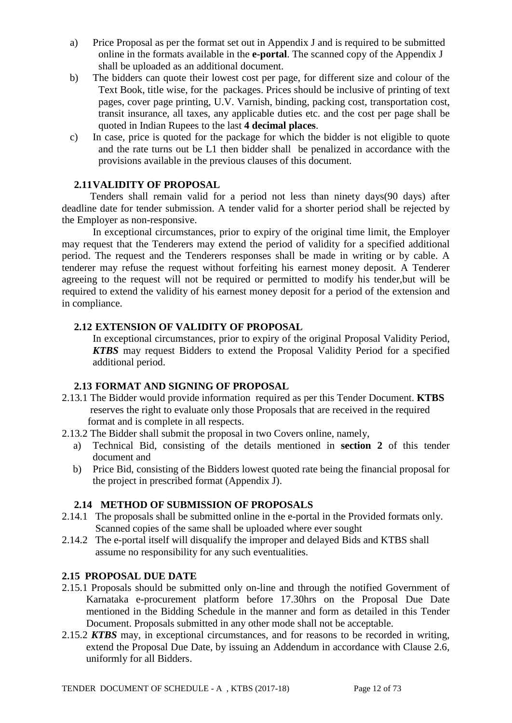- a) Price Proposal as per the format set out in Appendix J and is required to be submitted online in the formats available in the **e-portal**. The scanned copy of the Appendix J shall be uploaded as an additional document.
- b) The bidders can quote their lowest cost per page, for different size and colour of the Text Book, title wise, for the packages. Prices should be inclusive of printing of text pages, cover page printing, U.V. Varnish, binding, packing cost, transportation cost, transit insurance, all taxes, any applicable duties etc. and the cost per page shall be quoted in Indian Rupees to the last **4 decimal places**.
- c) In case, price is quoted for the package for which the bidder is not eligible to quote and the rate turns out be L1 then bidder shall be penalized in accordance with the provisions available in the previous clauses of this document.

#### **2.11VALIDITY OF PROPOSAL**

 Tenders shall remain valid for a period not less than ninety days(90 days) after deadline date for tender submission. A tender valid for a shorter period shall be rejected by the Employer as non-responsive.

 In exceptional circumstances, prior to expiry of the original time limit, the Employer may request that the Tenderers may extend the period of validity for a specified additional period. The request and the Tenderers responses shall be made in writing or by cable. A tenderer may refuse the request without forfeiting his earnest money deposit. A Tenderer agreeing to the request will not be required or permitted to modify his tender,but will be required to extend the validity of his earnest money deposit for a period of the extension and in compliance.

#### **2.12 EXTENSION OF VALIDITY OF PROPOSAL**

In exceptional circumstances, prior to expiry of the original Proposal Validity Period, *KTBS* may request Bidders to extend the Proposal Validity Period for a specified additional period.

#### **2.13 FORMAT AND SIGNING OF PROPOSAL**

- 2.13.1 The Bidder would provide information required as per this Tender Document. **KTBS**  reserves the right to evaluate only those Proposals that are received in the required format and is complete in all respects.
- 2.13.2 The Bidder shall submit the proposal in two Covers online, namely,
	- a) Technical Bid, consisting of the details mentioned in **section 2** of this tender document and
	- b) Price Bid, consisting of the Bidders lowest quoted rate being the financial proposal for the project in prescribed format (Appendix J).

## **2.14 METHOD OF SUBMISSION OF PROPOSALS**

- 2.14.1 The proposals shall be submitted online in the e-portal in the Provided formats only. Scanned copies of the same shall be uploaded where ever sought
- 2.14.2 The e-portal itself will disqualify the improper and delayed Bids and KTBS shall assume no responsibility for any such eventualities.

#### **2.15 PROPOSAL DUE DATE**

- 2.15.1 Proposals should be submitted only on-line and through the notified Government of Karnataka e-procurement platform before 17.30hrs on the Proposal Due Date mentioned in the Bidding Schedule in the manner and form as detailed in this Tender Document. Proposals submitted in any other mode shall not be acceptable.
- 2.15.2 *KTBS* may, in exceptional circumstances, and for reasons to be recorded in writing, extend the Proposal Due Date, by issuing an Addendum in accordance with Clause 2.6, uniformly for all Bidders.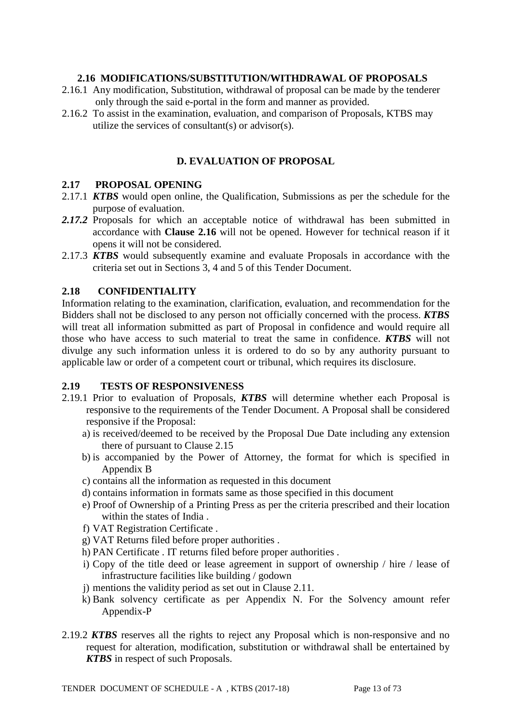#### **2.16 MODIFICATIONS/SUBSTITUTION/WITHDRAWAL OF PROPOSALS**

- 2.16.1 Any modification, Substitution, withdrawal of proposal can be made by the tenderer only through the said e-portal in the form and manner as provided.
- 2.16.2 To assist in the examination, evaluation, and comparison of Proposals, KTBS may utilize the services of consultant(s) or advisor(s).

## **D. EVALUATION OF PROPOSAL**

#### **2.17 PROPOSAL OPENING**

- 2.17.1 *KTBS* would open online, the Qualification, Submissions as per the schedule for the purpose of evaluation.
- *2.17.2* Proposals for which an acceptable notice of withdrawal has been submitted in accordance with **Clause 2.16** will not be opened. However for technical reason if it opens it will not be considered.
- 2.17.3 *KTBS* would subsequently examine and evaluate Proposals in accordance with the criteria set out in Sections 3, 4 and 5 of this Tender Document.

#### **2.18 CONFIDENTIALITY**

Information relating to the examination, clarification, evaluation, and recommendation for the Bidders shall not be disclosed to any person not officially concerned with the process. *KTBS* will treat all information submitted as part of Proposal in confidence and would require all those who have access to such material to treat the same in confidence. *KTBS* will not divulge any such information unless it is ordered to do so by any authority pursuant to applicable law or order of a competent court or tribunal, which requires its disclosure.

#### **2.19 TESTS OF RESPONSIVENESS**

- 2.19.1 Prior to evaluation of Proposals, *KTBS* will determine whether each Proposal is responsive to the requirements of the Tender Document. A Proposal shall be considered responsive if the Proposal:
	- a) is received/deemed to be received by the Proposal Due Date including any extension there of pursuant to Clause 2.15
	- b) is accompanied by the Power of Attorney, the format for which is specified in Appendix B
	- c) contains all the information as requested in this document
	- d) contains information in formats same as those specified in this document
	- e) Proof of Ownership of a Printing Press as per the criteria prescribed and their location within the states of India .
	- f) VAT Registration Certificate .
	- g) VAT Returns filed before proper authorities .
	- h) PAN Certificate . IT returns filed before proper authorities .
	- i) Copy of the title deed or lease agreement in support of ownership / hire / lease of infrastructure facilities like building / godown
	- j) mentions the validity period as set out in Clause 2.11.
	- k) Bank solvency certificate as per Appendix N. For the Solvency amount refer Appendix-P
- 2.19.2 *KTBS* reserves all the rights to reject any Proposal which is non-responsive and no request for alteration, modification, substitution or withdrawal shall be entertained by *KTBS* in respect of such Proposals.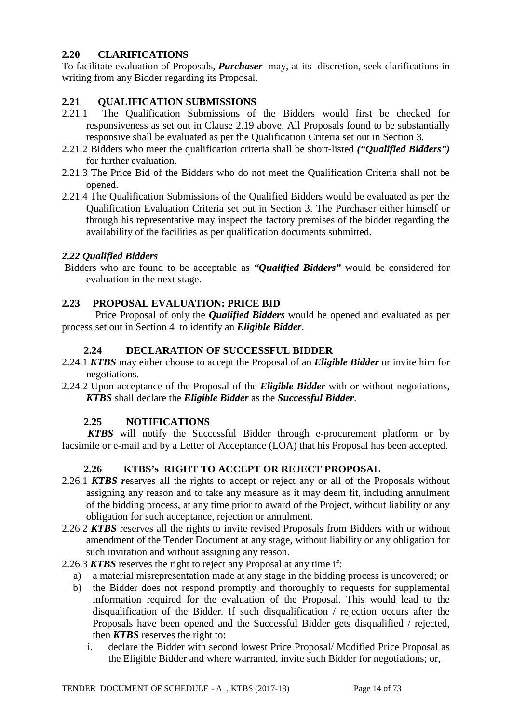# **2.20 CLARIFICATIONS**

To facilitate evaluation of Proposals, *Purchaser* may, at its discretion, seek clarifications in writing from any Bidder regarding its Proposal.

# **2.21 QUALIFICATION SUBMISSIONS**

- 2.21.1 The Qualification Submissions of the Bidders would first be checked for responsiveness as set out in Clause 2.19 above. All Proposals found to be substantially responsive shall be evaluated as per the Qualification Criteria set out in Section 3.
- 2.21.2 Bidders who meet the qualification criteria shall be short-listed *("Qualified Bidders")* for further evaluation.
- 2.21.3 The Price Bid of the Bidders who do not meet the Qualification Criteria shall not be opened.
- 2.21.4 The Qualification Submissions of the Qualified Bidders would be evaluated as per the Qualification Evaluation Criteria set out in Section 3. The Purchaser either himself or through his representative may inspect the factory premises of the bidder regarding the availability of the facilities as per qualification documents submitted.

## *2.22 Qualified Bidders*

Bidders who are found to be acceptable as *"Qualified Bidders"* would be considered for evaluation in the next stage.

## **2.23 PROPOSAL EVALUATION: PRICE BID**

 Price Proposal of only the *Qualified Bidders* would be opened and evaluated as per process set out in Section 4 to identify an *Eligible Bidder*.

#### **2.24 DECLARATION OF SUCCESSFUL BIDDER**

- 2.24.1 *KTBS* may either choose to accept the Proposal of an *Eligible Bidder* or invite him for negotiations.
- 2.24.2 Upon acceptance of the Proposal of the *Eligible Bidder* with or without negotiations, *KTBS* shall declare the *Eligible Bidder* as the *Successful Bidder*.

## **2.25 NOTIFICATIONS**

 *KTBS* will notify the Successful Bidder through e-procurement platform or by facsimile or e-mail and by a Letter of Acceptance (LOA) that his Proposal has been accepted.

## **2.26 KTBS's RIGHT TO ACCEPT OR REJECT PROPOSAL**

- 2.26.1 *KTBS r*eserves all the rights to accept or reject any or all of the Proposals without assigning any reason and to take any measure as it may deem fit, including annulment of the bidding process, at any time prior to award of the Project, without liability or any obligation for such acceptance, rejection or annulment.
- 2.26.2 *KTBS* reserves all the rights to invite revised Proposals from Bidders with or without amendment of the Tender Document at any stage, without liability or any obligation for such invitation and without assigning any reason.
- 2.26.3 *KTBS* reserves the right to reject any Proposal at any time if:
	- a) a material misrepresentation made at any stage in the bidding process is uncovered; or
	- b) the Bidder does not respond promptly and thoroughly to requests for supplemental information required for the evaluation of the Proposal. This would lead to the disqualification of the Bidder. If such disqualification / rejection occurs after the Proposals have been opened and the Successful Bidder gets disqualified / rejected, then *KTBS* reserves the right to:
		- i. declare the Bidder with second lowest Price Proposal/ Modified Price Proposal as the Eligible Bidder and where warranted, invite such Bidder for negotiations; or,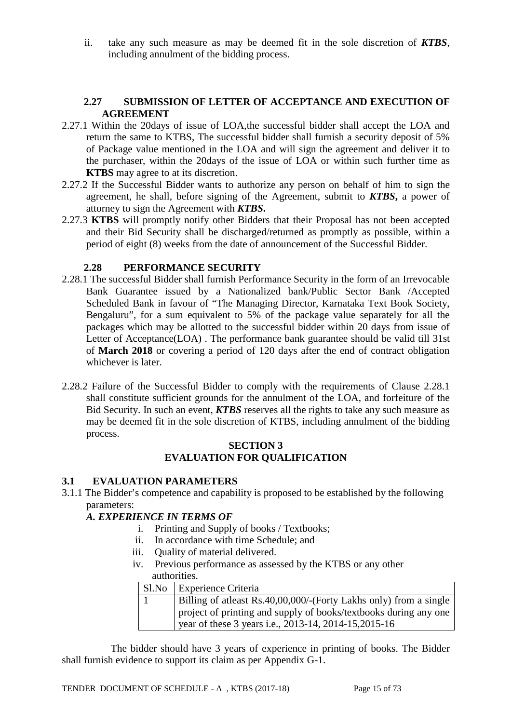ii. take any such measure as may be deemed fit in the sole discretion of *KTBS*, including annulment of the bidding process.

#### **2.27 SUBMISSION OF LETTER OF ACCEPTANCE AND EXECUTION OF AGREEMENT**

- 2.27.1 Within the 20days of issue of LOA,the successful bidder shall accept the LOA and return the same to KTBS, The successful bidder shall furnish a security deposit of 5% of Package value mentioned in the LOA and will sign the agreement and deliver it to the purchaser, within the 20days of the issue of LOA or within such further time as **KTBS** may agree to at its discretion.
- 2.27.2 If the Successful Bidder wants to authorize any person on behalf of him to sign the agreement, he shall, before signing of the Agreement, submit to *KTBS***,** a power of attorney to sign the Agreement with *KTBS***.**
- 2.27.3 **KTBS** will promptly notify other Bidders that their Proposal has not been accepted and their Bid Security shall be discharged/returned as promptly as possible, within a period of eight (8) weeks from the date of announcement of the Successful Bidder.

## **2.28 PERFORMANCE SECURITY**

- 2.28.1 The successful Bidder shall furnish Performance Security in the form of an Irrevocable Bank Guarantee issued by a Nationalized bank/Public Sector Bank /Accepted Scheduled Bank in favour of "The Managing Director, Karnataka Text Book Society, Bengaluru", for a sum equivalent to 5% of the package value separately for all the packages which may be allotted to the successful bidder within 20 days from issue of Letter of Acceptance(LOA) . The performance bank guarantee should be valid till 31st of **March 2018** or covering a period of 120 days after the end of contract obligation whichever is later.
- 2.28.2 Failure of the Successful Bidder to comply with the requirements of Clause 2.28.1 shall constitute sufficient grounds for the annulment of the LOA, and forfeiture of the Bid Security. In such an event, *KTBS* reserves all the rights to take any such measure as may be deemed fit in the sole discretion of KTBS, including annulment of the bidding process.

## **SECTION 3 EVALUATION FOR QUALIFICATION**

#### **3.1 EVALUATION PARAMETERS**

3.1.1 The Bidder's competence and capability is proposed to be established by the following parameters:

## *A. EXPERIENCE IN TERMS OF*

- i. Printing and Supply of books / Textbooks;
- ii. In accordance with time Schedule; and
- iii. Quality of material delivered.
- iv. Previous performance as assessed by the KTBS or any other authorities.

| Sl.No Experience Criteria                                         |
|-------------------------------------------------------------------|
| Billing of atleast Rs.40,00,000/-(Forty Lakhs only) from a single |
| project of printing and supply of books/textbooks during any one  |
| year of these 3 years i.e., 2013-14, 2014-15, 2015-16             |

 The bidder should have 3 years of experience in printing of books. The Bidder shall furnish evidence to support its claim as per Appendix G-1.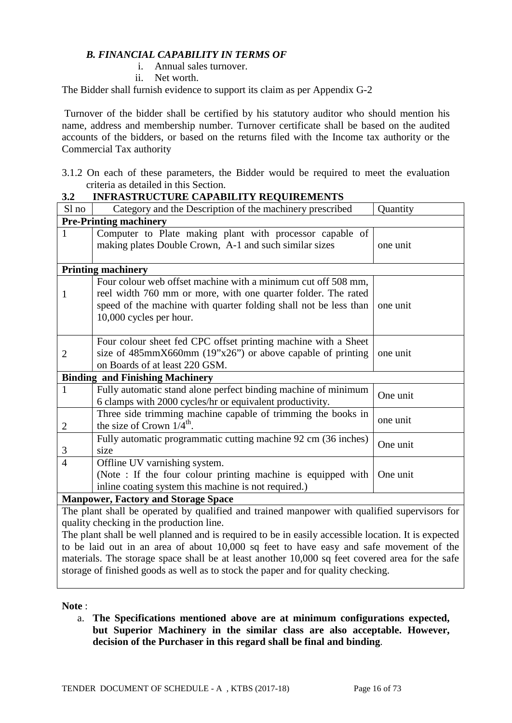## *B. FINANCIAL CAPABILITY IN TERMS OF*

#### i. Annual sales turnover.

ii. Net worth.

The Bidder shall furnish evidence to support its claim as per Appendix G-2

Turnover of the bidder shall be certified by his statutory auditor who should mention his name, address and membership number. Turnover certificate shall be based on the audited accounts of the bidders, or based on the returns filed with the Income tax authority or the Commercial Tax authority

| 3.1.2 On each of these parameters, the Bidder would be required to meet the evaluation |  |  |  |  |  |
|----------------------------------------------------------------------------------------|--|--|--|--|--|
| criteria as detailed in this Section.                                                  |  |  |  |  |  |

#### **3.2 INFRASTRUCTURE CAPABILITY REQUIREMENTS**

| Sl no          | Category and the Description of the machinery prescribed                                                                                                                 | Quantity |  |  |  |
|----------------|--------------------------------------------------------------------------------------------------------------------------------------------------------------------------|----------|--|--|--|
|                | <b>Pre-Printing machinery</b>                                                                                                                                            |          |  |  |  |
| 1              | Computer to Plate making plant with processor capable of                                                                                                                 |          |  |  |  |
|                | making plates Double Crown, A-1 and such similar sizes                                                                                                                   | one unit |  |  |  |
|                |                                                                                                                                                                          |          |  |  |  |
|                | <b>Printing machinery</b>                                                                                                                                                |          |  |  |  |
|                | Four colour web offset machine with a minimum cut off 508 mm,                                                                                                            |          |  |  |  |
| 1              | reel width 760 mm or more, with one quarter folder. The rated                                                                                                            |          |  |  |  |
|                | speed of the machine with quarter folding shall not be less than                                                                                                         | one unit |  |  |  |
|                | 10,000 cycles per hour.                                                                                                                                                  |          |  |  |  |
|                |                                                                                                                                                                          |          |  |  |  |
|                | Four colour sheet fed CPC offset printing machine with a Sheet                                                                                                           |          |  |  |  |
| $\overline{2}$ | size of $485 \text{mm} \times 660 \text{mm}$ (19"x26") or above capable of printing                                                                                      | one unit |  |  |  |
|                | on Boards of at least 220 GSM.                                                                                                                                           |          |  |  |  |
|                | <b>Binding and Finishing Machinery</b>                                                                                                                                   |          |  |  |  |
| 1              | Fully automatic stand alone perfect binding machine of minimum                                                                                                           |          |  |  |  |
|                | 6 clamps with 2000 cycles/hr or equivalent productivity.                                                                                                                 | One unit |  |  |  |
|                | Three side trimming machine capable of trimming the books in                                                                                                             |          |  |  |  |
| $\overline{2}$ | the size of Crown $1/4^{\text{th}}$ .                                                                                                                                    | one unit |  |  |  |
|                | Fully automatic programmatic cutting machine 92 cm (36 inches)                                                                                                           |          |  |  |  |
| 3              | size                                                                                                                                                                     | One unit |  |  |  |
| $\overline{4}$ | Offline UV varnishing system.                                                                                                                                            |          |  |  |  |
|                | (Note : If the four colour printing machine is equipped with                                                                                                             | One unit |  |  |  |
|                | inline coating system this machine is not required.)                                                                                                                     |          |  |  |  |
|                | <b>Manpower, Factory and Storage Space</b>                                                                                                                               |          |  |  |  |
|                | The plant shall be operated by qualified and trained manpower with qualified supervisors for                                                                             |          |  |  |  |
|                | $\mathbf{1}^{1}$ , $\mathbf{1}^{1}$ , $\mathbf{1}^{1}$ , $\mathbf{1}^{1}$ , $\mathbf{1}^{1}$ , $\mathbf{1}^{1}$ , $\mathbf{1}^{1}$ , $\mathbf{1}^{1}$ , $\mathbf{1}^{1}$ |          |  |  |  |

quality checking in the production line. The plant shall be well planned and is required to be in easily accessible location. It is expected

to be laid out in an area of about 10,000 sq feet to have easy and safe movement of the materials. The storage space shall be at least another 10,000 sq feet covered area for the safe storage of finished goods as well as to stock the paper and for quality checking.

**Note** :

a. **The Specifications mentioned above are at minimum configurations expected, but Superior Machinery in the similar class are also acceptable. However, decision of the Purchaser in this regard shall be final and binding**.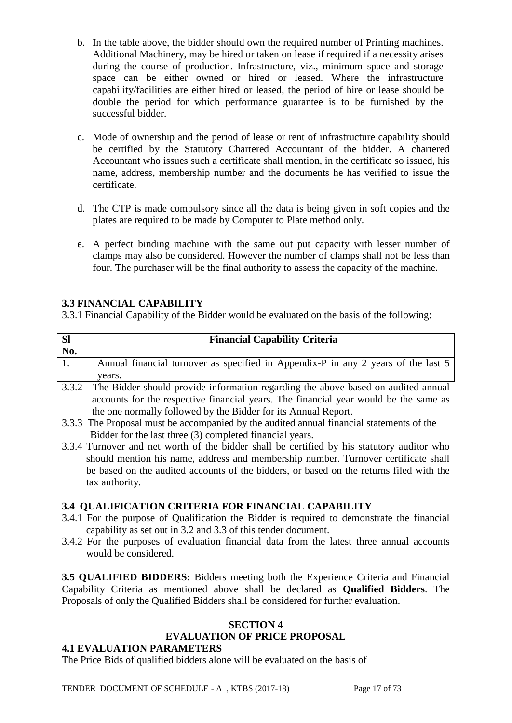- b. In the table above, the bidder should own the required number of Printing machines. Additional Machinery, may be hired or taken on lease if required if a necessity arises during the course of production. Infrastructure, viz., minimum space and storage space can be either owned or hired or leased. Where the infrastructure capability/facilities are either hired or leased, the period of hire or lease should be double the period for which performance guarantee is to be furnished by the successful bidder.
- c. Mode of ownership and the period of lease or rent of infrastructure capability should be certified by the Statutory Chartered Accountant of the bidder. A chartered Accountant who issues such a certificate shall mention, in the certificate so issued, his name, address, membership number and the documents he has verified to issue the certificate.
- d. The CTP is made compulsory since all the data is being given in soft copies and the plates are required to be made by Computer to Plate method only.
- e. A perfect binding machine with the same out put capacity with lesser number of clamps may also be considered. However the number of clamps shall not be less than four. The purchaser will be the final authority to assess the capacity of the machine.

# **3.3 FINANCIAL CAPABILITY**

3.3.1 Financial Capability of the Bidder would be evaluated on the basis of the following:

| No. | <b>Financial Capability Criteria</b>                                                        |
|-----|---------------------------------------------------------------------------------------------|
|     | Annual financial turnover as specified in Appendix-P in any 2 years of the last 5<br>years. |
|     | ----                                                                                        |

- 3.3.2 The Bidder should provide information regarding the above based on audited annual accounts for the respective financial years. The financial year would be the same as the one normally followed by the Bidder for its Annual Report.
- 3.3.3 The Proposal must be accompanied by the audited annual financial statements of the Bidder for the last three (3) completed financial years.
- 3.3.4 Turnover and net worth of the bidder shall be certified by his statutory auditor who should mention his name, address and membership number. Turnover certificate shall be based on the audited accounts of the bidders, or based on the returns filed with the tax authority.

## **3.4 QUALIFICATION CRITERIA FOR FINANCIAL CAPABILITY**

- 3.4.1 For the purpose of Qualification the Bidder is required to demonstrate the financial capability as set out in 3.2 and 3.3 of this tender document.
- 3.4.2 For the purposes of evaluation financial data from the latest three annual accounts would be considered.

**3.5 QUALIFIED BIDDERS:** Bidders meeting both the Experience Criteria and Financial Capability Criteria as mentioned above shall be declared as **Qualified Bidders**. The Proposals of only the Qualified Bidders shall be considered for further evaluation.

#### **SECTION 4 EVALUATION OF PRICE PROPOSAL**

## **4.1 EVALUATION PARAMETERS**

The Price Bids of qualified bidders alone will be evaluated on the basis of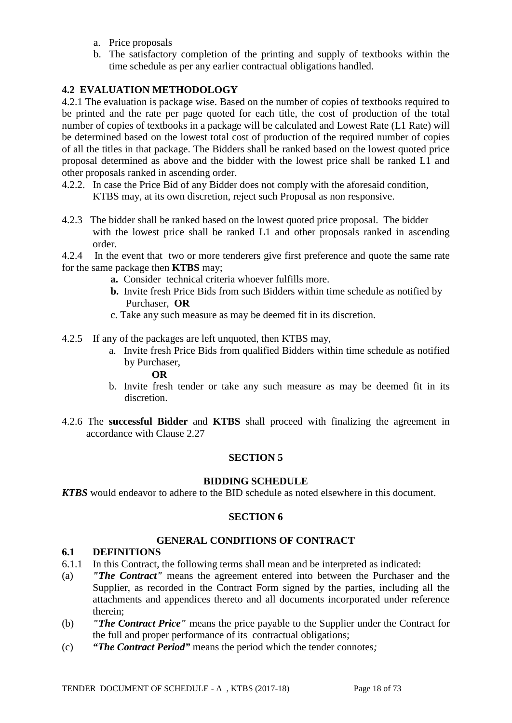- a. Price proposals
- b. The satisfactory completion of the printing and supply of textbooks within the time schedule as per any earlier contractual obligations handled.

## **4.2 EVALUATION METHODOLOGY**

4.2.1 The evaluation is package wise. Based on the number of copies of textbooks required to be printed and the rate per page quoted for each title, the cost of production of the total number of copies of textbooks in a package will be calculated and Lowest Rate (L1 Rate) will be determined based on the lowest total cost of production of the required number of copies of all the titles in that package. The Bidders shall be ranked based on the lowest quoted price proposal determined as above and the bidder with the lowest price shall be ranked L1 and other proposals ranked in ascending order.

- 4.2.2. In case the Price Bid of any Bidder does not comply with the aforesaid condition, KTBS may, at its own discretion, reject such Proposal as non responsive.
- 4.2.3 The bidder shall be ranked based on the lowest quoted price proposal. The bidder with the lowest price shall be ranked L1 and other proposals ranked in ascending order.
- 4.2.4 In the event that two or more tenderers give first preference and quote the same rate for the same package then **KTBS** may;
	- **a.** Consider technical criteria whoever fulfills more.
	- **b.** Invite fresh Price Bids from such Bidders within time schedule as notified by Purchaser, **OR**
	- c. Take any such measure as may be deemed fit in its discretion.
- 4.2.5 If any of the packages are left unquoted, then KTBS may,
	- a. Invite fresh Price Bids from qualified Bidders within time schedule as notified by Purchaser,

#### **OR**

- b. Invite fresh tender or take any such measure as may be deemed fit in its discretion.
- 4.2.6 The **successful Bidder** and **KTBS** shall proceed with finalizing the agreement in accordance with Clause 2.27

## **SECTION 5**

#### **BIDDING SCHEDULE**

*KTBS* would endeavor to adhere to the BID schedule as noted elsewhere in this document.

## **SECTION 6**

#### **GENERAL CONDITIONS OF CONTRACT**

#### **6.1 DEFINITIONS**

- 6.1.1 In this Contract, the following terms shall mean and be interpreted as indicated:
- (a) *"The Contract"* means the agreement entered into between the Purchaser and the Supplier, as recorded in the Contract Form signed by the parties, including all the attachments and appendices thereto and all documents incorporated under reference therein;
- (b) *"The Contract Price"* means the price payable to the Supplier under the Contract for the full and proper performance of its contractual obligations;
- (c) *"The Contract Period"* means the period which the tender connotes*;*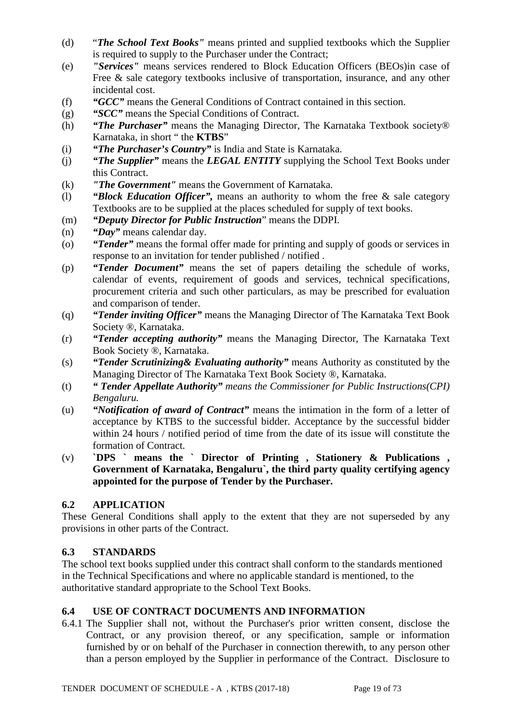- (d) "*The School Text Books"* means printed and supplied textbooks which the Supplier is required to supply to the Purchaser under the Contract;
- (e) *"Services"* means services rendered to Block Education Officers (BEOs)in case of Free & sale category textbooks inclusive of transportation, insurance, and any other incidental cost.
- (f) *"GCC"* means the General Conditions of Contract contained in this section.
- (g) *"SCC"* means the Special Conditions of Contract.
- (h) *"The Purchaser"* means the Managing Director, The Karnataka Textbook society® Karnataka, in short " the **KTBS**"
- (i) *"The Purchaser's Country"* is India and State is Karnataka.
- (j) *"The Supplier"* means the *LEGAL ENTITY* supplying the School Text Books under this Contract.
- (k) *"The Government"* means the Government of Karnataka.
- (l) *"Block Education Officer",* means an authority to whom the free & sale category Textbooks are to be supplied at the places scheduled for supply of text books.
- (m) *"Deputy Director for Public Instruction*" means the DDPI.
- (n) *"Day"* means calendar day.
- (o) *"Tender"* means the formal offer made for printing and supply of goods or services in response to an invitation for tender published / notified .
- (p) *"Tender Document"* means the set of papers detailing the schedule of works, calendar of events, requirement of goods and services, technical specifications, procurement criteria and such other particulars, as may be prescribed for evaluation and comparison of tender.
- (q) *"Tender inviting Officer"* means the Managing Director of The Karnataka Text Book Society ®, Karnataka.
- (r) *"Tender accepting authority"* means the Managing Director, The Karnataka Text Book Society ®, Karnataka.
- (s) *"Tender Scrutinizing& Evaluating authority"* means Authority as constituted by the Managing Director of The Karnataka Text Book Society ®, Karnataka.
- (t) *" Tender Appellate Authority" means the Commissioner for Public Instructions(CPI) Bengaluru.*
- (u) *"Notification of award of Contract"* means the intimation in the form of a letter of acceptance by KTBS to the successful bidder. Acceptance by the successful bidder within 24 hours / notified period of time from the date of its issue will constitute the formation of Contract.
- (v) **`DPS ` means the ` Director of Printing , Stationery & Publications , Government of Karnataka, Bengaluru`, the third party quality certifying agency appointed for the purpose of Tender by the Purchaser.**

# **6.2 APPLICATION**

These General Conditions shall apply to the extent that they are not superseded by any provisions in other parts of the Contract.

## **6.3 STANDARDS**

The school text books supplied under this contract shall conform to the standards mentioned in the Technical Specifications and where no applicable standard is mentioned, to the authoritative standard appropriate to the School Text Books.

## **6.4 USE OF CONTRACT DOCUMENTS AND INFORMATION**

6.4.1 The Supplier shall not, without the Purchaser's prior written consent, disclose the Contract, or any provision thereof, or any specification, sample or information furnished by or on behalf of the Purchaser in connection therewith, to any person other than a person employed by the Supplier in performance of the Contract. Disclosure to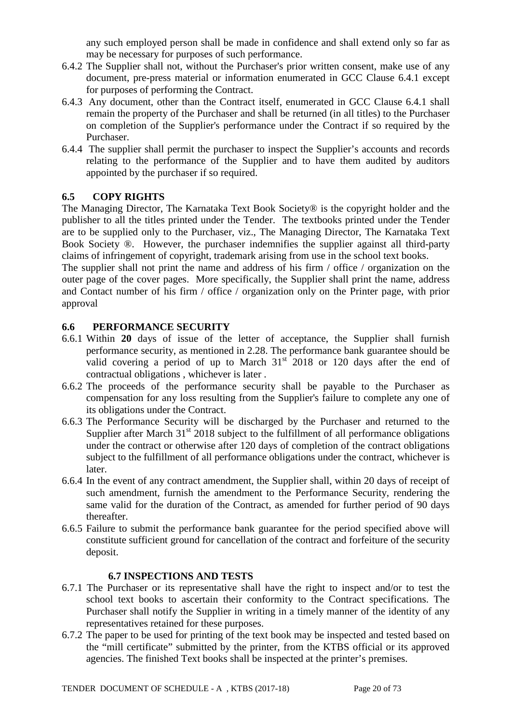any such employed person shall be made in confidence and shall extend only so far as may be necessary for purposes of such performance.

- 6.4.2 The Supplier shall not, without the Purchaser's prior written consent, make use of any document, pre-press material or information enumerated in GCC Clause 6.4.1 except for purposes of performing the Contract.
- 6.4.3 Any document, other than the Contract itself, enumerated in GCC Clause 6.4.1 shall remain the property of the Purchaser and shall be returned (in all titles) to the Purchaser on completion of the Supplier's performance under the Contract if so required by the Purchaser.
- 6.4.4 The supplier shall permit the purchaser to inspect the Supplier's accounts and records relating to the performance of the Supplier and to have them audited by auditors appointed by the purchaser if so required.

# **6.5 COPY RIGHTS**

The Managing Director, The Karnataka Text Book Society® is the copyright holder and the publisher to all the titles printed under the Tender. The textbooks printed under the Tender are to be supplied only to the Purchaser, viz., The Managing Director, The Karnataka Text Book Society ®. However, the purchaser indemnifies the supplier against all third-party claims of infringement of copyright, trademark arising from use in the school text books.

The supplier shall not print the name and address of his firm / office / organization on the outer page of the cover pages. More specifically, the Supplier shall print the name, address and Contact number of his firm / office / organization only on the Printer page, with prior approval

## **6.6 PERFORMANCE SECURITY**

- 6.6.1 Within **20** days of issue of the letter of acceptance, the Supplier shall furnish performance security, as mentioned in 2.28. The performance bank guarantee should be valid covering a period of up to March  $31<sup>st</sup>$  2018 or 120 days after the end of contractual obligations , whichever is later .
- 6.6.2 The proceeds of the performance security shall be payable to the Purchaser as compensation for any loss resulting from the Supplier's failure to complete any one of its obligations under the Contract.
- 6.6.3 The Performance Security will be discharged by the Purchaser and returned to the Supplier after March  $31<sup>st</sup>$  2018 subject to the fulfillment of all performance obligations under the contract or otherwise after 120 days of completion of the contract obligations subject to the fulfillment of all performance obligations under the contract, whichever is later.
- 6.6.4 In the event of any contract amendment, the Supplier shall, within 20 days of receipt of such amendment, furnish the amendment to the Performance Security, rendering the same valid for the duration of the Contract, as amended for further period of 90 days thereafter.
- 6.6.5 Failure to submit the performance bank guarantee for the period specified above will constitute sufficient ground for cancellation of the contract and forfeiture of the security deposit.

#### **6.7 INSPECTIONS AND TESTS**

- 6.7.1 The Purchaser or its representative shall have the right to inspect and/or to test the school text books to ascertain their conformity to the Contract specifications. The Purchaser shall notify the Supplier in writing in a timely manner of the identity of any representatives retained for these purposes.
- 6.7.2 The paper to be used for printing of the text book may be inspected and tested based on the "mill certificate" submitted by the printer, from the KTBS official or its approved agencies. The finished Text books shall be inspected at the printer's premises.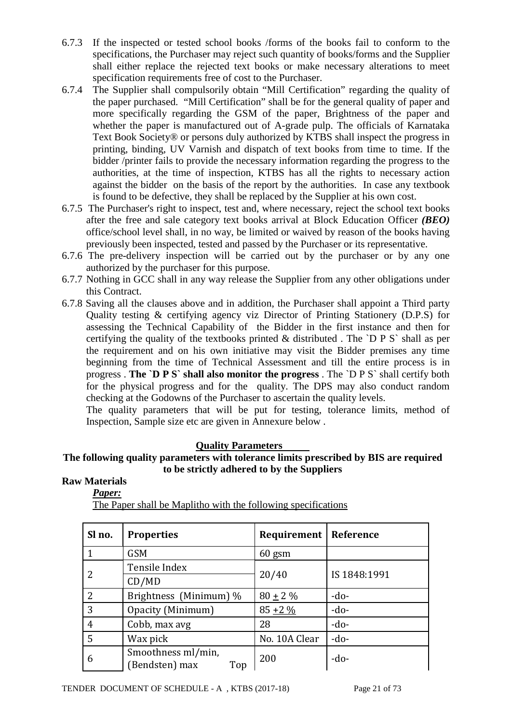- 6.7.3 If the inspected or tested school books /forms of the books fail to conform to the specifications, the Purchaser may reject such quantity of books/forms and the Supplier shall either replace the rejected text books or make necessary alterations to meet specification requirements free of cost to the Purchaser.
- 6.7.4 The Supplier shall compulsorily obtain "Mill Certification" regarding the quality of the paper purchased. "Mill Certification" shall be for the general quality of paper and more specifically regarding the GSM of the paper, Brightness of the paper and whether the paper is manufactured out of A-grade pulp. The officials of Karnataka Text Book Society® or persons duly authorized by KTBS shall inspect the progress in printing, binding, UV Varnish and dispatch of text books from time to time. If the bidder /printer fails to provide the necessary information regarding the progress to the authorities, at the time of inspection, KTBS has all the rights to necessary action against the bidder on the basis of the report by the authorities. In case any textbook is found to be defective, they shall be replaced by the Supplier at his own cost.
- 6.7.5 The Purchaser's right to inspect, test and, where necessary, reject the school text books after the free and sale category text books arrival at Block Education Officer *(BEO)* office/school level shall, in no way, be limited or waived by reason of the books having previously been inspected, tested and passed by the Purchaser or its representative.
- 6.7.6 The pre-delivery inspection will be carried out by the purchaser or by any one authorized by the purchaser for this purpose.
- 6.7.7 Nothing in GCC shall in any way release the Supplier from any other obligations under this Contract.
- 6.7.8 Saving all the clauses above and in addition, the Purchaser shall appoint a Third party Quality testing & certifying agency viz Director of Printing Stationery (D.P.S) for assessing the Technical Capability of the Bidder in the first instance and then for certifying the quality of the textbooks printed  $\&$  distributed. The `D P S` shall as per the requirement and on his own initiative may visit the Bidder premises any time beginning from the time of Technical Assessment and till the entire process is in progress . **The `D P S` shall also monitor the progress** . The `D P S` shall certify both for the physical progress and for the quality. The DPS may also conduct random checking at the Godowns of the Purchaser to ascertain the quality levels.

The quality parameters that will be put for testing, tolerance limits, method of Inspection, Sample size etc are given in Annexure below .

## **Quality Parameters**

## **The following quality parameters with tolerance limits prescribed by BIS are required to be strictly adhered to by the Suppliers**

## **Raw Materials**

*Paper:*

| Sl no.         | <b>Properties</b>                           | <b>Requirement   Reference</b> |              |  |
|----------------|---------------------------------------------|--------------------------------|--------------|--|
|                | <b>GSM</b>                                  | $60$ gsm                       |              |  |
|                | Tensile Index                               |                                |              |  |
|                | CD/MD                                       | 20/40                          | IS 1848:1991 |  |
| 2              | Brightness (Minimum) %                      | $80 \pm 2 \%$                  | $-do-$       |  |
| 3              | Opacity (Minimum)                           | $85 + 2\%$                     | $-do-$       |  |
| $\overline{4}$ | Cobb, max avg                               | 28                             | $-do-$       |  |
| 5              | Wax pick                                    | No. 10A Clear                  | $-do-$       |  |
| 6              | Smoothness ml/min,<br>(Bendsten) max<br>Top | 200                            | $-do-$       |  |

The Paper shall be Maplitho with the following specifications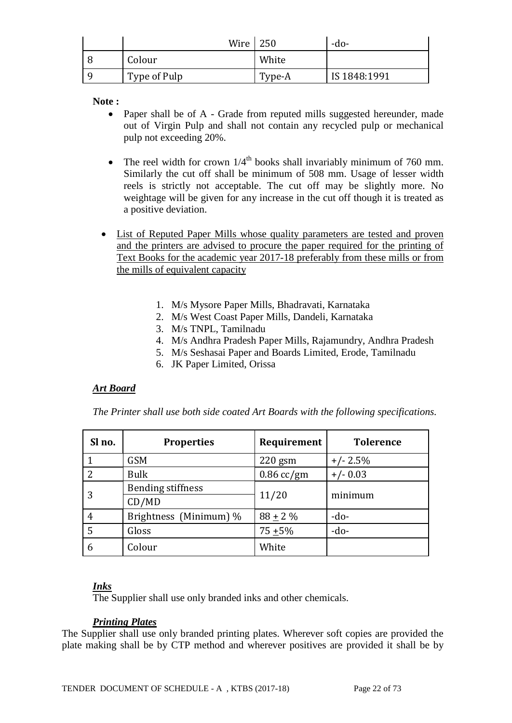| Wire         | 250    | -do-         |
|--------------|--------|--------------|
| Colour       | White  |              |
| Type of Pulp | Type-A | IS 1848:1991 |

**Note :**

- Paper shall be of A Grade from reputed mills suggested hereunder, made out of Virgin Pulp and shall not contain any recycled pulp or mechanical pulp not exceeding 20%.
- The reel width for crown  $1/4^{\text{th}}$  books shall invariably minimum of 760 mm. Similarly the cut off shall be minimum of 508 mm. Usage of lesser width reels is strictly not acceptable. The cut off may be slightly more. No weightage will be given for any increase in the cut off though it is treated as a positive deviation.
- List of Reputed Paper Mills whose quality parameters are tested and proven and the printers are advised to procure the paper required for the printing of Text Books for the academic year 2017-18 preferably from these mills or from the mills of equivalent capacity
	- 1. M/s Mysore Paper Mills, Bhadravati, Karnataka
	- 2. M/s West Coast Paper Mills, Dandeli, Karnataka
	- 3. M/s TNPL, Tamilnadu
	- 4. M/s Andhra Pradesh Paper Mills, Rajamundry, Andhra Pradesh
	- 5. M/s Seshasai Paper and Boards Limited, Erode, Tamilnadu
	- 6. JK Paper Limited, Orissa

#### *Art Board*

*The Printer shall use both side coated Art Boards with the following specifications.* 

| Sl no. | <b>Properties</b>        | Requirement  | <b>Tolerence</b> |  |
|--------|--------------------------|--------------|------------------|--|
|        | <b>GSM</b>               | $220$ gsm    | $+/- 2.5%$       |  |
| 2      | <b>Bulk</b>              | $0.86$ cc/gm | $+/- 0.03$       |  |
|        | <b>Bending stiffness</b> |              | minimum          |  |
|        | CD/MD                    | 11/20        |                  |  |
| 4      | Brightness (Minimum) %   | $88 + 2\%$   | $-do-$           |  |
| 5      | Gloss                    | $75 + 5\%$   | $-do-$           |  |
| 6      | Colour                   | White        |                  |  |

#### *Inks*

The Supplier shall use only branded inks and other chemicals.

#### *Printing Plates*

The Supplier shall use only branded printing plates. Wherever soft copies are provided the plate making shall be by CTP method and wherever positives are provided it shall be by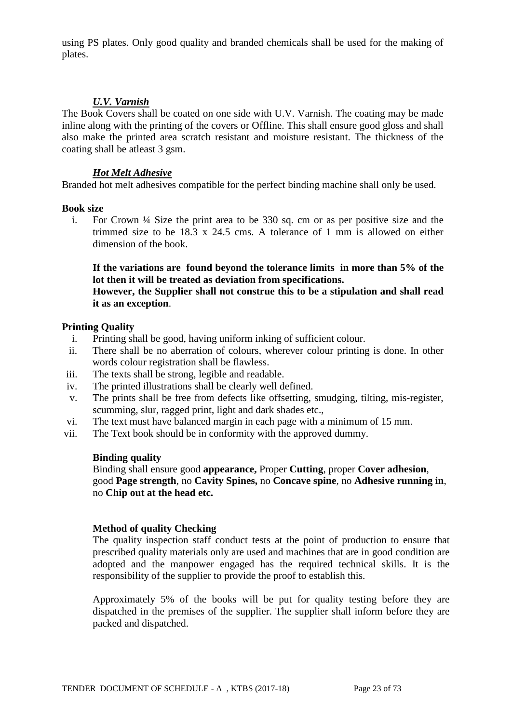using PS plates. Only good quality and branded chemicals shall be used for the making of plates.

#### *U.V. Varnish*

The Book Covers shall be coated on one side with U.V. Varnish. The coating may be made inline along with the printing of the covers or Offline. This shall ensure good gloss and shall also make the printed area scratch resistant and moisture resistant. The thickness of the coating shall be atleast 3 gsm.

#### *Hot Melt Adhesive*

Branded hot melt adhesives compatible for the perfect binding machine shall only be used.

#### **Book size**

i. For Crown ¼ Size the print area to be 330 sq. cm or as per positive size and the trimmed size to be  $18.3 \times 24.5$  cms. A tolerance of 1 mm is allowed on either dimension of the book.

## **If the variations are found beyond the tolerance limits in more than 5% of the lot then it will be treated as deviation from specifications.**

#### **However, the Supplier shall not construe this to be a stipulation and shall read it as an exception**.

#### **Printing Quality**

- i. Printing shall be good, having uniform inking of sufficient colour.
- ii. There shall be no aberration of colours, wherever colour printing is done. In other words colour registration shall be flawless.
- iii. The texts shall be strong, legible and readable.
- iv. The printed illustrations shall be clearly well defined.
- v. The prints shall be free from defects like offsetting, smudging, tilting, mis-register, scumming, slur, ragged print, light and dark shades etc.,
- vi. The text must have balanced margin in each page with a minimum of 15 mm.
- vii. The Text book should be in conformity with the approved dummy.

#### **Binding quality**

Binding shall ensure good **appearance,** Proper **Cutting**, proper **Cover adhesion**, good **Page strength**, no **Cavity Spines,** no **Concave spine**, no **Adhesive running in**, no **Chip out at the head etc.**

#### **Method of quality Checking**

The quality inspection staff conduct tests at the point of production to ensure that prescribed quality materials only are used and machines that are in good condition are adopted and the manpower engaged has the required technical skills. It is the responsibility of the supplier to provide the proof to establish this.

Approximately 5% of the books will be put for quality testing before they are dispatched in the premises of the supplier. The supplier shall inform before they are packed and dispatched.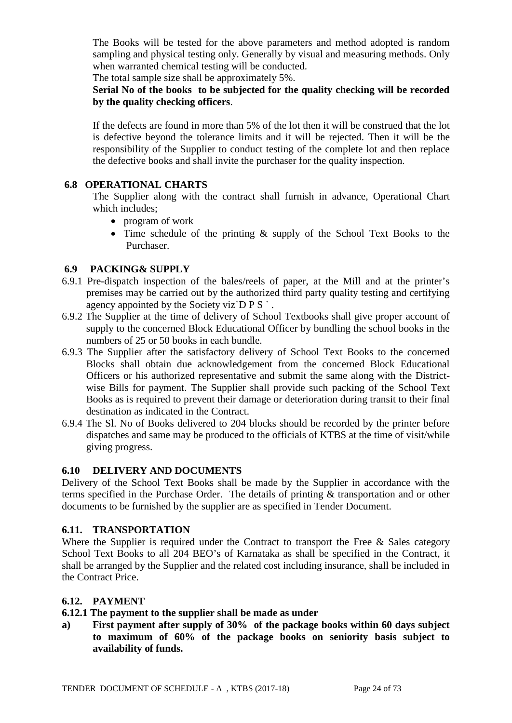The Books will be tested for the above parameters and method adopted is random sampling and physical testing only. Generally by visual and measuring methods. Only when warranted chemical testing will be conducted.

The total sample size shall be approximately 5%.

#### **Serial No of the books to be subjected for the quality checking will be recorded by the quality checking officers**.

If the defects are found in more than 5% of the lot then it will be construed that the lot is defective beyond the tolerance limits and it will be rejected. Then it will be the responsibility of the Supplier to conduct testing of the complete lot and then replace the defective books and shall invite the purchaser for the quality inspection.

## **6.8 OPERATIONAL CHARTS**

The Supplier along with the contract shall furnish in advance, Operational Chart which includes;

- program of work
- Time schedule of the printing & supply of the School Text Books to the Purchaser.

# **6.9 PACKING& SUPPLY**

- 6.9.1 Pre-dispatch inspection of the bales/reels of paper, at the Mill and at the printer's premises may be carried out by the authorized third party quality testing and certifying agency appointed by the Society viz $\overline{D} P S$ .
- 6.9.2 The Supplier at the time of delivery of School Textbooks shall give proper account of supply to the concerned Block Educational Officer by bundling the school books in the numbers of 25 or 50 books in each bundle.
- 6.9.3 The Supplier after the satisfactory delivery of School Text Books to the concerned Blocks shall obtain due acknowledgement from the concerned Block Educational Officers or his authorized representative and submit the same along with the Districtwise Bills for payment. The Supplier shall provide such packing of the School Text Books as is required to prevent their damage or deterioration during transit to their final destination as indicated in the Contract.
- 6.9.4 The Sl. No of Books delivered to 204 blocks should be recorded by the printer before dispatches and same may be produced to the officials of KTBS at the time of visit/while giving progress.

## **6.10 DELIVERY AND DOCUMENTS**

Delivery of the School Text Books shall be made by the Supplier in accordance with the terms specified in the Purchase Order. The details of printing & transportation and or other documents to be furnished by the supplier are as specified in Tender Document.

## **6.11. TRANSPORTATION**

Where the Supplier is required under the Contract to transport the Free  $\&$  Sales category School Text Books to all 204 BEO's of Karnataka as shall be specified in the Contract, it shall be arranged by the Supplier and the related cost including insurance, shall be included in the Contract Price.

## **6.12. PAYMENT**

## **6.12.1 The payment to the supplier shall be made as under**

**a) First payment after supply of 30% of the package books within 60 days subject to maximum of 60% of the package books on seniority basis subject to availability of funds.**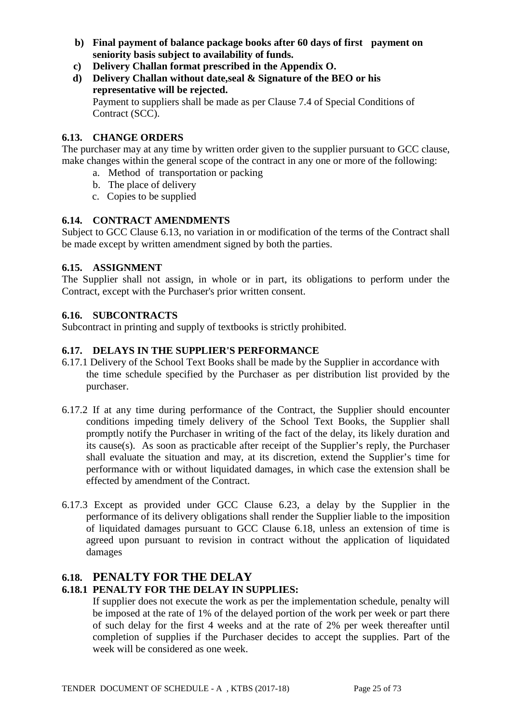- **b) Final payment of balance package books after 60 days of first payment on seniority basis subject to availability of funds.**
- **c) Delivery Challan format prescribed in the Appendix O.**
- **d) Delivery Challan without date,seal & Signature of the BEO or his representative will be rejected.** Payment to suppliers shall be made as per Clause 7.4 of Special Conditions of Contract (SCC).

#### **6.13. CHANGE ORDERS**

The purchaser may at any time by written order given to the supplier pursuant to GCC clause, make changes within the general scope of the contract in any one or more of the following:

- a. Method of transportation or packing
- b. The place of delivery
- c. Copies to be supplied

#### **6.14. CONTRACT AMENDMENTS**

Subject to GCC Clause 6.13, no variation in or modification of the terms of the Contract shall be made except by written amendment signed by both the parties.

#### **6.15. ASSIGNMENT**

The Supplier shall not assign, in whole or in part, its obligations to perform under the Contract, except with the Purchaser's prior written consent.

#### **6.16. SUBCONTRACTS**

Subcontract in printing and supply of textbooks is strictly prohibited.

#### **6.17. DELAYS IN THE SUPPLIER'S PERFORMANCE**

- 6.17.1 Delivery of the School Text Books shall be made by the Supplier in accordance with the time schedule specified by the Purchaser as per distribution list provided by the purchaser.
- 6.17.2 If at any time during performance of the Contract, the Supplier should encounter conditions impeding timely delivery of the School Text Books, the Supplier shall promptly notify the Purchaser in writing of the fact of the delay, its likely duration and its cause(s). As soon as practicable after receipt of the Supplier's reply, the Purchaser shall evaluate the situation and may, at its discretion, extend the Supplier's time for performance with or without liquidated damages, in which case the extension shall be effected by amendment of the Contract.
- 6.17.3 Except as provided under GCC Clause 6.23, a delay by the Supplier in the performance of its delivery obligations shall render the Supplier liable to the imposition of liquidated damages pursuant to GCC Clause 6.18, unless an extension of time is agreed upon pursuant to revision in contract without the application of liquidated damages

# **6.18. PENALTY FOR THE DELAY**

## **6.18.1 PENALTY FOR THE DELAY IN SUPPLIES:**

If supplier does not execute the work as per the implementation schedule, penalty will be imposed at the rate of 1% of the delayed portion of the work per week or part there of such delay for the first 4 weeks and at the rate of 2% per week thereafter until completion of supplies if the Purchaser decides to accept the supplies. Part of the week will be considered as one week.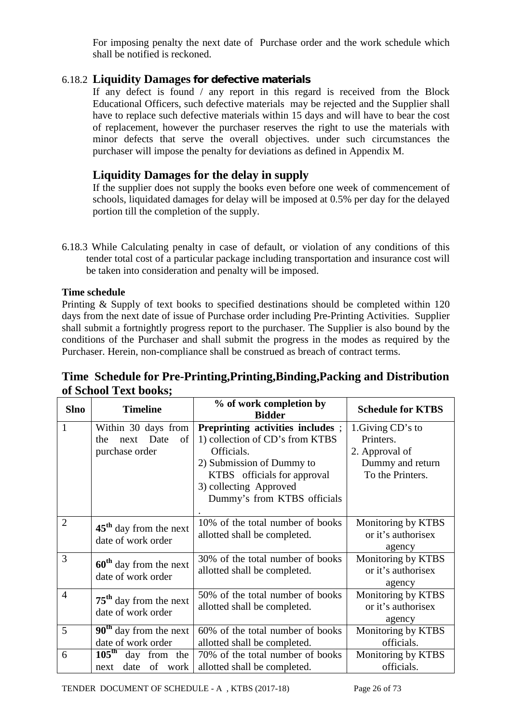For imposing penalty the next date of Purchase order and the work schedule which shall be notified is reckoned.

# 6.18.2 **Liquidity Damages for defective materials**

If any defect is found / any report in this regard is received from the Block Educational Officers, such defective materials may be rejected and the Supplier shall have to replace such defective materials within 15 days and will have to bear the cost of replacement, however the purchaser reserves the right to use the materials with minor defects that serve the overall objectives. under such circumstances the purchaser will impose the penalty for deviations as defined in Appendix M.

# **Liquidity Damages for the delay in supply**

If the supplier does not supply the books even before one week of commencement of schools, liquidated damages for delay will be imposed at 0.5% per day for the delayed portion till the completion of the supply.

6.18.3 While Calculating penalty in case of default, or violation of any conditions of this tender total cost of a particular package including transportation and insurance cost will be taken into consideration and penalty will be imposed.

## **Time schedule**

Printing & Supply of text books to specified destinations should be completed within 120 days from the next date of issue of Purchase order including Pre-Printing Activities. Supplier shall submit a fortnightly progress report to the purchaser. The Supplier is also bound by the conditions of the Purchaser and shall submit the progress in the modes as required by the Purchaser. Herein, non-compliance shall be construed as breach of contract terms.

# **Time Schedule for Pre-Printing,Printing,Binding,Packing and Distribution of School Text books;**

| <b>Slno</b>    | <b>Timeline</b>                   | % of work completion by<br><b>Bidder</b> | <b>Schedule for KTBS</b> |  |
|----------------|-----------------------------------|------------------------------------------|--------------------------|--|
| 1              | Within 30 days from               | Preprinting activities includes;         | 1. Giving CD's to        |  |
|                | Date<br>of<br>the<br>next         | 1) collection of CD's from KTBS          | Printers.                |  |
|                | purchase order                    | Officials.                               | 2. Approval of           |  |
|                |                                   | 2) Submission of Dummy to                | Dummy and return         |  |
|                |                                   | KTBS officials for approval              | To the Printers.         |  |
|                |                                   | 3) collecting Approved                   |                          |  |
|                |                                   | Dummy's from KTBS officials              |                          |  |
|                |                                   |                                          |                          |  |
| $\overline{2}$ | $45th$ day from the next          | 10% of the total number of books         | Monitoring by KTBS       |  |
|                | date of work order                | allotted shall be completed.             | or it's authorisex       |  |
|                |                                   |                                          | agency                   |  |
| 3              | $60th$ day from the next          | 30% of the total number of books         | Monitoring by KTBS       |  |
|                | date of work order                | allotted shall be completed.             | or it's authorisex       |  |
|                |                                   |                                          | agency                   |  |
| $\overline{4}$ | $75th$ day from the next          | 50% of the total number of books         | Monitoring by KTBS       |  |
|                | date of work order                | allotted shall be completed.             | or it's authorisex       |  |
|                |                                   |                                          | agency                   |  |
| 5              | $90th$ day from the next          | 60% of the total number of books         | Monitoring by KTBS       |  |
|                | date of work order                | allotted shall be completed.             | officials.               |  |
| 6              | $105^{\text{th}}$<br>day from the | 70% of the total number of books         | Monitoring by KTBS       |  |
|                | date<br>of work<br>next           | allotted shall be completed.             | officials.               |  |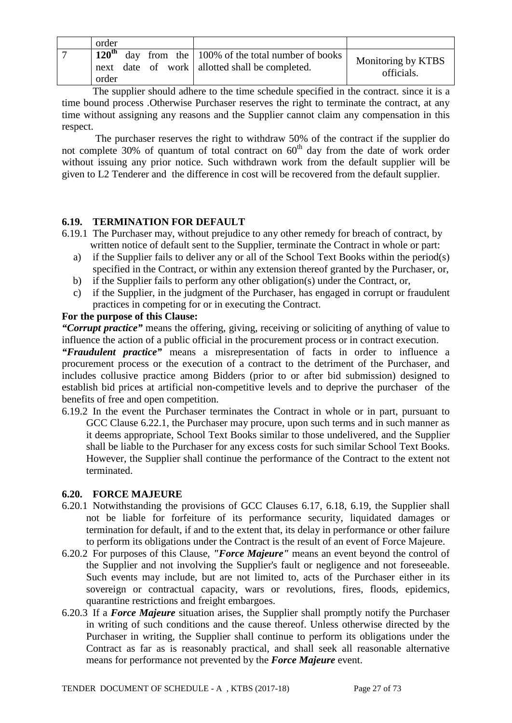| order                              |                                                                                                       |                                  |
|------------------------------------|-------------------------------------------------------------------------------------------------------|----------------------------------|
| $120^{\text{th}}$<br>next<br>order | day from the $\vert$ 100% of the total number of books<br>date of work   allotted shall be completed. | Monitoring by KTBS<br>officials. |

The supplier should adhere to the time schedule specified in the contract. since it is a time bound process .Otherwise Purchaser reserves the right to terminate the contract, at any time without assigning any reasons and the Supplier cannot claim any compensation in this respect.

 The purchaser reserves the right to withdraw 50% of the contract if the supplier do not complete 30% of quantum of total contract on  $60<sup>th</sup>$  day from the date of work order without issuing any prior notice. Such withdrawn work from the default supplier will be given to L2 Tenderer and the difference in cost will be recovered from the default supplier.

## **6.19. TERMINATION FOR DEFAULT**

- 6.19.1 The Purchaser may, without prejudice to any other remedy for breach of contract, by written notice of default sent to the Supplier, terminate the Contract in whole or part:
	- a) if the Supplier fails to deliver any or all of the School Text Books within the period(s) specified in the Contract, or within any extension thereof granted by the Purchaser, or,
	- b) if the Supplier fails to perform any other obligation(s) under the Contract, or,
	- c) if the Supplier, in the judgment of the Purchaser, has engaged in corrupt or fraudulent practices in competing for or in executing the Contract.

#### **For the purpose of this Clause:**

*"Corrupt practice"* means the offering, giving, receiving or soliciting of anything of value to influence the action of a public official in the procurement process or in contract execution.

*"Fraudulent practice"* means a misrepresentation of facts in order to influence a procurement process or the execution of a contract to the detriment of the Purchaser, and includes collusive practice among Bidders (prior to or after bid submission) designed to establish bid prices at artificial non-competitive levels and to deprive the purchaser of the benefits of free and open competition.

6.19.2 In the event the Purchaser terminates the Contract in whole or in part, pursuant to GCC Clause 6.22.1, the Purchaser may procure, upon such terms and in such manner as it deems appropriate, School Text Books similar to those undelivered, and the Supplier shall be liable to the Purchaser for any excess costs for such similar School Text Books. However, the Supplier shall continue the performance of the Contract to the extent not terminated.

## **6.20. FORCE MAJEURE**

- 6.20.1 Notwithstanding the provisions of GCC Clauses 6.17, 6.18, 6.19, the Supplier shall not be liable for forfeiture of its performance security, liquidated damages or termination for default, if and to the extent that, its delay in performance or other failure to perform its obligations under the Contract is the result of an event of Force Majeure.
- 6.20.2 For purposes of this Clause, *"Force Majeure"* means an event beyond the control of the Supplier and not involving the Supplier's fault or negligence and not foreseeable. Such events may include, but are not limited to, acts of the Purchaser either in its sovereign or contractual capacity, wars or revolutions, fires, floods, epidemics, quarantine restrictions and freight embargoes.
- 6.20.3 If a *Force Majeure* situation arises, the Supplier shall promptly notify the Purchaser in writing of such conditions and the cause thereof. Unless otherwise directed by the Purchaser in writing, the Supplier shall continue to perform its obligations under the Contract as far as is reasonably practical, and shall seek all reasonable alternative means for performance not prevented by the *Force Majeure* event.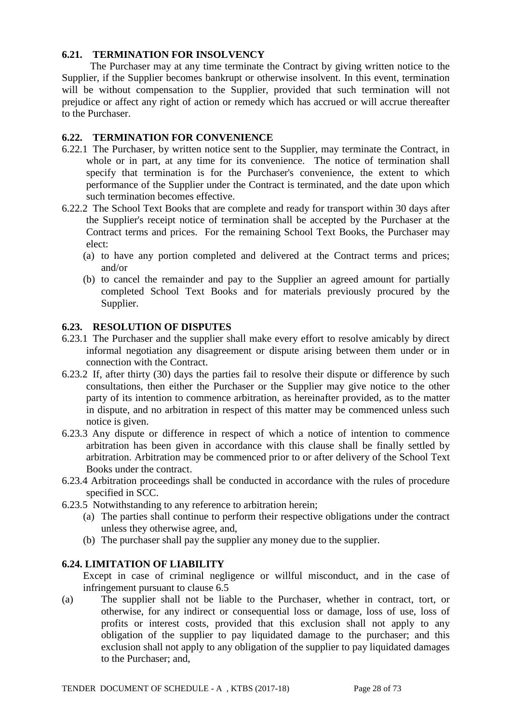#### **6.21. TERMINATION FOR INSOLVENCY**

 The Purchaser may at any time terminate the Contract by giving written notice to the Supplier, if the Supplier becomes bankrupt or otherwise insolvent. In this event, termination will be without compensation to the Supplier, provided that such termination will not prejudice or affect any right of action or remedy which has accrued or will accrue thereafter to the Purchaser.

#### **6.22. TERMINATION FOR CONVENIENCE**

- 6.22.1 The Purchaser, by written notice sent to the Supplier, may terminate the Contract, in whole or in part, at any time for its convenience. The notice of termination shall specify that termination is for the Purchaser's convenience, the extent to which performance of the Supplier under the Contract is terminated, and the date upon which such termination becomes effective.
- 6.22.2 The School Text Books that are complete and ready for transport within 30 days after the Supplier's receipt notice of termination shall be accepted by the Purchaser at the Contract terms and prices. For the remaining School Text Books, the Purchaser may elect:
	- (a) to have any portion completed and delivered at the Contract terms and prices; and/or
	- (b) to cancel the remainder and pay to the Supplier an agreed amount for partially completed School Text Books and for materials previously procured by the Supplier.

#### **6.23. RESOLUTION OF DISPUTES**

- 6.23.1 The Purchaser and the supplier shall make every effort to resolve amicably by direct informal negotiation any disagreement or dispute arising between them under or in connection with the Contract.
- 6.23.2 If, after thirty (30) days the parties fail to resolve their dispute or difference by such consultations, then either the Purchaser or the Supplier may give notice to the other party of its intention to commence arbitration, as hereinafter provided, as to the matter in dispute, and no arbitration in respect of this matter may be commenced unless such notice is given.
- 6.23.3 Any dispute or difference in respect of which a notice of intention to commence arbitration has been given in accordance with this clause shall be finally settled by arbitration. Arbitration may be commenced prior to or after delivery of the School Text Books under the contract.
- 6.23.4 Arbitration proceedings shall be conducted in accordance with the rules of procedure specified in SCC.
- 6.23.5 Notwithstanding to any reference to arbitration herein;
	- (a) The parties shall continue to perform their respective obligations under the contract unless they otherwise agree, and,
	- (b) The purchaser shall pay the supplier any money due to the supplier.

#### **6.24. LIMITATION OF LIABILITY**

Except in case of criminal negligence or willful misconduct, and in the case of infringement pursuant to clause 6.5

(a) The supplier shall not be liable to the Purchaser, whether in contract, tort, or otherwise, for any indirect or consequential loss or damage, loss of use, loss of profits or interest costs, provided that this exclusion shall not apply to any obligation of the supplier to pay liquidated damage to the purchaser; and this exclusion shall not apply to any obligation of the supplier to pay liquidated damages to the Purchaser; and,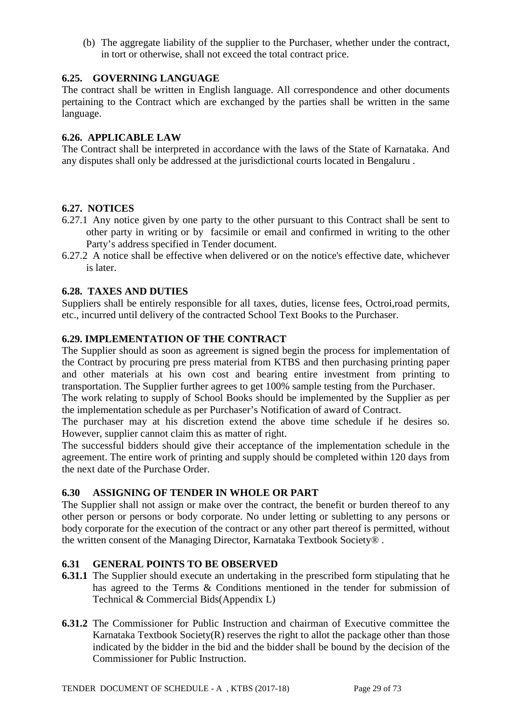(b) The aggregate liability of the supplier to the Purchaser, whether under the contract, in tort or otherwise, shall not exceed the total contract price.

# **6.25. GOVERNING LANGUAGE**

The contract shall be written in English language. All correspondence and other documents pertaining to the Contract which are exchanged by the parties shall be written in the same language.

## **6.26. APPLICABLE LAW**

The Contract shall be interpreted in accordance with the laws of the State of Karnataka. And any disputes shall only be addressed at the jurisdictional courts located in Bengaluru .

# **6.27. NOTICES**

- 6.27.1 Any notice given by one party to the other pursuant to this Contract shall be sent to other party in writing or by facsimile or email and confirmed in writing to the other Party's address specified in Tender document.
- 6.27.2 A notice shall be effective when delivered or on the notice's effective date, whichever is later.

# **6.28. TAXES AND DUTIES**

Suppliers shall be entirely responsible for all taxes, duties, license fees, Octroi,road permits, etc., incurred until delivery of the contracted School Text Books to the Purchaser.

## **6.29. IMPLEMENTATION OF THE CONTRACT**

The Supplier should as soon as agreement is signed begin the process for implementation of the Contract by procuring pre press material from KTBS and then purchasing printing paper and other materials at his own cost and bearing entire investment from printing to transportation. The Supplier further agrees to get 100% sample testing from the Purchaser.

The work relating to supply of School Books should be implemented by the Supplier as per the implementation schedule as per Purchaser's Notification of award of Contract.

The purchaser may at his discretion extend the above time schedule if he desires so. However, supplier cannot claim this as matter of right.

The successful bidders should give their acceptance of the implementation schedule in the agreement. The entire work of printing and supply should be completed within 120 days from the next date of the Purchase Order.

## **6.30 ASSIGNING OF TENDER IN WHOLE OR PART**

The Supplier shall not assign or make over the contract, the benefit or burden thereof to any other person or persons or body corporate. No under letting or subletting to any persons or body corporate for the execution of the contract or any other part thereof is permitted, without the written consent of the Managing Director, Karnataka Textbook Society® .

## **6.31 GENERAL POINTS TO BE OBSERVED**

- **6.31.1** The Supplier should execute an undertaking in the prescribed form stipulating that he has agreed to the Terms & Conditions mentioned in the tender for submission of Technical & Commercial Bids(Appendix L)
- **6.31.2** The Commissioner for Public Instruction and chairman of Executive committee the Karnataka Textbook Society $(R)$  reserves the right to allot the package other than those indicated by the bidder in the bid and the bidder shall be bound by the decision of the Commissioner for Public Instruction.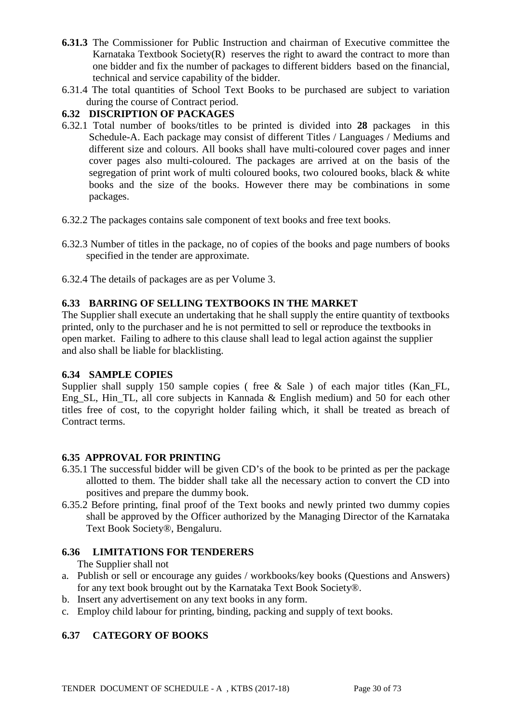- **6.31.3** The Commissioner for Public Instruction and chairman of Executive committee the Karnataka Textbook Society $(R)$  reserves the right to award the contract to more than one bidder and fix the number of packages to different bidders based on the financial, technical and service capability of the bidder.
- 6.31.4 The total quantities of School Text Books to be purchased are subject to variation during the course of Contract period.

# **6.32 DISCRIPTION OF PACKAGES**

- 6.32.1 Total number of books/titles to be printed is divided into **28** packages in this Schedule-A. Each package may consist of different Titles / Languages / Mediums and different size and colours. All books shall have multi-coloured cover pages and inner cover pages also multi-coloured. The packages are arrived at on the basis of the segregation of print work of multi coloured books, two coloured books, black & white books and the size of the books. However there may be combinations in some packages.
- 6.32.2 The packages contains sale component of text books and free text books.
- 6.32.3 Number of titles in the package, no of copies of the books and page numbers of books specified in the tender are approximate.
- 6.32.4 The details of packages are as per Volume 3.

# **6.33 BARRING OF SELLING TEXTBOOKS IN THE MARKET**

The Supplier shall execute an undertaking that he shall supply the entire quantity of textbooks printed, only to the purchaser and he is not permitted to sell or reproduce the textbooks in open market. Failing to adhere to this clause shall lead to legal action against the supplier and also shall be liable for blacklisting.

## **6.34 SAMPLE COPIES**

Supplier shall supply 150 sample copies (free & Sale ) of each major titles (Kan\_FL, Eng\_SL, Hin\_TL, all core subjects in Kannada & English medium) and 50 for each other titles free of cost, to the copyright holder failing which, it shall be treated as breach of Contract terms.

## **6.35 APPROVAL FOR PRINTING**

- 6.35.1 The successful bidder will be given CD's of the book to be printed as per the package allotted to them. The bidder shall take all the necessary action to convert the CD into positives and prepare the dummy book.
- 6.35.2 Before printing, final proof of the Text books and newly printed two dummy copies shall be approved by the Officer authorized by the Managing Director of the Karnataka Text Book Society®, Bengaluru.

# **6.36 LIMITATIONS FOR TENDERERS**

The Supplier shall not

- a. Publish or sell or encourage any guides / workbooks/key books (Questions and Answers) for any text book brought out by the Karnataka Text Book Society®.
- b. Insert any advertisement on any text books in any form.
- c. Employ child labour for printing, binding, packing and supply of text books.

# **6.37 CATEGORY OF BOOKS**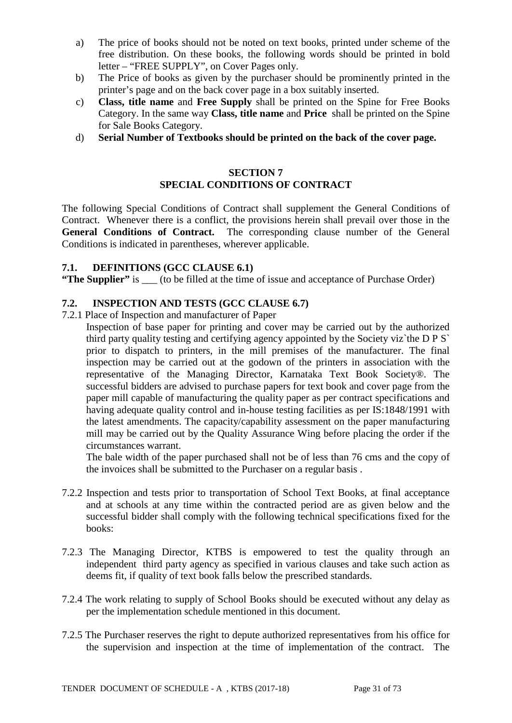- a) The price of books should not be noted on text books, printed under scheme of the free distribution. On these books, the following words should be printed in bold letter – "FREE SUPPLY", on Cover Pages only.
- b) The Price of books as given by the purchaser should be prominently printed in the printer's page and on the back cover page in a box suitably inserted.
- c) **Class, title name** and **Free Supply** shall be printed on the Spine for Free Books Category. In the same way **Class, title name** and **Price** shall be printed on the Spine for Sale Books Category.
- d) **Serial Number of Textbooks should be printed on the back of the cover page.**

#### **SECTION 7 SPECIAL CONDITIONS OF CONTRACT**

The following Special Conditions of Contract shall supplement the General Conditions of Contract. Whenever there is a conflict, the provisions herein shall prevail over those in the **General Conditions of Contract.** The corresponding clause number of the General Conditions is indicated in parentheses, wherever applicable.

#### **7.1. DEFINITIONS (GCC CLAUSE 6.1)**

**"The Supplier"** is \_\_\_ (to be filled at the time of issue and acceptance of Purchase Order)

#### **7.2. INSPECTION AND TESTS (GCC CLAUSE 6.7)**

- 7.2.1 Place of Inspection and manufacturer of Paper
	- Inspection of base paper for printing and cover may be carried out by the authorized third party quality testing and certifying agency appointed by the Society viz`the D P S` prior to dispatch to printers, in the mill premises of the manufacturer. The final inspection may be carried out at the godown of the printers in association with the representative of the Managing Director, Karnataka Text Book Society®. The successful bidders are advised to purchase papers for text book and cover page from the paper mill capable of manufacturing the quality paper as per contract specifications and having adequate quality control and in-house testing facilities as per IS:1848/1991 with the latest amendments. The capacity/capability assessment on the paper manufacturing mill may be carried out by the Quality Assurance Wing before placing the order if the circumstances warrant.

The bale width of the paper purchased shall not be of less than 76 cms and the copy of the invoices shall be submitted to the Purchaser on a regular basis .

- 7.2.2 Inspection and tests prior to transportation of School Text Books, at final acceptance and at schools at any time within the contracted period are as given below and the successful bidder shall comply with the following technical specifications fixed for the books:
- 7.2.3 The Managing Director, KTBS is empowered to test the quality through an independent third party agency as specified in various clauses and take such action as deems fit, if quality of text book falls below the prescribed standards.
- 7.2.4 The work relating to supply of School Books should be executed without any delay as per the implementation schedule mentioned in this document.
- 7.2.5 The Purchaser reserves the right to depute authorized representatives from his office for the supervision and inspection at the time of implementation of the contract. The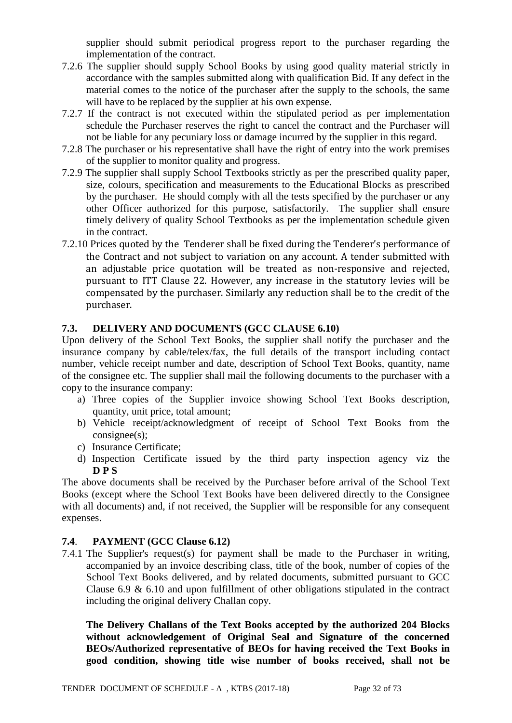supplier should submit periodical progress report to the purchaser regarding the implementation of the contract.

- 7.2.6 The supplier should supply School Books by using good quality material strictly in accordance with the samples submitted along with qualification Bid. If any defect in the material comes to the notice of the purchaser after the supply to the schools, the same will have to be replaced by the supplier at his own expense.
- 7.2.7 If the contract is not executed within the stipulated period as per implementation schedule the Purchaser reserves the right to cancel the contract and the Purchaser will not be liable for any pecuniary loss or damage incurred by the supplier in this regard.
- 7.2.8 The purchaser or his representative shall have the right of entry into the work premises of the supplier to monitor quality and progress.
- 7.2.9 The supplier shall supply School Textbooks strictly as per the prescribed quality paper, size, colours, specification and measurements to the Educational Blocks as prescribed by the purchaser. He should comply with all the tests specified by the purchaser or any other Officer authorized for this purpose, satisfactorily. The supplier shall ensure timely delivery of quality School Textbooks as per the implementation schedule given in the contract.
- 7.2.10 Prices quoted by the Tenderer shall be fixed during the Tenderer's performance of the Contract and not subject to variation on any account. A tender submitted with an adjustable price quotation will be treated as non-responsive and rejected, pursuant to ITT Clause 22. However, any increase in the statutory levies will be compensated by the purchaser. Similarly any reduction shall be to the credit of the purchaser.

## **7.3. DELIVERY AND DOCUMENTS (GCC CLAUSE 6.10)**

Upon delivery of the School Text Books, the supplier shall notify the purchaser and the insurance company by cable/telex/fax, the full details of the transport including contact number, vehicle receipt number and date, description of School Text Books, quantity, name of the consignee etc. The supplier shall mail the following documents to the purchaser with a copy to the insurance company:

- a) Three copies of the Supplier invoice showing School Text Books description, quantity, unit price, total amount;
- b) Vehicle receipt/acknowledgment of receipt of School Text Books from the consignee(s);
- c) Insurance Certificate;
- d) Inspection Certificate issued by the third party inspection agency viz the **D P S**

The above documents shall be received by the Purchaser before arrival of the School Text Books (except where the School Text Books have been delivered directly to the Consignee with all documents) and, if not received, the Supplier will be responsible for any consequent expenses.

## **7.4**. **PAYMENT (GCC Clause 6.12)**

7.4.1 The Supplier's request(s) for payment shall be made to the Purchaser in writing, accompanied by an invoice describing class, title of the book, number of copies of the School Text Books delivered, and by related documents, submitted pursuant to GCC Clause 6.9 & 6.10 and upon fulfillment of other obligations stipulated in the contract including the original delivery Challan copy.

**The Delivery Challans of the Text Books accepted by the authorized 204 Blocks without acknowledgement of Original Seal and Signature of the concerned BEOs/Authorized representative of BEOs for having received the Text Books in good condition, showing title wise number of books received, shall not be**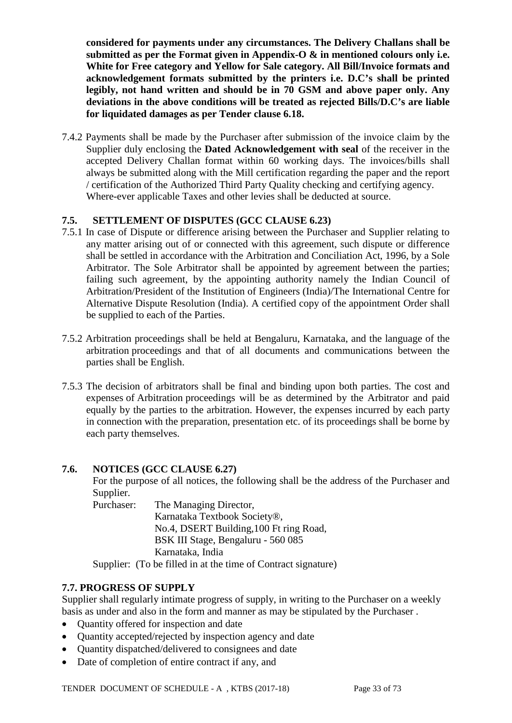**considered for payments under any circumstances. The Delivery Challans shall be submitted as per the Format given in Appendix-O & in mentioned colours only i.e. White for Free category and Yellow for Sale category. All Bill/Invoice formats and acknowledgement formats submitted by the printers i.e. D.C's shall be printed legibly, not hand written and should be in 70 GSM and above paper only. Any deviations in the above conditions will be treated as rejected Bills/D.C's are liable for liquidated damages as per Tender clause 6.18.** 

7.4.2 Payments shall be made by the Purchaser after submission of the invoice claim by the Supplier duly enclosing the **Dated Acknowledgement with seal** of the receiver in the accepted Delivery Challan format within 60 working days. The invoices/bills shall always be submitted along with the Mill certification regarding the paper and the report / certification of the Authorized Third Party Quality checking and certifying agency. Where-ever applicable Taxes and other levies shall be deducted at source.

# **7.5. SETTLEMENT OF DISPUTES (GCC CLAUSE 6.23)**

- 7.5.1 In case of Dispute or difference arising between the Purchaser and Supplier relating to any matter arising out of or connected with this agreement, such dispute or difference shall be settled in accordance with the Arbitration and Conciliation Act, 1996, by a Sole Arbitrator. The Sole Arbitrator shall be appointed by agreement between the parties; failing such agreement, by the appointing authority namely the Indian Council of Arbitration/President of the Institution of Engineers (India)/The International Centre for Alternative Dispute Resolution (India). A certified copy of the appointment Order shall be supplied to each of the Parties.
- 7.5.2 Arbitration proceedings shall be held at Bengaluru, Karnataka, and the language of the arbitration proceedings and that of all documents and communications between the parties shall be English.
- 7.5.3 The decision of arbitrators shall be final and binding upon both parties. The cost and expenses of Arbitration proceedings will be as determined by the Arbitrator and paid equally by the parties to the arbitration. However, the expenses incurred by each party in connection with the preparation, presentation etc. of its proceedings shall be borne by each party themselves.

## **7.6. NOTICES (GCC CLAUSE 6.27)**

For the purpose of all notices, the following shall be the address of the Purchaser and Supplier.

Purchaser: The Managing Director, Karnataka Textbook Society®, No.4, DSERT Building,100 Ft ring Road, BSK III Stage, Bengaluru - 560 085

Karnataka, India

Supplier: (To be filled in at the time of Contract signature)

# **7.7. PROGRESS OF SUPPLY**

Supplier shall regularly intimate progress of supply, in writing to the Purchaser on a weekly basis as under and also in the form and manner as may be stipulated by the Purchaser .

- Quantity offered for inspection and date
- Quantity accepted/rejected by inspection agency and date
- Quantity dispatched/delivered to consignees and date
- Date of completion of entire contract if any, and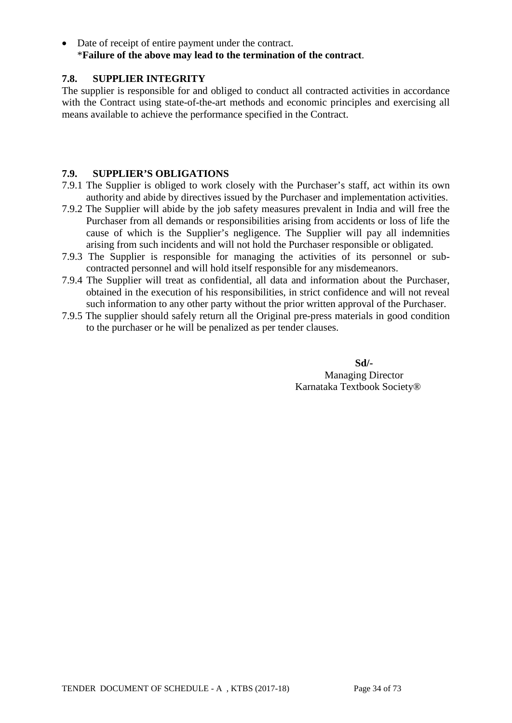• Date of receipt of entire payment under the contract. \***Failure of the above may lead to the termination of the contract**.

# **7.8. SUPPLIER INTEGRITY**

The supplier is responsible for and obliged to conduct all contracted activities in accordance with the Contract using state-of-the-art methods and economic principles and exercising all means available to achieve the performance specified in the Contract.

## **7.9. SUPPLIER'S OBLIGATIONS**

- 7.9.1 The Supplier is obliged to work closely with the Purchaser's staff, act within its own authority and abide by directives issued by the Purchaser and implementation activities.
- 7.9.2 The Supplier will abide by the job safety measures prevalent in India and will free the Purchaser from all demands or responsibilities arising from accidents or loss of life the cause of which is the Supplier's negligence. The Supplier will pay all indemnities arising from such incidents and will not hold the Purchaser responsible or obligated.
- 7.9.3 The Supplier is responsible for managing the activities of its personnel or subcontracted personnel and will hold itself responsible for any misdemeanors.
- 7.9.4 The Supplier will treat as confidential, all data and information about the Purchaser, obtained in the execution of his responsibilities, in strict confidence and will not reveal such information to any other party without the prior written approval of the Purchaser.
- 7.9.5 The supplier should safely return all the Original pre-press materials in good condition to the purchaser or he will be penalized as per tender clauses.

**Sd/-** Managing Director Karnataka Textbook Society®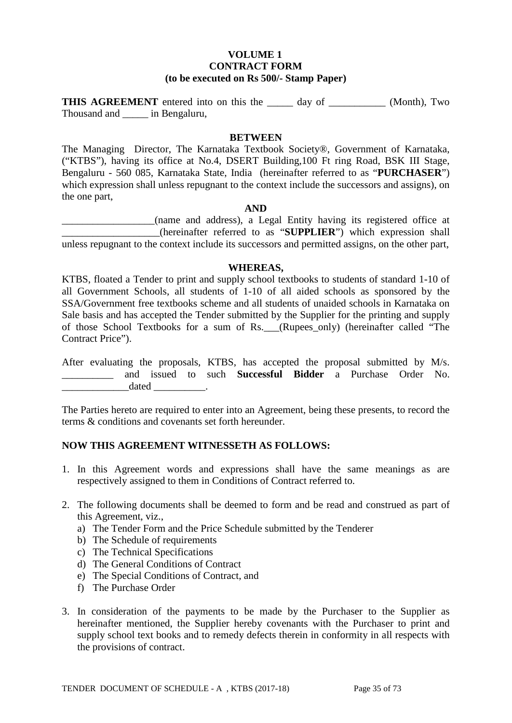#### **VOLUME 1 CONTRACT FORM (to be executed on Rs 500/- Stamp Paper)**

**THIS AGREEMENT** entered into on this the \_\_\_\_\_ day of \_\_\_\_\_\_\_\_\_\_\_ (Month), Two Thousand and \_\_\_\_\_ in Bengaluru,

#### **BETWEEN**

The Managing Director, The Karnataka Textbook Society®, Government of Karnataka, ("KTBS"), having its office at No.4, DSERT Building,100 Ft ring Road, BSK III Stage, Bengaluru - 560 085, Karnataka State, India (hereinafter referred to as "**PURCHASER**") which expression shall unless repugnant to the context include the successors and assigns), on the one part,

#### **AND**

\_\_\_\_\_\_\_\_\_\_\_\_\_\_\_\_\_\_(name and address), a Legal Entity having its registered office at \_\_\_\_\_\_\_\_\_\_\_\_\_\_\_\_\_\_\_(hereinafter referred to as "**SUPPLIER**") which expression shall unless repugnant to the context include its successors and permitted assigns, on the other part,

#### **WHEREAS,**

KTBS, floated a Tender to print and supply school textbooks to students of standard 1-10 of all Government Schools, all students of 1-10 of all aided schools as sponsored by the SSA/Government free textbooks scheme and all students of unaided schools in Karnataka on Sale basis and has accepted the Tender submitted by the Supplier for the printing and supply of those School Textbooks for a sum of Rs. (Rupees only) (hereinafter called "The Contract Price").

After evaluating the proposals, KTBS, has accepted the proposal submitted by M/s. \_\_\_\_\_\_\_\_\_\_ and issued to such **Successful Bidder** a Purchase Order No.  $\qquad \qquad \text{ dated} \qquad \qquad .$ 

The Parties hereto are required to enter into an Agreement, being these presents, to record the terms & conditions and covenants set forth hereunder.

## **NOW THIS AGREEMENT WITNESSETH AS FOLLOWS:**

- 1. In this Agreement words and expressions shall have the same meanings as are respectively assigned to them in Conditions of Contract referred to.
- 2. The following documents shall be deemed to form and be read and construed as part of this Agreement, viz.,
	- a) The Tender Form and the Price Schedule submitted by the Tenderer
	- b) The Schedule of requirements
	- c) The Technical Specifications
	- d) The General Conditions of Contract
	- e) The Special Conditions of Contract, and
	- f) The Purchase Order
- 3. In consideration of the payments to be made by the Purchaser to the Supplier as hereinafter mentioned, the Supplier hereby covenants with the Purchaser to print and supply school text books and to remedy defects therein in conformity in all respects with the provisions of contract.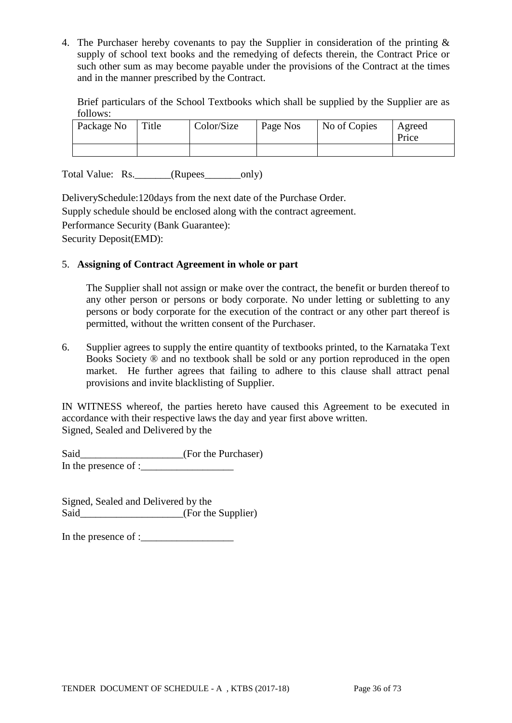4. The Purchaser hereby covenants to pay the Supplier in consideration of the printing & supply of school text books and the remedying of defects therein, the Contract Price or such other sum as may become payable under the provisions of the Contract at the times and in the manner prescribed by the Contract.

Brief particulars of the School Textbooks which shall be supplied by the Supplier are as follows:

| Package No | Title | Color/Size | Page Nos | No of Copies | Agreed<br>Price |
|------------|-------|------------|----------|--------------|-----------------|
|            |       |            |          |              |                 |

Total Value: Rs. (Rupees only)

DeliverySchedule:120days from the next date of the Purchase Order. Supply schedule should be enclosed along with the contract agreement. Performance Security (Bank Guarantee): Security Deposit(EMD):

## 5. **Assigning of Contract Agreement in whole or part**

The Supplier shall not assign or make over the contract, the benefit or burden thereof to any other person or persons or body corporate. No under letting or subletting to any persons or body corporate for the execution of the contract or any other part thereof is permitted, without the written consent of the Purchaser.

6. Supplier agrees to supply the entire quantity of textbooks printed, to the Karnataka Text Books Society ® and no textbook shall be sold or any portion reproduced in the open market. He further agrees that failing to adhere to this clause shall attract penal provisions and invite blacklisting of Supplier.

IN WITNESS whereof, the parties hereto have caused this Agreement to be executed in accordance with their respective laws the day and year first above written. Signed, Sealed and Delivered by the

Said\_\_\_\_\_\_\_\_\_\_\_\_\_\_\_\_\_\_(For the Purchaser) In the presence of :

Signed, Sealed and Delivered by the Said\_\_\_\_\_\_\_\_\_\_\_\_\_\_\_\_\_\_\_\_\_\_\_(For the Supplier)

In the presence of :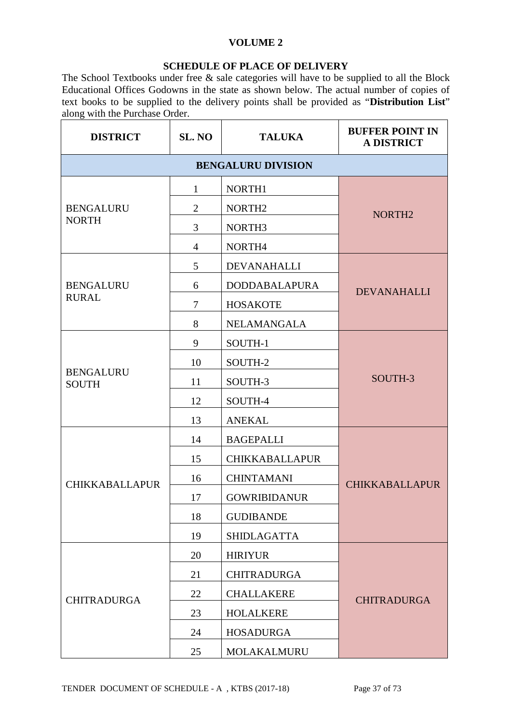### **VOLUME 2**

### **SCHEDULE OF PLACE OF DELIVERY**

The School Textbooks under free & sale categories will have to be supplied to all the Block Educational Offices Godowns in the state as shown below. The actual number of copies of text books to be supplied to the delivery points shall be provided as "**Distribution List**" along with the Purchase Order.

| <b>DISTRICT</b>                  | SL. NO                    | <b>TALUKA</b>         | <b>BUFFER POINT IN</b><br><b>A DISTRICT</b> |  |  |  |  |  |  |
|----------------------------------|---------------------------|-----------------------|---------------------------------------------|--|--|--|--|--|--|
|                                  | <b>BENGALURU DIVISION</b> |                       |                                             |  |  |  |  |  |  |
|                                  | $\mathbf{1}$              | NORTH1                |                                             |  |  |  |  |  |  |
| <b>BENGALURU</b>                 | $\overline{2}$            | NORTH <sub>2</sub>    | NORTH <sub>2</sub>                          |  |  |  |  |  |  |
| <b>NORTH</b>                     | 3                         | NORTH <sub>3</sub>    |                                             |  |  |  |  |  |  |
|                                  | 4                         | NORTH4                |                                             |  |  |  |  |  |  |
|                                  | 5                         | DEVANAHALLI           |                                             |  |  |  |  |  |  |
| <b>BENGALURU</b>                 | 6                         | <b>DODDABALAPURA</b>  | <b>DEVANAHALLI</b>                          |  |  |  |  |  |  |
| <b>RURAL</b>                     | $\overline{7}$            | <b>HOSAKOTE</b>       |                                             |  |  |  |  |  |  |
|                                  | 8                         | <b>NELAMANGALA</b>    |                                             |  |  |  |  |  |  |
|                                  | 9                         | SOUTH-1               |                                             |  |  |  |  |  |  |
|                                  | 10                        | SOUTH-2               |                                             |  |  |  |  |  |  |
| <b>BENGALURU</b><br><b>SOUTH</b> | 11                        | SOUTH-3               | SOUTH-3                                     |  |  |  |  |  |  |
|                                  | 12                        | SOUTH-4               |                                             |  |  |  |  |  |  |
|                                  | 13                        | <b>ANEKAL</b>         |                                             |  |  |  |  |  |  |
|                                  | 14                        | <b>BAGEPALLI</b>      |                                             |  |  |  |  |  |  |
|                                  | 15                        | <b>CHIKKABALLAPUR</b> |                                             |  |  |  |  |  |  |
| <b>CHIKKABALLAPUR</b>            | 16                        | <b>CHINTAMANI</b>     | <b>CHIKKABALLAPUR</b>                       |  |  |  |  |  |  |
|                                  | 17                        | <b>GOWRIBIDANUR</b>   |                                             |  |  |  |  |  |  |
|                                  | 18                        | <b>GUDIBANDE</b>      |                                             |  |  |  |  |  |  |
|                                  | 19                        | <b>SHIDLAGATTA</b>    |                                             |  |  |  |  |  |  |
|                                  | 20                        | <b>HIRIYUR</b>        |                                             |  |  |  |  |  |  |
|                                  | 21                        | <b>CHITRADURGA</b>    |                                             |  |  |  |  |  |  |
| <b>CHITRADURGA</b>               | 22                        | <b>CHALLAKERE</b>     | <b>CHITRADURGA</b>                          |  |  |  |  |  |  |
|                                  | 23                        | <b>HOLALKERE</b>      |                                             |  |  |  |  |  |  |
|                                  | 24                        | <b>HOSADURGA</b>      |                                             |  |  |  |  |  |  |
|                                  | 25                        | MOLAKALMURU           |                                             |  |  |  |  |  |  |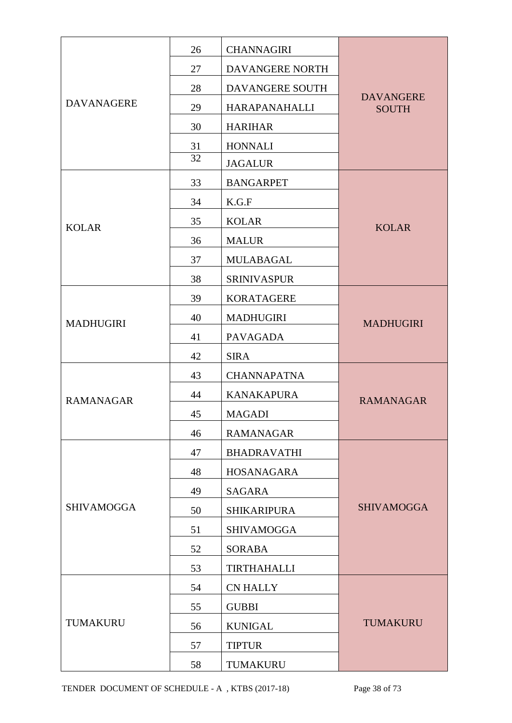|                   | 26 | <b>CHANNAGIRI</b>    |                                  |  |  |
|-------------------|----|----------------------|----------------------------------|--|--|
|                   | 27 | DAVANGERE NORTH      |                                  |  |  |
|                   | 28 | DAVANGERE SOUTH      |                                  |  |  |
| <b>DAVANAGERE</b> | 29 | <b>HARAPANAHALLI</b> | <b>DAVANGERE</b><br><b>SOUTH</b> |  |  |
|                   | 30 | <b>HARIHAR</b>       |                                  |  |  |
|                   | 31 | <b>HONNALI</b>       |                                  |  |  |
|                   | 32 | <b>JAGALUR</b>       |                                  |  |  |
|                   | 33 | <b>BANGARPET</b>     |                                  |  |  |
|                   | 34 | K.G.F                |                                  |  |  |
| <b>KOLAR</b>      | 35 | <b>KOLAR</b>         | <b>KOLAR</b>                     |  |  |
|                   | 36 | <b>MALUR</b>         |                                  |  |  |
|                   | 37 | <b>MULABAGAL</b>     |                                  |  |  |
|                   | 38 | <b>SRINIVASPUR</b>   |                                  |  |  |
|                   | 39 | <b>KORATAGERE</b>    |                                  |  |  |
| <b>MADHUGIRI</b>  | 40 | <b>MADHUGIRI</b>     | <b>MADHUGIRI</b>                 |  |  |
|                   | 41 | <b>PAVAGADA</b>      |                                  |  |  |
|                   | 42 | <b>SIRA</b>          |                                  |  |  |
|                   | 43 | <b>CHANNAPATNA</b>   |                                  |  |  |
| <b>RAMANAGAR</b>  | 44 | <b>KANAKAPURA</b>    | <b>RAMANAGAR</b>                 |  |  |
|                   | 45 | <b>MAGADI</b>        |                                  |  |  |
|                   | 46 | <b>RAMANAGAR</b>     |                                  |  |  |
|                   | 47 | <b>BHADRAVATHI</b>   |                                  |  |  |
|                   | 48 | HOSANAGARA           |                                  |  |  |
|                   | 49 | <b>SAGARA</b>        |                                  |  |  |
| <b>SHIVAMOGGA</b> | 50 | <b>SHIKARIPURA</b>   | <b>SHIVAMOGGA</b>                |  |  |
|                   | 51 | <b>SHIVAMOGGA</b>    |                                  |  |  |
|                   | 52 | <b>SORABA</b>        |                                  |  |  |
|                   | 53 | <b>TIRTHAHALLI</b>   |                                  |  |  |
|                   | 54 | <b>CN HALLY</b>      |                                  |  |  |
|                   | 55 | <b>GUBBI</b>         |                                  |  |  |
| <b>TUMAKURU</b>   | 56 | <b>KUNIGAL</b>       | <b>TUMAKURU</b>                  |  |  |
|                   | 57 | <b>TIPTUR</b>        |                                  |  |  |
|                   | 58 | TUMAKURU             |                                  |  |  |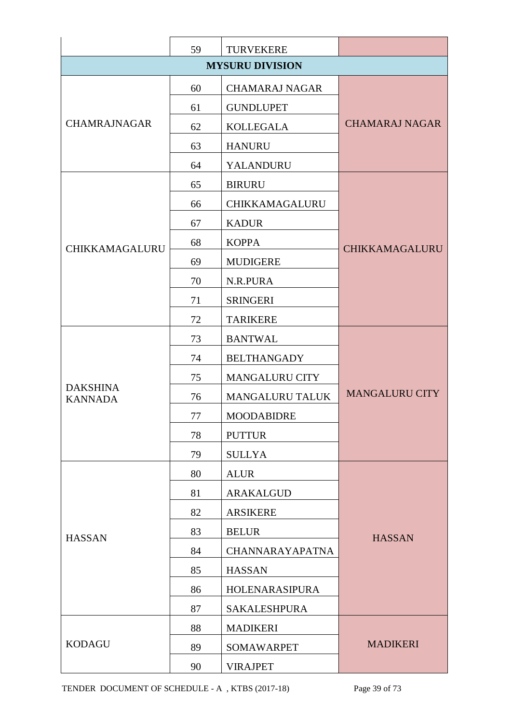|                                   | 59 | <b>TURVEKERE</b>       |                       |  |  |
|-----------------------------------|----|------------------------|-----------------------|--|--|
|                                   |    |                        |                       |  |  |
|                                   | 60 | <b>CHAMARAJ NAGAR</b>  |                       |  |  |
|                                   | 61 | <b>GUNDLUPET</b>       |                       |  |  |
| <b>CHAMRAJNAGAR</b>               | 62 | <b>KOLLEGALA</b>       | <b>CHAMARAJ NAGAR</b> |  |  |
|                                   | 63 | <b>HANURU</b>          |                       |  |  |
|                                   | 64 | YALANDURU              |                       |  |  |
|                                   | 65 | <b>BIRURU</b>          |                       |  |  |
|                                   | 66 | CHIKKAMAGALURU         |                       |  |  |
|                                   | 67 | <b>KADUR</b>           |                       |  |  |
| <b>CHIKKAMAGALURU</b>             | 68 | <b>KOPPA</b>           | CHIKKAMAGALURU        |  |  |
|                                   | 69 | <b>MUDIGERE</b>        |                       |  |  |
|                                   | 70 | N.R.PURA               |                       |  |  |
|                                   | 71 | <b>SRINGERI</b>        |                       |  |  |
|                                   | 72 | <b>TARIKERE</b>        |                       |  |  |
|                                   | 73 | <b>BANTWAL</b>         |                       |  |  |
|                                   | 74 | <b>BELTHANGADY</b>     |                       |  |  |
|                                   | 75 | <b>MANGALURU CITY</b>  |                       |  |  |
| <b>DAKSHINA</b><br><b>KANNADA</b> | 76 | <b>MANGALURU TALUK</b> | <b>MANGALURU CITY</b> |  |  |
|                                   | 77 | <b>MOODABIDRE</b>      |                       |  |  |
|                                   | 78 | <b>PUTTUR</b>          |                       |  |  |
|                                   | 79 | <b>SULLYA</b>          |                       |  |  |
|                                   | 80 | <b>ALUR</b>            |                       |  |  |
|                                   | 81 | ARAKALGUD              |                       |  |  |
|                                   | 82 | <b>ARSIKERE</b>        |                       |  |  |
| <b>HASSAN</b>                     | 83 | <b>BELUR</b>           | <b>HASSAN</b>         |  |  |
|                                   | 84 | <b>CHANNARAYAPATNA</b> |                       |  |  |
|                                   | 85 | <b>HASSAN</b>          |                       |  |  |
|                                   | 86 | HOLENARASIPURA         |                       |  |  |
|                                   | 87 | <b>SAKALESHPURA</b>    |                       |  |  |
|                                   | 88 | <b>MADIKERI</b>        |                       |  |  |
| <b>KODAGU</b>                     | 89 | <b>SOMAWARPET</b>      | <b>MADIKERI</b>       |  |  |
|                                   | 90 | <b>VIRAJPET</b>        |                       |  |  |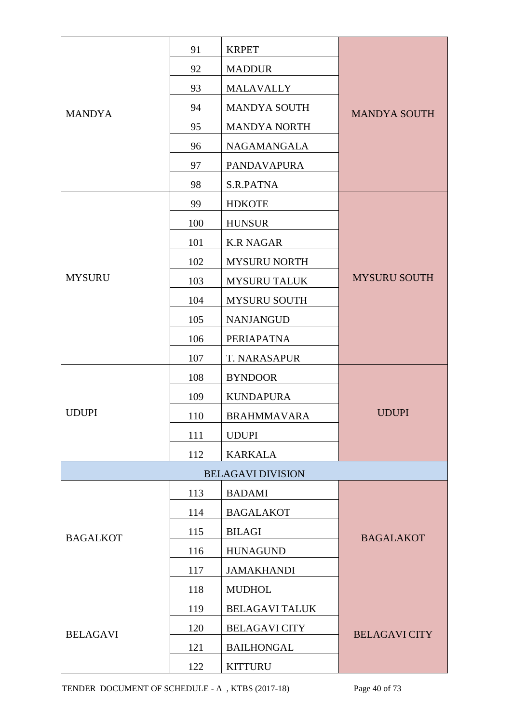|                 | 91  | <b>KRPET</b>             |                      |  |  |
|-----------------|-----|--------------------------|----------------------|--|--|
|                 | 92  | <b>MADDUR</b>            |                      |  |  |
|                 | 93  | <b>MALAVALLY</b>         |                      |  |  |
| <b>MANDYA</b>   | 94  | <b>MANDYA SOUTH</b>      | <b>MANDYA SOUTH</b>  |  |  |
|                 | 95  | <b>MANDYA NORTH</b>      |                      |  |  |
|                 | 96  | NAGAMANGALA              |                      |  |  |
|                 | 97  | <b>PANDAVAPURA</b>       |                      |  |  |
|                 | 98  | S.R.PATNA                |                      |  |  |
|                 | 99  | <b>HDKOTE</b>            |                      |  |  |
|                 | 100 | <b>HUNSUR</b>            |                      |  |  |
|                 | 101 | <b>K.R NAGAR</b>         |                      |  |  |
|                 | 102 | <b>MYSURU NORTH</b>      |                      |  |  |
| <b>MYSURU</b>   | 103 | <b>MYSURU TALUK</b>      | <b>MYSURU SOUTH</b>  |  |  |
|                 | 104 | <b>MYSURU SOUTH</b>      |                      |  |  |
|                 | 105 | <b>NANJANGUD</b>         |                      |  |  |
|                 | 106 | PERIAPATNA               |                      |  |  |
|                 | 107 | T. NARASAPUR             |                      |  |  |
|                 | 108 | <b>BYNDOOR</b>           |                      |  |  |
|                 | 109 | <b>KUNDAPURA</b>         | <b>UDUPI</b>         |  |  |
| <b>UDUPI</b>    | 110 | <b>BRAHMMAVARA</b>       |                      |  |  |
|                 | 111 | <b>UDUPI</b>             |                      |  |  |
|                 | 112 | <b>KARKALA</b>           |                      |  |  |
|                 |     | <b>BELAGAVI DIVISION</b> |                      |  |  |
|                 | 113 | <b>BADAMI</b>            |                      |  |  |
|                 | 114 | <b>BAGALAKOT</b>         |                      |  |  |
| <b>BAGALKOT</b> | 115 | <b>BILAGI</b>            | <b>BAGALAKOT</b>     |  |  |
|                 | 116 | <b>HUNAGUND</b>          |                      |  |  |
|                 | 117 | <b>JAMAKHANDI</b>        |                      |  |  |
|                 | 118 | <b>MUDHOL</b>            |                      |  |  |
|                 | 119 | <b>BELAGAVI TALUK</b>    |                      |  |  |
| <b>BELAGAVI</b> | 120 | <b>BELAGAVI CITY</b>     | <b>BELAGAVI CITY</b> |  |  |
|                 | 121 | <b>BAILHONGAL</b>        |                      |  |  |
|                 | 122 | <b>KITTURU</b>           |                      |  |  |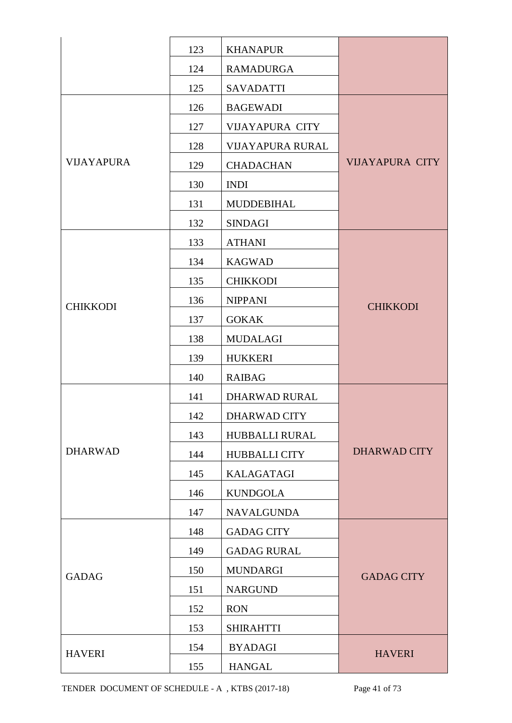|                   | 123 | <b>KHANAPUR</b>         |                        |
|-------------------|-----|-------------------------|------------------------|
|                   | 124 | <b>RAMADURGA</b>        |                        |
|                   | 125 | <b>SAVADATTI</b>        |                        |
|                   | 126 | <b>BAGEWADI</b>         |                        |
|                   | 127 | <b>VIJAYAPURA CITY</b>  |                        |
|                   | 128 | <b>VIJAYAPURA RURAL</b> |                        |
| <b>VIJAYAPURA</b> | 129 | <b>CHADACHAN</b>        | <b>VIJAYAPURA CITY</b> |
|                   | 130 | <b>INDI</b>             |                        |
|                   | 131 | <b>MUDDEBIHAL</b>       |                        |
|                   | 132 | <b>SINDAGI</b>          |                        |
|                   | 133 | <b>ATHANI</b>           |                        |
|                   | 134 | <b>KAGWAD</b>           |                        |
|                   | 135 | <b>CHIKKODI</b>         |                        |
| <b>CHIKKODI</b>   | 136 | <b>NIPPANI</b>          | <b>CHIKKODI</b>        |
|                   | 137 | <b>GOKAK</b>            |                        |
|                   | 138 | <b>MUDALAGI</b>         |                        |
|                   | 139 | <b>HUKKERI</b>          |                        |
|                   | 140 | <b>RAIBAG</b>           |                        |
|                   | 141 | <b>DHARWAD RURAL</b>    |                        |
|                   | 142 | DHARWAD CITY            |                        |
|                   | 143 | HUBBALLI RURAL          |                        |
| <b>DHARWAD</b>    | 144 | <b>HUBBALLI CITY</b>    | <b>DHARWAD CITY</b>    |
|                   | 145 | <b>KALAGATAGI</b>       |                        |
|                   | 146 | <b>KUNDGOLA</b>         |                        |
|                   | 147 | <b>NAVALGUNDA</b>       |                        |
|                   | 148 | <b>GADAG CITY</b>       |                        |
|                   | 149 | <b>GADAG RURAL</b>      |                        |
| <b>GADAG</b>      | 150 | <b>MUNDARGI</b>         | <b>GADAG CITY</b>      |
|                   | 151 | <b>NARGUND</b>          |                        |
|                   | 152 | <b>RON</b>              |                        |
|                   | 153 | <b>SHIRAHTTI</b>        |                        |
| <b>HAVERI</b>     | 154 | <b>BYADAGI</b>          | <b>HAVERI</b>          |
|                   | 155 | <b>HANGAL</b>           |                        |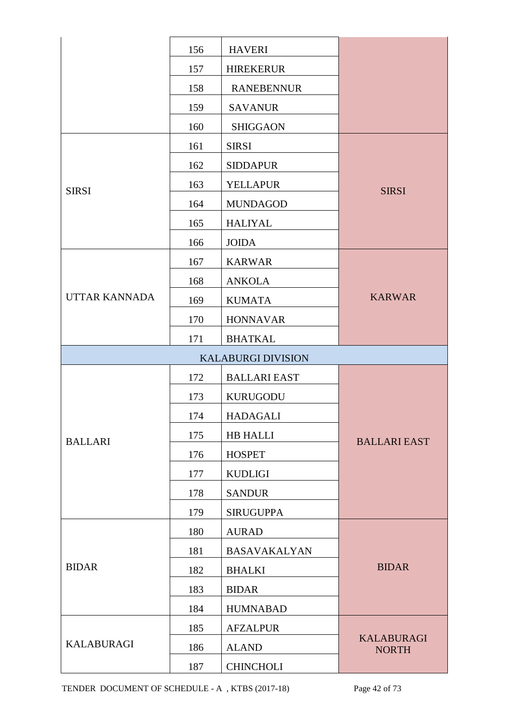|                      | 156 | <b>HAVERI</b>             |                                   |  |  |
|----------------------|-----|---------------------------|-----------------------------------|--|--|
|                      | 157 | <b>HIREKERUR</b>          |                                   |  |  |
|                      | 158 | <b>RANEBENNUR</b>         |                                   |  |  |
|                      | 159 | <b>SAVANUR</b>            |                                   |  |  |
|                      | 160 | <b>SHIGGAON</b>           |                                   |  |  |
|                      | 161 | <b>SIRSI</b>              |                                   |  |  |
|                      | 162 | <b>SIDDAPUR</b>           |                                   |  |  |
| <b>SIRSI</b>         | 163 | <b>YELLAPUR</b>           | <b>SIRSI</b>                      |  |  |
|                      | 164 | <b>MUNDAGOD</b>           |                                   |  |  |
|                      | 165 | <b>HALIYAL</b>            |                                   |  |  |
|                      | 166 | <b>JOIDA</b>              |                                   |  |  |
|                      | 167 | <b>KARWAR</b>             |                                   |  |  |
|                      | 168 | <b>ANKOLA</b>             |                                   |  |  |
| <b>UTTAR KANNADA</b> | 169 | <b>KUMATA</b>             | <b>KARWAR</b>                     |  |  |
|                      | 170 | <b>HONNAVAR</b>           |                                   |  |  |
|                      | 171 | <b>BHATKAL</b>            |                                   |  |  |
|                      |     | <b>KALABURGI DIVISION</b> |                                   |  |  |
|                      | 172 | <b>BALLARI EAST</b>       |                                   |  |  |
|                      | 173 | <b>KURUGODU</b>           |                                   |  |  |
|                      | 174 | <b>HADAGALI</b>           | <b>BALLARI EAST</b>               |  |  |
| <b>BALLARI</b>       | 175 | <b>HB HALLI</b>           |                                   |  |  |
|                      | 176 | <b>HOSPET</b>             |                                   |  |  |
|                      | 177 | <b>KUDLIGI</b>            |                                   |  |  |
|                      | 178 | <b>SANDUR</b>             |                                   |  |  |
|                      | 179 | <b>SIRUGUPPA</b>          |                                   |  |  |
|                      | 180 | <b>AURAD</b>              |                                   |  |  |
|                      | 181 | <b>BASAVAKALYAN</b>       |                                   |  |  |
| <b>BIDAR</b>         | 182 | <b>BHALKI</b>             | <b>BIDAR</b>                      |  |  |
|                      | 183 | <b>BIDAR</b>              |                                   |  |  |
|                      | 184 | <b>HUMNABAD</b>           |                                   |  |  |
|                      | 185 | <b>AFZALPUR</b>           |                                   |  |  |
| <b>KALABURAGI</b>    | 186 | <b>ALAND</b>              | <b>KALABURAGI</b><br><b>NORTH</b> |  |  |
|                      | 187 | <b>CHINCHOLI</b>          |                                   |  |  |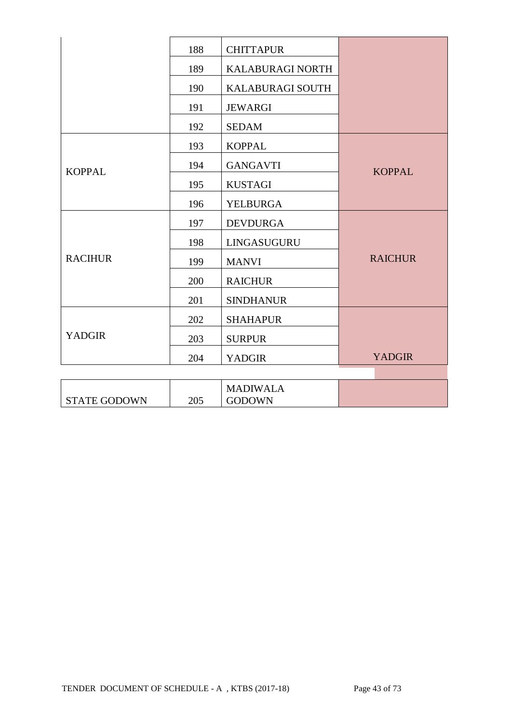|                     | 188 | <b>CHITTAPUR</b>                 |                |
|---------------------|-----|----------------------------------|----------------|
|                     | 189 | KALABURAGI NORTH                 |                |
|                     | 190 | KALABURAGI SOUTH                 |                |
|                     | 191 | <b>JEWARGI</b>                   |                |
|                     | 192 | <b>SEDAM</b>                     |                |
|                     | 193 | <b>KOPPAL</b>                    |                |
| <b>KOPPAL</b>       | 194 | <b>GANGAVTI</b>                  | <b>KOPPAL</b>  |
|                     | 195 | <b>KUSTAGI</b>                   |                |
|                     | 196 | YELBURGA                         |                |
|                     | 197 | <b>DEVDURGA</b>                  |                |
|                     | 198 | LINGASUGURU                      |                |
| <b>RACIHUR</b>      | 199 | <b>MANVI</b>                     | <b>RAICHUR</b> |
|                     | 200 | <b>RAICHUR</b>                   |                |
|                     | 201 | <b>SINDHANUR</b>                 |                |
|                     | 202 | <b>SHAHAPUR</b>                  |                |
| <b>YADGIR</b>       | 203 | <b>SURPUR</b>                    |                |
|                     | 204 | <b>YADGIR</b>                    | <b>YADGIR</b>  |
|                     |     |                                  |                |
| <b>STATE GODOWN</b> | 205 | <b>MADIWALA</b><br><b>GODOWN</b> |                |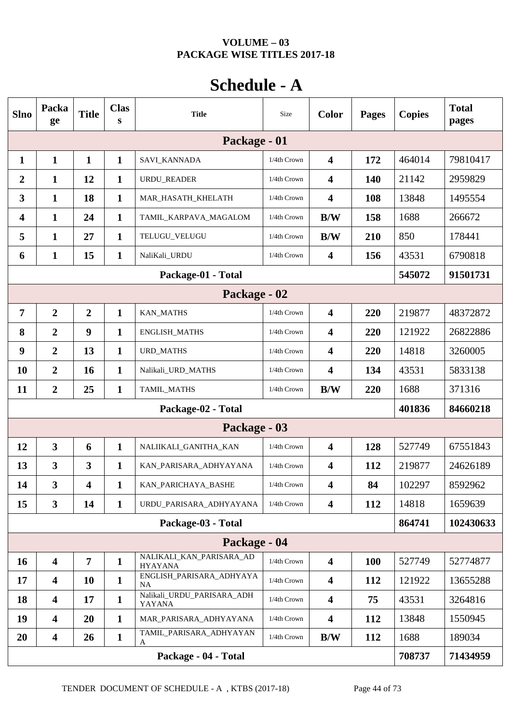## **VOLUME – 03 PACKAGE WISE TITLES 2017-18**

# **Schedule - A**

| <b>Slno</b>  | Packa<br>ge                                | <b>Title</b>            | <b>Clas</b><br>S | <b>Title</b>                               | Size           | <b>Color</b>            | <b>Pages</b> | <b>Copies</b> | <b>Total</b><br>pages |  |
|--------------|--------------------------------------------|-------------------------|------------------|--------------------------------------------|----------------|-------------------------|--------------|---------------|-----------------------|--|
|              |                                            |                         |                  | Package - 01                               |                |                         |              |               |                       |  |
| $\mathbf{1}$ | $\mathbf{1}$                               | $\mathbf{1}$            | $\mathbf{1}$     | SAVI_KANNADA                               | 1/4th Crown    | $\overline{\mathbf{4}}$ | 172          | 464014        | 79810417              |  |
| 2            | 1                                          | 12                      | $\mathbf{1}$     | URDU_READER                                | 1/4th Crown    | $\overline{\mathbf{4}}$ | 140          | 21142         | 2959829               |  |
| 3            | 1                                          | 18                      | $\mathbf{1}$     | MAR_HASATH_KHELATH                         | 1/4th Crown    | $\overline{\mathbf{4}}$ | 108          | 13848         | 1495554               |  |
| 4            | $\mathbf{1}$                               | 24                      | $\mathbf{1}$     | TAMIL_KARPAVA_MAGALOM                      | 1/4th Crown    | B/W                     | 158          | 1688          | 266672                |  |
| 5            | 1                                          | 27                      | $\mathbf{1}$     | TELUGU_VELUGU                              | 1/4th Crown    | B/W                     | 210          | 850           | 178441                |  |
| 6            | 1                                          | 15                      | 1                | NaliKali_URDU                              | 1/4th Crown    | $\overline{\mathbf{4}}$ | 156          | 43531         | 6790818               |  |
|              |                                            |                         |                  | Package-01 - Total                         |                |                         |              | 545072        | 91501731              |  |
|              | Package - 02                               |                         |                  |                                            |                |                         |              |               |                       |  |
| 7            | $\overline{2}$                             | $\overline{2}$          | $\mathbf{1}$     | <b>KAN_MATHS</b>                           | 1/4th Crown    | $\overline{\mathbf{4}}$ | 220          | 219877        | 48372872              |  |
| 8            | $\overline{2}$                             | $\boldsymbol{9}$        | $\mathbf{1}$     | <b>ENGLISH_MATHS</b>                       | 1/4th Crown    | $\overline{\mathbf{4}}$ | 220          | 121922        | 26822886              |  |
| 9            | $\overline{2}$                             | 13                      | $\mathbf{1}$     | <b>URD_MATHS</b>                           | 1/4th Crown    | $\overline{\mathbf{4}}$ | 220          | 14818         | 3260005               |  |
| <b>10</b>    | $\overline{2}$                             | 16                      | $\mathbf{1}$     | Nalikali_URD_MATHS                         | 1/4th Crown    | $\overline{\mathbf{4}}$ | 134          | 43531         | 5833138               |  |
| 11           | $\overline{2}$                             | 25                      | $\mathbf{1}$     | TAMIL_MATHS                                | 1/4th Crown    | B/W                     | 220          | 1688          | 371316                |  |
|              |                                            |                         |                  | Package-02 - Total                         |                |                         |              | 401836        | 84660218              |  |
|              |                                            |                         |                  | Package - 03                               |                |                         |              |               |                       |  |
| 12           | $\mathbf{3}$                               | 6                       | $\mathbf{1}$     | NALIIKALI_GANITHA_KAN                      | 1/4th Crown    | $\overline{\mathbf{4}}$ | 128          | 527749        | 67551843              |  |
| 13           | $\overline{\mathbf{3}}$                    | $\overline{\mathbf{3}}$ | 1                | KAN_PARISARA_ADHYAYANA                     | 1/4th Crown    | $\overline{\mathbf{4}}$ | 112          | 219877        | 24626189              |  |
| 14           | $\overline{\mathbf{3}}$                    | $\overline{\mathbf{4}}$ | $\mathbf{1}$     | KAN_PARICHAYA_BASHE                        | 1/4th Crown    | $\overline{\mathbf{4}}$ | 84           | 102297        | 8592962               |  |
| 15           | $\mathbf{3}$                               | 14                      | $\mathbf{1}$     | URDU_PARISARA_ADHYAYANA                    | 1/4th Crown    | $\overline{\mathbf{4}}$ | 112          | 14818         | 1659639               |  |
|              |                                            |                         |                  | Package-03 - Total                         |                |                         |              | 864741        | 102430633             |  |
|              |                                            |                         |                  | Package - 04                               |                |                         |              |               |                       |  |
| <b>16</b>    | $\overline{\mathbf{4}}$                    | $\overline{7}$          | $\mathbf{1}$     | NALIKALI_KAN_PARISARA_AD<br><b>HYAYANA</b> | 1/4th Crown    | $\overline{\mathbf{4}}$ | <b>100</b>   | 527749        | 52774877              |  |
| 17           | $\overline{\mathbf{4}}$                    | 10                      | $\mathbf{1}$     | ENGLISH_PARISARA_ADHYAYA<br><b>NA</b>      | 1/4th Crown    | $\overline{\mathbf{4}}$ | 112          | 121922        | 13655288              |  |
| 18           | $\overline{\mathbf{4}}$                    | 17                      | $\mathbf{1}$     | Nalikali_URDU_PARISARA_ADH<br>YAYANA       | $1/4$ th Crown | $\overline{\mathbf{4}}$ | 75           | 43531         | 3264816               |  |
| 19           | $\overline{\mathbf{4}}$                    | 20                      | $\mathbf{1}$     | MAR_PARISARA_ADHYAYANA                     | 1/4th Crown    | $\overline{\mathbf{4}}$ | 112          | 13848         | 1550945               |  |
| 20           | $\overline{\mathbf{4}}$                    | 26                      | $\mathbf{1}$     | TAMIL_PARISARA_ADHYAYAN<br>A               | 1/4th Crown    | B/W                     | 112          | 1688          | 189034                |  |
|              | Package - 04 - Total<br>708737<br>71434959 |                         |                  |                                            |                |                         |              |               |                       |  |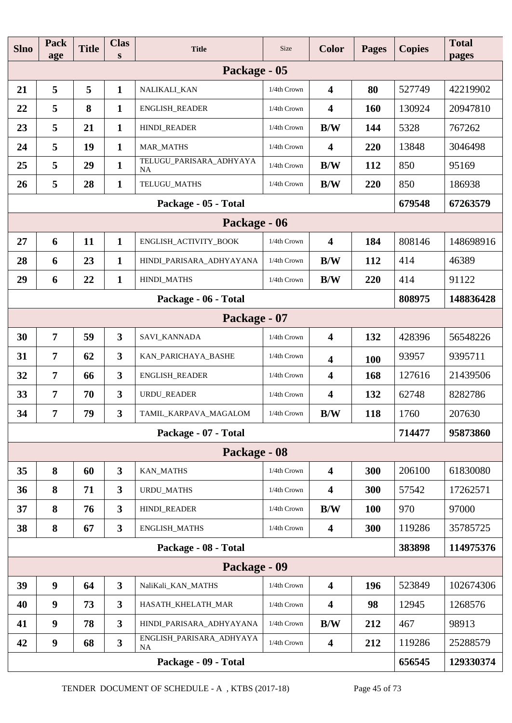| <b>Slno</b>          | <b>Pack</b><br>age | <b>Title</b> | <b>Clas</b><br>S        | <b>Title</b>                          | <b>Size</b>    | <b>Color</b>            | <b>Pages</b> | <b>Copies</b> | <b>Total</b><br>pages |
|----------------------|--------------------|--------------|-------------------------|---------------------------------------|----------------|-------------------------|--------------|---------------|-----------------------|
|                      |                    |              |                         | Package - 05                          |                |                         |              |               |                       |
| 21                   | 5                  | 5            | $\mathbf{1}$            | NALIKALI_KAN                          | 1/4th Crown    | $\overline{\mathbf{4}}$ | 80           | 527749        | 42219902              |
| 22                   | 5                  | 8            | $\mathbf{1}$            | <b>ENGLISH_READER</b>                 | 1/4th Crown    | $\overline{\mathbf{4}}$ | 160          | 130924        | 20947810              |
| 23                   | 5                  | 21           | $\mathbf{1}$            | HINDI_READER                          | $1/4$ th Crown | B/W                     | 144          | 5328          | 767262                |
| 24                   | 5                  | 19           | $\mathbf{1}$            | <b>MAR_MATHS</b>                      | 1/4th Crown    | $\overline{\mathbf{4}}$ | 220          | 13848         | 3046498               |
| 25                   | 5                  | 29           | $\mathbf{1}$            | TELUGU_PARISARA_ADHYAYA<br><b>NA</b>  | 1/4th Crown    | B/W                     | 112          | 850           | 95169                 |
| 26                   | 5                  | 28           | $\mathbf{1}$            | TELUGU_MATHS                          | $1/4$ th Crown | B/W                     | 220          | 850           | 186938                |
|                      |                    |              |                         | Package - 05 - Total                  |                |                         |              | 679548        | 67263579              |
|                      | Package - 06       |              |                         |                                       |                |                         |              |               |                       |
| 27                   | 6                  | 11           | $\mathbf{1}$            | ENGLISH_ACTIVITY_BOOK                 | 1/4th Crown    | $\overline{\mathbf{4}}$ | 184          | 808146        | 148698916             |
| 28                   | 6                  | 23           | $\mathbf{1}$            | HINDI_PARISARA_ADHYAYANA              | 1/4th Crown    | B/W                     | 112          | 414           | 46389                 |
| 29                   | 6                  | 22           | $\mathbf{1}$            | HINDI_MATHS                           | 1/4th Crown    | B/W                     | 220          | 414           | 91122                 |
| Package - 06 - Total |                    |              |                         |                                       |                |                         |              |               | 148836428             |
|                      |                    |              |                         | Package - 07                          |                |                         |              |               |                       |
| 30                   | $\overline{7}$     | 59           | $\overline{3}$          | SAVI_KANNADA                          | 1/4th Crown    | $\overline{\mathbf{4}}$ | 132          | 428396        | 56548226              |
| 31                   | $\overline{7}$     | 62           | $\overline{\mathbf{3}}$ | KAN_PARICHAYA_BASHE                   | 1/4th Crown    | $\overline{\mathbf{4}}$ | 100          | 93957         | 9395711               |
| 32                   | $\overline{7}$     | 66           | $\overline{\mathbf{3}}$ | ENGLISH_READER                        | $1/4$ th Crown | $\overline{\mathbf{4}}$ | 168          | 127616        | 21439506              |
| 33                   | $\overline{7}$     | 70           | $\overline{\mathbf{3}}$ | <b>URDU_READER</b>                    | 1/4th Crown    | $\overline{\mathbf{4}}$ | 132          | 62748         | 8282786               |
| 34                   | 7                  | 79           | 3                       | TAMIL KARPAVA MAGALOM                 | 1/4th Crown    | B/W                     | 118          | 1760          | 207630                |
|                      |                    |              |                         | Package - 07 - Total                  |                |                         |              | 714477        | 95873860              |
|                      |                    |              |                         | Package - 08                          |                |                         |              |               |                       |
| 35                   | 8                  | 60           | $\overline{\mathbf{3}}$ | <b>KAN_MATHS</b>                      | 1/4th Crown    | $\overline{\mathbf{4}}$ | 300          | 206100        | 61830080              |
| 36                   | 8                  | 71           | $\overline{\mathbf{3}}$ | URDU_MATHS                            | 1/4th Crown    | $\overline{\mathbf{4}}$ | 300          | 57542         | 17262571              |
| 37                   | 8                  | 76           | $\mathbf{3}$            | HINDI_READER                          | 1/4th Crown    | B/W                     | <b>100</b>   | 970           | 97000                 |
| 38                   | 8                  | 67           | $\mathbf{3}$            | ENGLISH_MATHS                         | $1/4$ th Crown | $\overline{\mathbf{4}}$ | 300          | 119286        | 35785725              |
|                      |                    |              |                         | Package - 08 - Total                  |                |                         |              | 383898        | 114975376             |
|                      |                    |              |                         | Package - 09                          |                |                         |              |               |                       |
| 39                   | $\boldsymbol{9}$   | 64           | $\overline{\mathbf{3}}$ | NaliKali_KAN_MATHS                    | 1/4th Crown    | $\overline{\mathbf{4}}$ | 196          | 523849        | 102674306             |
| 40                   | $\boldsymbol{9}$   | 73           | $\overline{\mathbf{3}}$ | HASATH_KHELATH_MAR                    | 1/4th Crown    | $\overline{\mathbf{4}}$ | 98           | 12945         | 1268576               |
| 41                   | $\boldsymbol{9}$   | 78           | $\overline{\mathbf{3}}$ | HINDI_PARISARA_ADHYAYANA              | 1/4th Crown    | B/W                     | 212          | 467           | 98913                 |
| 42                   | $\boldsymbol{9}$   | 68           | $\mathbf{3}$            | ENGLISH_PARISARA_ADHYAYA<br><b>NA</b> | $1/4$ th Crown | $\overline{\mathbf{4}}$ | 212          | 119286        | 25288579              |
|                      |                    |              |                         | Package - 09 - Total                  |                |                         |              | 656545        | 129330374             |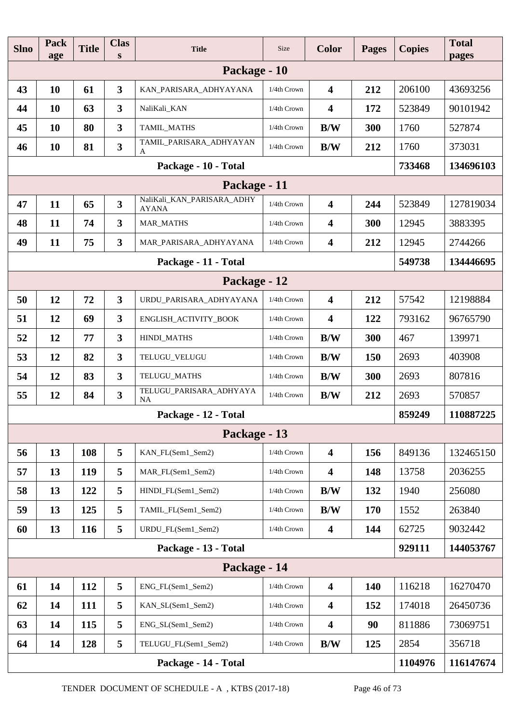| <b>Slno</b> | Pack<br>age | <b>Title</b> | <b>Clas</b><br>S        | <b>Title</b>                               | <b>Size</b> | <b>Color</b>            | <b>Pages</b> | <b>Copies</b> | <b>Total</b><br>pages |
|-------------|-------------|--------------|-------------------------|--------------------------------------------|-------------|-------------------------|--------------|---------------|-----------------------|
|             |             |              |                         | Package - 10                               |             |                         |              |               |                       |
| 43          | 10          | 61           | $\overline{\mathbf{3}}$ | KAN_PARISARA_ADHYAYANA                     | 1/4th Crown | $\overline{\mathbf{4}}$ | 212          | 206100        | 43693256              |
| 44          | 10          | 63           | $\mathbf{3}$            | NaliKali_KAN                               | 1/4th Crown | $\overline{\mathbf{4}}$ | 172          | 523849        | 90101942              |
| 45          | 10          | 80           | $\mathbf{3}$            | TAMIL_MATHS                                | 1/4th Crown | B/W                     | 300          | 1760          | 527874                |
| 46          | 10          | 81           | $\overline{\mathbf{3}}$ | TAMIL_PARISARA_ADHYAYAN<br>A               | 1/4th Crown | B/W                     | 212          | 1760          | 373031                |
|             |             |              |                         | Package - 10 - Total                       |             |                         |              | 733468        | 134696103             |
|             |             |              |                         | Package - 11                               |             |                         |              |               |                       |
| 47          | 11          | 65           | $\mathbf{3}$            | NaliKali_KAN_PARISARA_ADHY<br><b>AYANA</b> | 1/4th Crown | $\overline{\mathbf{4}}$ | 244          | 523849        | 127819034             |
| 48          | 11          | 74           | $\mathbf{3}$            | <b>MAR_MATHS</b>                           | 1/4th Crown | $\overline{\mathbf{4}}$ | 300          | 12945         | 3883395               |
| 49          | 11          | 75           | $\mathbf{3}$            | MAR PARISARA ADHYAYANA                     | 1/4th Crown | $\overline{\mathbf{4}}$ | 212          | 12945         | 2744266               |
|             |             |              |                         | Package - 11 - Total                       |             |                         |              | 549738        | 134446695             |
|             |             |              |                         | Package - 12                               |             |                         |              |               |                       |
| 50          | 12          | 72           | 3                       | URDU_PARISARA_ADHYAYANA                    | 1/4th Crown | $\overline{\mathbf{4}}$ | 212          | 57542         | 12198884              |
| 51          | 12          | 69           | $\overline{\mathbf{3}}$ | ENGLISH_ACTIVITY_BOOK                      | 1/4th Crown | $\overline{\mathbf{4}}$ | 122          | 793162        | 96765790              |
| 52          | 12          | 77           | $\overline{\mathbf{3}}$ | HINDI_MATHS                                | 1/4th Crown | B/W                     | 300          | 467           | 139971                |
| 53          | 12          | 82           | $\mathbf{3}$            | TELUGU_VELUGU                              | 1/4th Crown | B/W                     | 150          | 2693          | 403908                |
| 54          | 12          | 83           | $\mathbf{3}$            | TELUGU_MATHS                               | 1/4th Crown | B/W                     | 300          | 2693          | 807816                |
| 55          | 12          | 84           | $\overline{\mathbf{3}}$ | TELUGU_PARISARA_ADHYAYA<br>NA              | 1/4th Crown | B/W                     | 212          | 2693          | 570857                |
|             |             |              |                         | Package - 12 - Total                       |             |                         |              | 859249        | 110887225             |
|             |             |              |                         | Package - 13                               |             |                         |              |               |                       |
| 56          | 13          | 108          | 5                       | KAN_FL(Sem1_Sem2)                          | 1/4th Crown | $\overline{\mathbf{4}}$ | 156          | 849136        | 132465150             |
| 57          | 13          | 119          | 5                       | MAR_FL(Sem1_Sem2)                          | 1/4th Crown | $\overline{\mathbf{4}}$ | 148          | 13758         | 2036255               |
| 58          | 13          | 122          | 5                       | HINDI_FL(Sem1_Sem2)                        | 1/4th Crown | B/W                     | 132          | 1940          | 256080                |
| 59          | 13          | 125          | 5                       | TAMIL_FL(Sem1_Sem2)                        | 1/4th Crown | B/W                     | 170          | 1552          | 263840                |
| 60          | 13          | 116          | 5                       | URDU_FL(Sem1_Sem2)                         | 1/4th Crown | $\overline{\mathbf{4}}$ | 144          | 62725         | 9032442               |
|             |             |              |                         | Package - 13 - Total                       |             |                         |              | 929111        | 144053767             |
|             |             |              |                         | Package - 14                               |             |                         |              |               |                       |
| 61          | 14          | 112          | 5                       | ENG_FL(Sem1_Sem2)                          | 1/4th Crown | $\overline{\mathbf{4}}$ | <b>140</b>   | 116218        | 16270470              |
| 62          | 14          | 111          | 5                       | KAN_SL(Sem1_Sem2)                          | 1/4th Crown | $\overline{\mathbf{4}}$ | 152          | 174018        | 26450736              |
| 63          | 14          | 115          | 5                       | ENG_SL(Sem1_Sem2)                          | 1/4th Crown | $\overline{\mathbf{4}}$ | 90           | 811886        | 73069751              |
| 64          | 14          | 128          | 5                       | TELUGU_FL(Sem1_Sem2)                       | 1/4th Crown | B/W                     | 125          | 2854          | 356718                |
|             |             |              |                         | Package - 14 - Total                       |             |                         |              | 1104976       | 116147674             |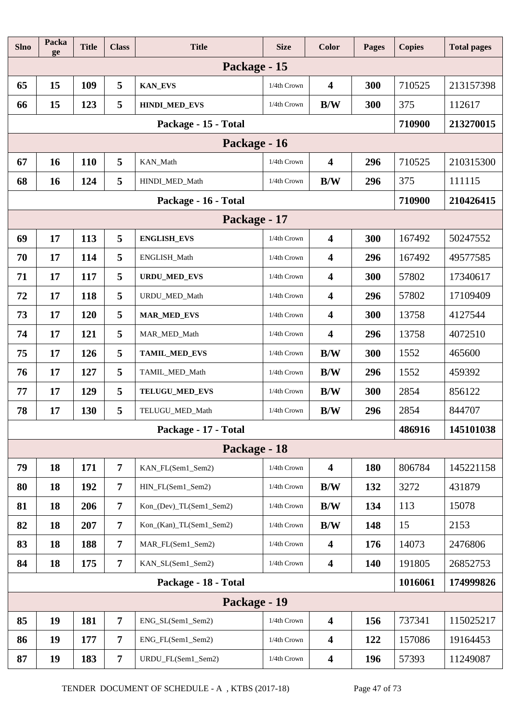| <b>Slno</b>  | Packa<br>ge  | <b>Title</b> | <b>Class</b>   | <b>Title</b>            | <b>Size</b> | <b>Color</b>            | <b>Pages</b> | <b>Copies</b> | <b>Total pages</b> |
|--------------|--------------|--------------|----------------|-------------------------|-------------|-------------------------|--------------|---------------|--------------------|
|              |              |              |                | Package - 15            |             |                         |              |               |                    |
| 65           | 15           | 109          | 5              | <b>KAN_EVS</b>          | 1/4th Crown | $\overline{\mathbf{4}}$ | 300          | 710525        | 213157398          |
| 66           | 15           | 123          | 5              | HINDI_MED_EVS           | 1/4th Crown | B/W                     | 300          | 375           | 112617             |
|              |              |              |                | Package - 15 - Total    |             |                         |              | 710900        | 213270015          |
| Package - 16 |              |              |                |                         |             |                         |              |               |                    |
| 67           | 16           | 110          | 5              | KAN_Math                | 1/4th Crown | 4                       | 296          | 710525        | 210315300          |
| 68           | 16           | 124          | 5              | HINDI_MED_Math          | 1/4th Crown | B/W                     | 296          | 375           | 111115             |
|              |              |              |                | Package - 16 - Total    |             |                         |              | 710900        | 210426415          |
|              | Package - 17 |              |                |                         |             |                         |              |               |                    |
| 69           | 17           | 113          | 5              | <b>ENGLISH_EVS</b>      | 1/4th Crown | 4                       | 300          | 167492        | 50247552           |
| 70           | 17           | 114          | 5              | ENGLISH_Math            | 1/4th Crown | 4                       | 296          | 167492        | 49577585           |
| 71           | 17           | 117          | 5              | <b>URDU_MED_EVS</b>     | 1/4th Crown | 4                       | 300          | 57802         | 17340617           |
| 72           | 17           | 118          | 5              | URDU_MED_Math           | 1/4th Crown | $\overline{\mathbf{4}}$ | 296          | 57802         | 17109409           |
| 73           | 17           | 120          | 5              | <b>MAR_MED_EVS</b>      | 1/4th Crown | $\overline{\mathbf{4}}$ | 300          | 13758         | 4127544            |
| 74           | 17           | 121          | 5              | MAR_MED_Math            | 1/4th Crown | $\overline{\mathbf{4}}$ | 296          | 13758         | 4072510            |
| 75           | 17           | 126          | 5              | TAMIL_MED_EVS           | 1/4th Crown | B/W                     | 300          | 1552          | 465600             |
| 76           | 17           | 127          | 5              | TAMIL_MED_Math          | 1/4th Crown | B/W                     | 296          | 1552          | 459392             |
| 77           | 17           | 129          | 5              | TELUGU_MED_EVS          | 1/4th Crown | B/W                     | 300          | 2854          | 856122             |
| 78           | 17           | 130          | 5              | TELUGU_MED_Math         | 1/4th Crown | B/W                     | 296          | 2854          | 844707             |
|              |              |              |                | Package - 17 - Total    |             |                         |              | 486916        | 145101038          |
|              |              |              |                | Package - 18            |             |                         |              |               |                    |
| 79           | 18           | 171          | $\overline{7}$ | KAN_FL(Sem1_Sem2)       | 1/4th Crown | 4                       | 180          | 806784        | 145221158          |
| 80           | 18           | 192          | $\overline{7}$ | HIN_FL(Sem1_Sem2)       | 1/4th Crown | B/W                     | 132          | 3272          | 431879             |
| 81           | 18           | 206          | $\overline{7}$ | Kon_(Dev)_TL(Sem1_Sem2) | 1/4th Crown | B/W                     | 134          | 113           | 15078              |
| 82           | 18           | 207          | $\overline{7}$ | Kon_(Kan)_TL(Sem1_Sem2) | 1/4th Crown | B/W                     | 148          | 15            | 2153               |
| 83           | 18           | 188          | $\overline{7}$ | MAR_FL(Sem1_Sem2)       | 1/4th Crown | $\overline{\mathbf{4}}$ | 176          | 14073         | 2476806            |
| 84           | 18           | 175          | $\overline{7}$ | KAN_SL(Sem1_Sem2)       | 1/4th Crown | 4                       | 140          | 191805        | 26852753           |
|              |              |              |                | Package - 18 - Total    |             |                         |              | 1016061       | 174999826          |
|              |              |              |                | Package - 19            |             |                         |              |               |                    |
| 85           | 19           | 181          | $\overline{7}$ | ENG_SL(Sem1_Sem2)       | 1/4th Crown | $\overline{\mathbf{4}}$ | 156          | 737341        | 115025217          |
| 86           | 19           | 177          | $\overline{7}$ | ENG_FL(Sem1_Sem2)       | 1/4th Crown | 4                       | 122          | 157086        | 19164453           |
| 87           | 19           | 183          | $\overline{7}$ | URDU_FL(Sem1_Sem2)      | 1/4th Crown | $\overline{\mathbf{4}}$ | 196          | 57393         | 11249087           |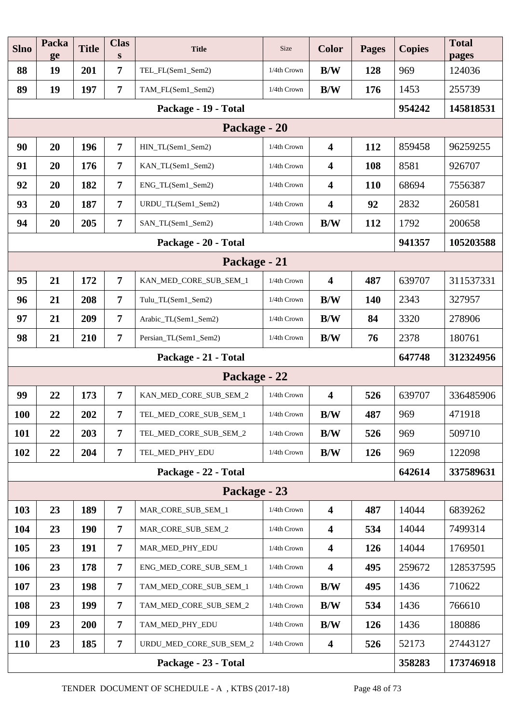| <b>Slno</b> | Packa<br>ge | <b>Title</b> | <b>Clas</b><br>S | <b>Title</b>            | Size           | <b>Color</b>            | <b>Pages</b> | <b>Copies</b> | <b>Total</b><br>pages |
|-------------|-------------|--------------|------------------|-------------------------|----------------|-------------------------|--------------|---------------|-----------------------|
| 88          | 19          | 201          | $\overline{7}$   | TEL_FL(Sem1_Sem2)       | 1/4th Crown    | B/W                     | 128          | 969           | 124036                |
| 89          | 19          | 197          | $\overline{7}$   | TAM_FL(Sem1_Sem2)       | 1/4th Crown    | B/W                     | 176          | 1453          | 255739                |
|             |             | 954242       | 145818531        |                         |                |                         |              |               |                       |
|             |             |              |                  |                         |                |                         |              |               |                       |
| 90          | 20          | 196          | $\overline{7}$   | HIN_TL(Sem1_Sem2)       | 1/4th Crown    | $\overline{\mathbf{4}}$ | 112          | 859458        | 96259255              |
| 91          | 20          | 176          | $\overline{7}$   | KAN_TL(Sem1_Sem2)       | 1/4th Crown    | $\overline{\mathbf{4}}$ | 108          | 8581          | 926707                |
| 92          | 20          | 182          | $\overline{7}$   | ENG_TL(Sem1_Sem2)       | 1/4th Crown    | $\overline{\mathbf{4}}$ | <b>110</b>   | 68694         | 7556387               |
| 93          | 20          | 187          | $\overline{7}$   | URDU_TL(Sem1_Sem2)      | 1/4th Crown    | $\overline{\mathbf{4}}$ | 92           | 2832          | 260581                |
| 94          | 20          | 205          | $\overline{7}$   | SAN_TL(Sem1_Sem2)       | 1/4th Crown    | B/W                     | 112          | 1792          | 200658                |
|             |             |              |                  | Package - 20 - Total    |                |                         |              | 941357        | 105203588             |
|             |             |              |                  | Package - 21            |                |                         |              |               |                       |
| 95          | 21          | 172          | $\overline{7}$   | KAN_MED_CORE_SUB_SEM_1  | 1/4th Crown    | $\overline{\mathbf{4}}$ | 487          | 639707        | 311537331             |
| 96          | 21          | 208          | $\overline{7}$   | Tulu_TL(Sem1_Sem2)      | 1/4th Crown    | B/W                     | 140          | 2343          | 327957                |
| 97          | 21          | 209          | $\overline{7}$   | Arabic_TL(Sem1_Sem2)    | 1/4th Crown    | B/W                     | 84           | 3320          | 278906                |
| 98          | 21          | 210          | $\overline{7}$   | Persian_TL(Sem1_Sem2)   | 1/4th Crown    | B/W                     | 76           | 2378          | 180761                |
|             |             |              |                  | Package - 21 - Total    |                |                         |              | 647748        | 312324956             |
|             |             |              |                  | Package - 22            |                |                         |              |               |                       |
| 99          | 22          | 173          | $\overline{7}$   | KAN_MED_CORE_SUB_SEM_2  | 1/4th Crown    | $\overline{\mathbf{4}}$ | 526          | 639707        | 336485906             |
| <b>100</b>  | 22          | 202          | $\overline{7}$   | TEL_MED_CORE_SUB_SEM_1  | 1/4th Crown    | B/W                     | 487          | 969           | 471918                |
| <b>101</b>  | 22          | 203          | $\overline{7}$   | TEL MED CORE SUB_SEM 2  | 1/4th Crown    | B/W                     | 526          | 969           | 509710                |
| 102         | 22          | 204          | $\overline{7}$   | TEL_MED_PHY_EDU         | 1/4th Crown    | B/W                     | 126          | 969           | 122098                |
|             |             |              |                  | Package - 22 - Total    |                |                         |              | 642614        | 337589631             |
|             |             |              |                  | Package - 23            |                |                         |              |               |                       |
| 103         | 23          | 189          | $\overline{7}$   | MAR_CORE_SUB_SEM_1      | 1/4th Crown    | $\overline{\mathbf{4}}$ | 487          | 14044         | 6839262               |
| 104         | 23          | <b>190</b>   | $\overline{7}$   | MAR_CORE_SUB_SEM_2      | 1/4th Crown    | $\overline{\mathbf{4}}$ | 534          | 14044         | 7499314               |
| 105         | 23          | 191          | $\overline{7}$   | MAR_MED_PHY_EDU         | 1/4th Crown    | $\overline{\mathbf{4}}$ | 126          | 14044         | 1769501               |
| 106         | 23          | 178          | $\overline{7}$   | ENG_MED_CORE_SUB_SEM_1  | $1/4$ th Crown | $\overline{\mathbf{4}}$ | 495          | 259672        | 128537595             |
| 107         | 23          | 198          | $\overline{7}$   | TAM_MED_CORE_SUB_SEM_1  | 1/4th Crown    | B/W                     | 495          | 1436          | 710622                |
| 108         | 23          | 199          | $\overline{7}$   | TAM_MED_CORE_SUB_SEM_2  | 1/4th Crown    | B/W                     | 534          | 1436          | 766610                |
| 109         | 23          | 200          | $\overline{7}$   | TAM_MED_PHY_EDU         | 1/4th Crown    | B/W                     | 126          | 1436          | 180886                |
| <b>110</b>  | 23          | 185          | $\overline{7}$   | URDU_MED_CORE_SUB_SEM_2 | 1/4th Crown    | $\overline{\mathbf{4}}$ | 526          | 52173         | 27443127              |
|             |             |              |                  | Package - 23 - Total    |                |                         |              | 358283        | 173746918             |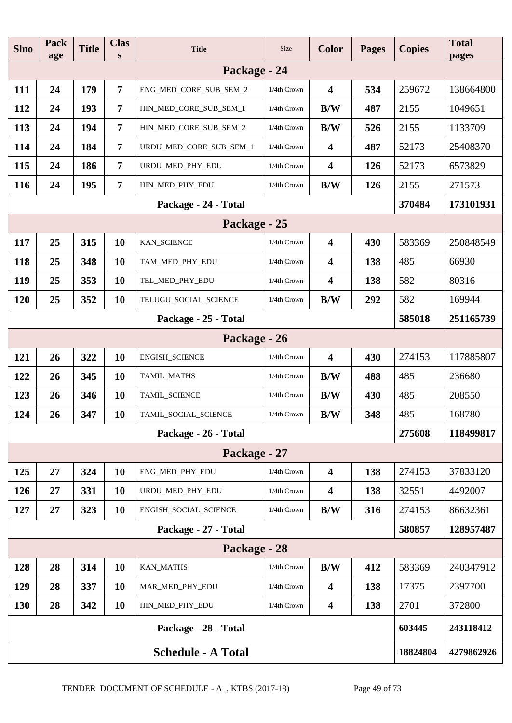| <b>Slno</b>               | Pack<br>age | <b>Title</b> | <b>Clas</b><br>S | <b>Title</b>            | <b>Size</b> | <b>Color</b>            | <b>Pages</b> | <b>Copies</b> | <b>Total</b><br>pages |
|---------------------------|-------------|--------------|------------------|-------------------------|-------------|-------------------------|--------------|---------------|-----------------------|
| Package - 24              |             |              |                  |                         |             |                         |              |               |                       |
| 111                       | 24          | 179          | $\overline{7}$   | ENG_MED_CORE_SUB_SEM_2  | 1/4th Crown | $\overline{\mathbf{4}}$ | 534          | 259672        | 138664800             |
| 112                       | 24          | 193          | $\overline{7}$   | HIN_MED_CORE_SUB_SEM_1  | 1/4th Crown | B/W                     | 487          | 2155          | 1049651               |
| 113                       | 24          | 194          | $\overline{7}$   | HIN_MED_CORE_SUB_SEM_2  | 1/4th Crown | B/W                     | 526          | 2155          | 1133709               |
| 114                       | 24          | 184          | $\overline{7}$   | URDU_MED_CORE_SUB_SEM_1 | 1/4th Crown | $\overline{\mathbf{4}}$ | 487          | 52173         | 25408370              |
| 115                       | 24          | 186          | $\overline{7}$   | URDU_MED_PHY_EDU        | 1/4th Crown | $\overline{\mathbf{4}}$ | 126          | 52173         | 6573829               |
| <b>116</b>                | 24          | 195          | $\overline{7}$   | HIN_MED_PHY_EDU         | 1/4th Crown | B/W                     | 126          | 2155          | 271573                |
|                           |             |              |                  | Package - 24 - Total    |             |                         |              | 370484        | 173101931             |
|                           |             |              |                  | Package - 25            |             |                         |              |               |                       |
| 117                       | 25          | 315          | 10               | <b>KAN_SCIENCE</b>      | 1/4th Crown | $\overline{\mathbf{4}}$ | 430          | 583369        | 250848549             |
| 118                       | 25          | 348          | 10               | TAM_MED_PHY_EDU         | 1/4th Crown | $\overline{\mathbf{4}}$ | 138          | 485           | 66930                 |
| 119                       | 25          | 353          | <b>10</b>        | TEL_MED_PHY_EDU         | 1/4th Crown | $\overline{\mathbf{4}}$ | 138          | 582           | 80316                 |
| 120                       | 25          | 352          | 10               | TELUGU_SOCIAL_SCIENCE   | 1/4th Crown | B/W                     | 292          | 582           | 169944                |
| Package - 25 - Total      |             |              |                  |                         |             |                         | 585018       | 251165739     |                       |
|                           |             |              |                  | Package - 26            |             |                         |              |               |                       |
| 121                       | 26          | 322          | 10               | ENGISH_SCIENCE          | 1/4th Crown | $\overline{\mathbf{4}}$ | 430          | 274153        | 117885807             |
| 122                       | 26          | 345          | 10               | TAMIL_MATHS             | 1/4th Crown | B/W                     | 488          | 485           | 236680                |
| 123                       | 26          | 346          | <b>10</b>        | TAMIL_SCIENCE           | 1/4th Crown | B/W                     | 430          | 485           | 208550                |
| 124                       | 26          | 347          | 10               | TAMIL_SOCIAL_SCIENCE    | 1/4th Crown | B/W                     | 348          | 485           | 168780                |
|                           |             |              |                  | Package - 26 - Total    |             |                         |              | 275608        | 118499817             |
|                           |             |              |                  | Package - 27            |             |                         |              |               |                       |
| 125                       | 27          | 324          | 10               | ENG_MED_PHY_EDU         | 1/4th Crown | $\overline{\mathbf{4}}$ | 138          | 274153        | 37833120              |
| 126                       | 27          | 331          | <b>10</b>        | URDU_MED_PHY_EDU        | 1/4th Crown | $\overline{\mathbf{4}}$ | 138          | 32551         | 4492007               |
| 127                       | 27          | 323          | 10               | ENGISH_SOCIAL_SCIENCE   | 1/4th Crown | B/W                     | 316          | 274153        | 86632361              |
|                           |             |              |                  | Package - 27 - Total    |             |                         |              | 580857        | 128957487             |
|                           |             |              |                  | Package - 28            |             |                         |              |               |                       |
| 128                       | 28          | 314          | <b>10</b>        | <b>KAN_MATHS</b>        | 1/4th Crown | B/W                     | 412          | 583369        | 240347912             |
| 129                       | 28          | 337          | <b>10</b>        | MAR_MED_PHY_EDU         | 1/4th Crown | $\overline{\mathbf{4}}$ | 138          | 17375         | 2397700               |
| <b>130</b>                | 28          | 342          | <b>10</b>        | HIN_MED_PHY_EDU         | 1/4th Crown | $\overline{\mathbf{4}}$ | 138          | 2701          | 372800                |
|                           |             |              |                  | Package - 28 - Total    |             |                         |              | 603445        | 243118412             |
| <b>Schedule - A Total</b> |             |              |                  |                         |             |                         | 18824804     | 4279862926    |                       |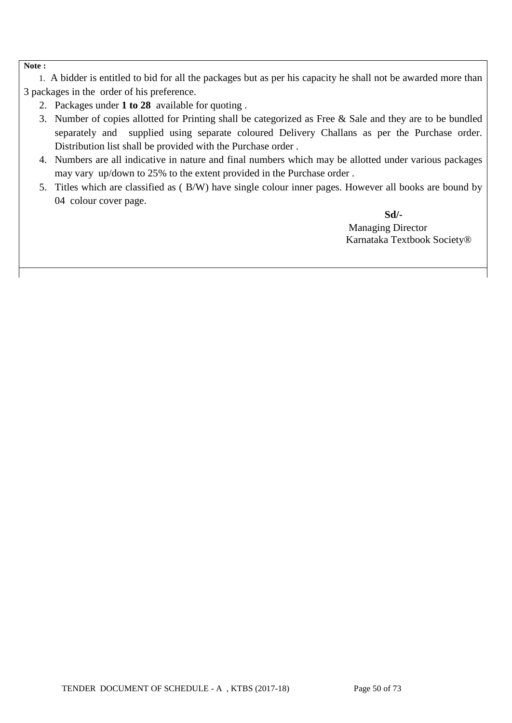#### **Note :**

 1. A bidder is entitled to bid for all the packages but as per his capacity he shall not be awarded more than 3 packages in the order of his preference.

- 2. Packages under **1 to 28** available for quoting .
- 3. Number of copies allotted for Printing shall be categorized as Free & Sale and they are to be bundled separately and supplied using separate coloured Delivery Challans as per the Purchase order. Distribution list shall be provided with the Purchase order .
- 4. Numbers are all indicative in nature and final numbers which may be allotted under various packages may vary up/down to 25% to the extent provided in the Purchase order .
- 5. Titles which are classified as ( B/W) have single colour inner pages. However all books are bound by 04 colour cover page.

 **Sd/-** Managing Director Karnataka Textbook Society®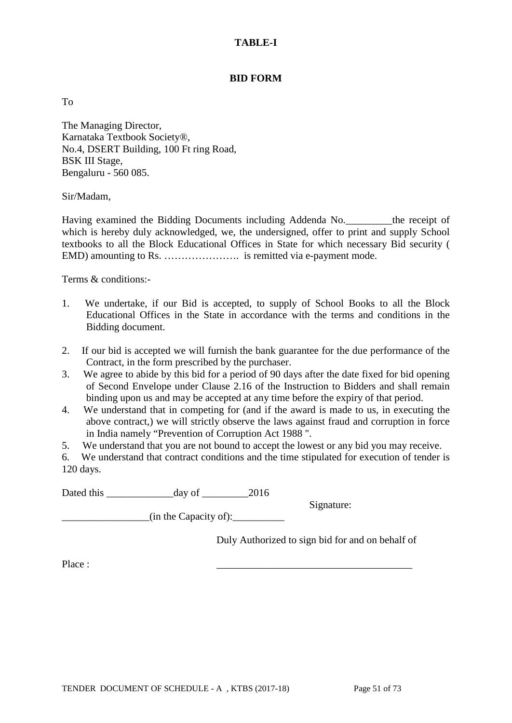### **TABLE-I**

### **BID FORM**

To

The Managing Director, Karnataka Textbook Society®, No.4, DSERT Building, 100 Ft ring Road, BSK III Stage, Bengaluru - 560 085.

Sir/Madam,

Having examined the Bidding Documents including Addenda No.\_\_\_\_\_\_\_\_\_the receipt of which is hereby duly acknowledged, we, the undersigned, offer to print and supply School textbooks to all the Block Educational Offices in State for which necessary Bid security ( EMD) amounting to Rs. …………………. is remitted via e-payment mode.

Terms & conditions:-

- 1. We undertake, if our Bid is accepted, to supply of School Books to all the Block Educational Offices in the State in accordance with the terms and conditions in the Bidding document.
- 2. If our bid is accepted we will furnish the bank guarantee for the due performance of the Contract, in the form prescribed by the purchaser.
- 3. We agree to abide by this bid for a period of 90 days after the date fixed for bid opening of Second Envelope under Clause 2.16 of the Instruction to Bidders and shall remain binding upon us and may be accepted at any time before the expiry of that period.
- 4. We understand that in competing for (and if the award is made to us, in executing the above contract,) we will strictly observe the laws against fraud and corruption in force in India namely "Prevention of Corruption Act 1988 ".
- 5. We understand that you are not bound to accept the lowest or any bid you may receive.

6. We understand that contract conditions and the time stipulated for execution of tender is 120 days.

Dated this \_\_\_\_\_\_\_\_\_\_\_\_\_day of \_\_\_\_\_\_\_\_\_2016

Signature:

 $\frac{1}{\text{min the Capacity of}}$ :

Duly Authorized to sign bid for and on behalf of

Place : \_\_\_\_\_\_\_\_\_\_\_\_\_\_\_\_\_\_\_\_\_\_\_\_\_\_\_\_\_\_\_\_\_\_\_\_\_\_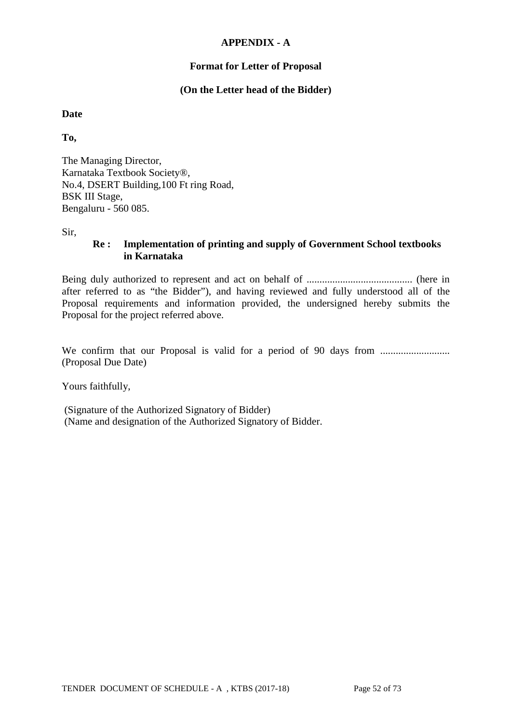### **APPENDIX - A**

## **Format for Letter of Proposal**

## **(On the Letter head of the Bidder)**

### **Date**

**To,**

The Managing Director, Karnataka Textbook Society®, No.4, DSERT Building,100 Ft ring Road, BSK III Stage, Bengaluru - 560 085.

Sir,

## **Re : Implementation of printing and supply of Government School textbooks in Karnataka**

Being duly authorized to represent and act on behalf of ......................................... (here in after referred to as "the Bidder"), and having reviewed and fully understood all of the Proposal requirements and information provided, the undersigned hereby submits the Proposal for the project referred above.

We confirm that our Proposal is valid for a period of 90 days from ........................... (Proposal Due Date)

Yours faithfully,

(Signature of the Authorized Signatory of Bidder) (Name and designation of the Authorized Signatory of Bidder.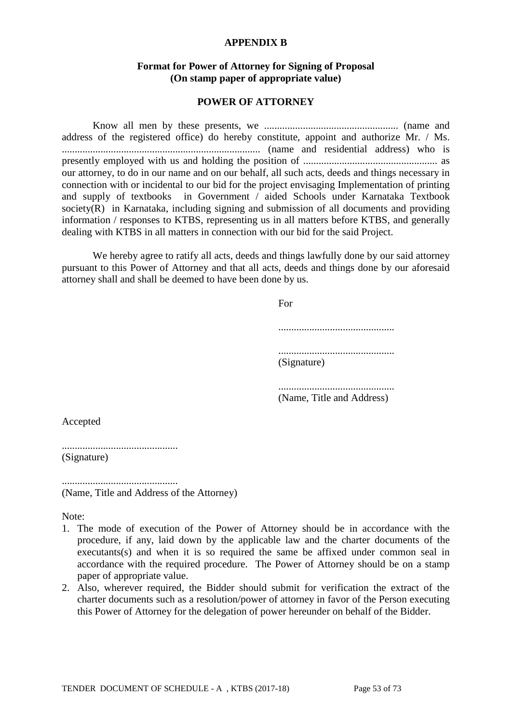#### **APPENDIX B**

### **Format for Power of Attorney for Signing of Proposal (On stamp paper of appropriate value)**

#### **POWER OF ATTORNEY**

Know all men by these presents, we .................................................... (name and address of the registered office) do hereby constitute, appoint and authorize Mr. / Ms. ............................................................................. (name and residential address) who is presently employed with us and holding the position of .................................................... as our attorney, to do in our name and on our behalf, all such acts, deeds and things necessary in connection with or incidental to our bid for the project envisaging Implementation of printing and supply of textbooks in Government / aided Schools under Karnataka Textbook society(R) in Karnataka, including signing and submission of all documents and providing information / responses to KTBS, representing us in all matters before KTBS, and generally dealing with KTBS in all matters in connection with our bid for the said Project.

We hereby agree to ratify all acts, deeds and things lawfully done by our said attorney pursuant to this Power of Attorney and that all acts, deeds and things done by our aforesaid attorney shall and shall be deemed to have been done by us.

> For ............................................. ............................................. (Signature) .............................................

(Name, Title and Address)

Accepted

............................................. (Signature)

............................................. (Name, Title and Address of the Attorney)

Note:

- 1. The mode of execution of the Power of Attorney should be in accordance with the procedure, if any, laid down by the applicable law and the charter documents of the executants(s) and when it is so required the same be affixed under common seal in accordance with the required procedure. The Power of Attorney should be on a stamp paper of appropriate value.
- 2. Also, wherever required, the Bidder should submit for verification the extract of the charter documents such as a resolution/power of attorney in favor of the Person executing this Power of Attorney for the delegation of power hereunder on behalf of the Bidder.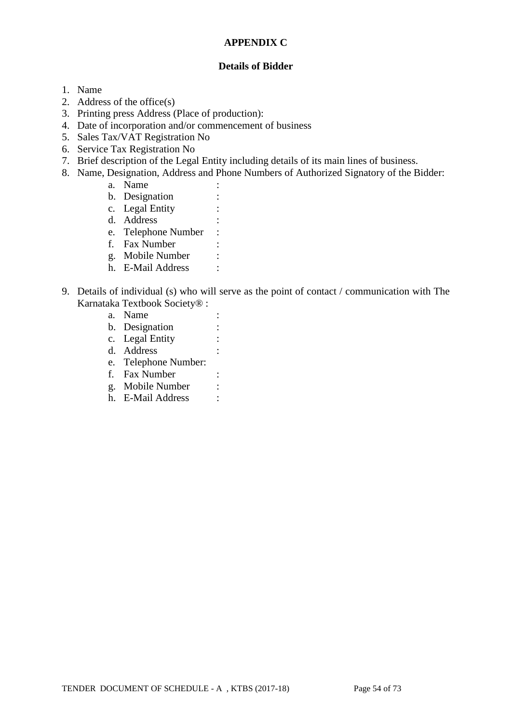### **APPENDIX C**

### **Details of Bidder**

- 1. Name
- 2. Address of the office(s)
- 3. Printing press Address (Place of production):
- 4. Date of incorporation and/or commencement of business
- 5. Sales Tax/VAT Registration No
- 6. Service Tax Registration No
- 7. Brief description of the Legal Entity including details of its main lines of business.
- 8. Name, Designation, Address and Phone Numbers of Authorized Signatory of the Bidder:
	- a. Name :
	- b. Designation :
	- c. Legal Entity :
	- d. Address :
	- e. Telephone Number :
	- f. Fax Number :
	- g. Mobile Number :
	- h. E-Mail Address :
- 9. Details of individual (s) who will serve as the point of contact / communication with The Karnataka Textbook Society® :
	- a. Name :
	- b. Designation :
	- c. Legal Entity :
	- d. Address :
	- e. Telephone Number:
	- f. Fax Number :
	- g. Mobile Number :
	- h. E-Mail Address :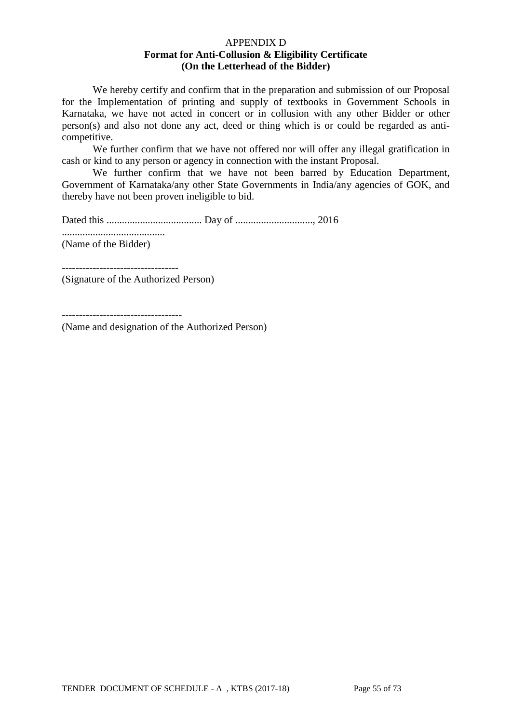### APPENDIX D **Format for Anti-Collusion & Eligibility Certificate (On the Letterhead of the Bidder)**

We hereby certify and confirm that in the preparation and submission of our Proposal for the Implementation of printing and supply of textbooks in Government Schools in Karnataka, we have not acted in concert or in collusion with any other Bidder or other person(s) and also not done any act, deed or thing which is or could be regarded as anticompetitive.

We further confirm that we have not offered nor will offer any illegal gratification in cash or kind to any person or agency in connection with the instant Proposal.

We further confirm that we have not been barred by Education Department, Government of Karnataka/any other State Governments in India/any agencies of GOK, and thereby have not been proven ineligible to bid.

Dated this ..................................... Day of .............................., 2016

........................................

(Name of the Bidder)

(Signature of the Authorized Person)

----------------------------------

(Name and designation of the Authorized Person)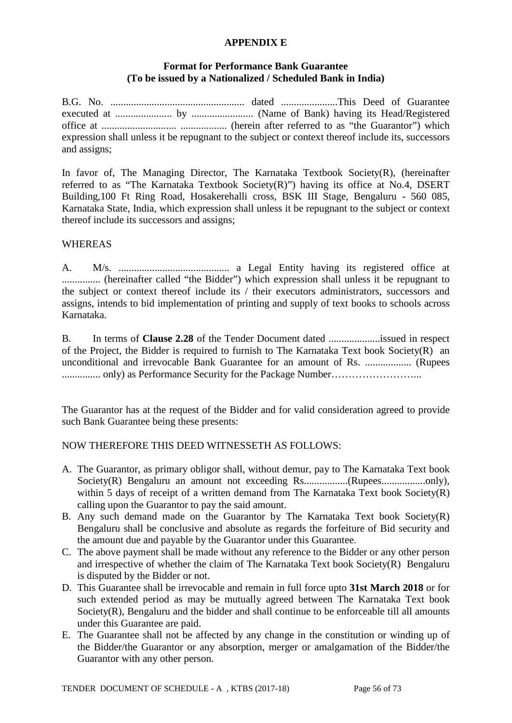### **APPENDIX E**

### **Format for Performance Bank Guarantee (To be issued by a Nationalized / Scheduled Bank in India)**

B.G. No. .................................................... dated ......................This Deed of Guarantee executed at ...................... by ........................ (Name of Bank) having its Head/Registered office at ............................. .................. (herein after referred to as "the Guarantor") which expression shall unless it be repugnant to the subject or context thereof include its, successors and assigns;

In favor of, The Managing Director, The Karnataka Textbook Society(R), (hereinafter referred to as "The Karnataka Textbook Society(R)") having its office at No.4, DSERT Building,100 Ft Ring Road, Hosakerehalli cross, BSK III Stage, Bengaluru - 560 085, Karnataka State, India, which expression shall unless it be repugnant to the subject or context thereof include its successors and assigns;

### **WHEREAS**

A. M/s. ........................................... a Legal Entity having its registered office at ............... (hereinafter called "the Bidder") which expression shall unless it be repugnant to the subject or context thereof include its / their executors administrators, successors and assigns, intends to bid implementation of printing and supply of text books to schools across Karnataka.

B. In terms of **Clause 2.28** of the Tender Document dated ....................issued in respect of the Project, the Bidder is required to furnish to The Karnataka Text book Society(R) an unconditional and irrevocable Bank Guarantee for an amount of Rs. .................. (Rupees ............... only) as Performance Security for the Package Number……………………...

The Guarantor has at the request of the Bidder and for valid consideration agreed to provide such Bank Guarantee being these presents:

## NOW THEREFORE THIS DEED WITNESSETH AS FOLLOWS:

- A. The Guarantor, as primary obligor shall, without demur, pay to The Karnataka Text book Society(R) Bengaluru an amount not exceeding Rs.................(Rupees.................only), within 5 days of receipt of a written demand from The Karnataka Text book Society(R) calling upon the Guarantor to pay the said amount.
- B. Any such demand made on the Guarantor by The Karnataka Text book Society(R) Bengaluru shall be conclusive and absolute as regards the forfeiture of Bid security and the amount due and payable by the Guarantor under this Guarantee.
- C. The above payment shall be made without any reference to the Bidder or any other person and irrespective of whether the claim of The Karnataka Text book Society(R) Bengaluru is disputed by the Bidder or not.
- D. This Guarantee shall be irrevocable and remain in full force upto **31st March 2018** or for such extended period as may be mutually agreed between The Karnataka Text book Society(R), Bengaluru and the bidder and shall continue to be enforceable till all amounts under this Guarantee are paid.
- E. The Guarantee shall not be affected by any change in the constitution or winding up of the Bidder/the Guarantor or any absorption, merger or amalgamation of the Bidder/the Guarantor with any other person.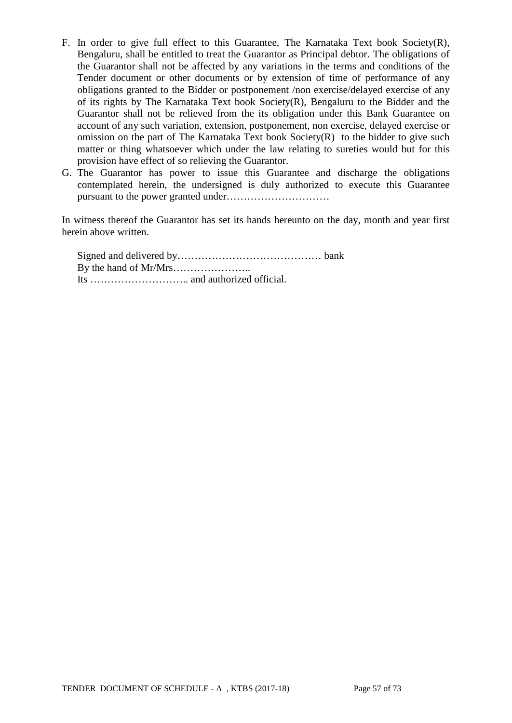- F. In order to give full effect to this Guarantee, The Karnataka Text book Society(R), Bengaluru, shall be entitled to treat the Guarantor as Principal debtor. The obligations of the Guarantor shall not be affected by any variations in the terms and conditions of the Tender document or other documents or by extension of time of performance of any obligations granted to the Bidder or postponement /non exercise/delayed exercise of any of its rights by The Karnataka Text book Society(R), Bengaluru to the Bidder and the Guarantor shall not be relieved from the its obligation under this Bank Guarantee on account of any such variation, extension, postponement, non exercise, delayed exercise or omission on the part of The Karnataka Text book Society(R) to the bidder to give such matter or thing whatsoever which under the law relating to sureties would but for this provision have effect of so relieving the Guarantor.
- G. The Guarantor has power to issue this Guarantee and discharge the obligations contemplated herein, the undersigned is duly authorized to execute this Guarantee pursuant to the power granted under…………………………

In witness thereof the Guarantor has set its hands hereunto on the day, month and year first herein above written.

Signed and delivered by…………………………………… bank By the hand of Mr/Mrs………………….. Its ……………………….. and authorized official.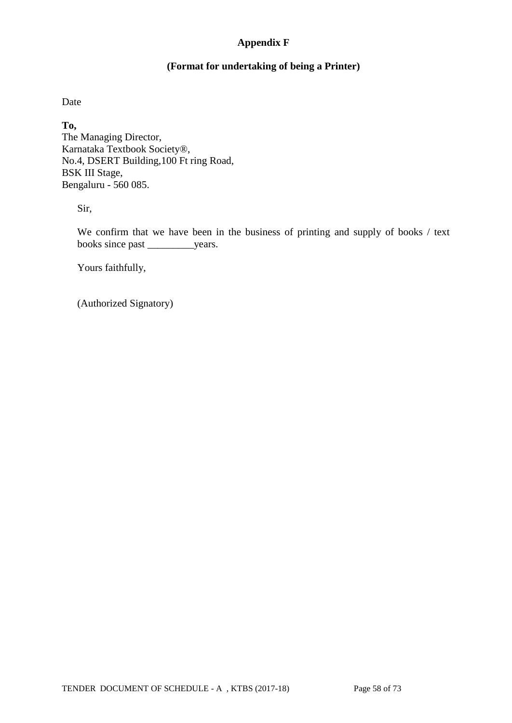## **Appendix F**

### **(Format for undertaking of being a Printer)**

Date

**To,** The Managing Director, Karnataka Textbook Society®, No.4, DSERT Building,100 Ft ring Road, BSK III Stage, Bengaluru - 560 085.

Sir,

We confirm that we have been in the business of printing and supply of books / text books since past \_\_\_\_\_\_\_\_\_years.

Yours faithfully,

(Authorized Signatory)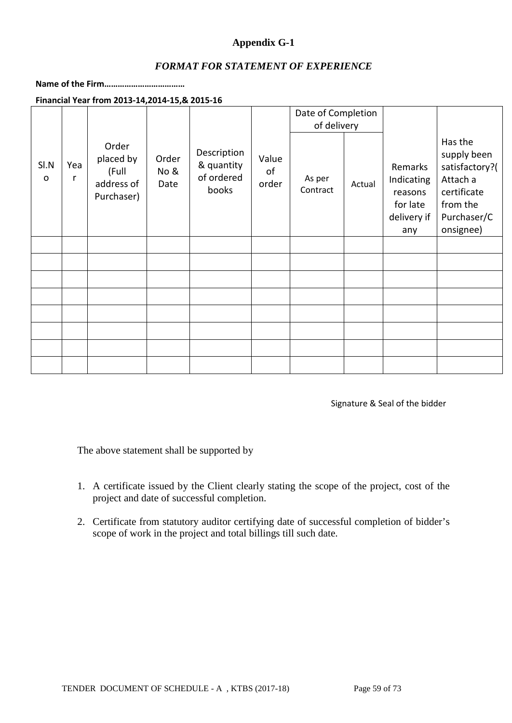## **Appendix G-1**

### *FORMAT FOR STATEMENT OF EXPERIENCE*

### **Name of the Firm………………………………**

**Financial Year from 2013-14,2014-15,& 2015-16**

|                      |          |                                                         |                       |                                                  |                      | Date of Completion |        |                                                                    |                                                                                                             |
|----------------------|----------|---------------------------------------------------------|-----------------------|--------------------------------------------------|----------------------|--------------------|--------|--------------------------------------------------------------------|-------------------------------------------------------------------------------------------------------------|
|                      |          |                                                         |                       |                                                  |                      | of delivery        |        |                                                                    |                                                                                                             |
| SI.N<br>$\mathsf{o}$ | Yea<br>r | Order<br>placed by<br>(Full<br>address of<br>Purchaser) | Order<br>No &<br>Date | Description<br>& quantity<br>of ordered<br>books | Value<br>of<br>order | As per<br>Contract | Actual | Remarks<br>Indicating<br>reasons<br>for late<br>delivery if<br>any | Has the<br>supply been<br>satisfactory?(<br>Attach a<br>certificate<br>from the<br>Purchaser/C<br>onsignee) |
|                      |          |                                                         |                       |                                                  |                      |                    |        |                                                                    |                                                                                                             |
|                      |          |                                                         |                       |                                                  |                      |                    |        |                                                                    |                                                                                                             |
|                      |          |                                                         |                       |                                                  |                      |                    |        |                                                                    |                                                                                                             |
|                      |          |                                                         |                       |                                                  |                      |                    |        |                                                                    |                                                                                                             |
|                      |          |                                                         |                       |                                                  |                      |                    |        |                                                                    |                                                                                                             |
|                      |          |                                                         |                       |                                                  |                      |                    |        |                                                                    |                                                                                                             |
|                      |          |                                                         |                       |                                                  |                      |                    |        |                                                                    |                                                                                                             |
|                      |          |                                                         |                       |                                                  |                      |                    |        |                                                                    |                                                                                                             |

Signature & Seal of the bidder

The above statement shall be supported by

- 1. A certificate issued by the Client clearly stating the scope of the project, cost of the project and date of successful completion.
- 2. Certificate from statutory auditor certifying date of successful completion of bidder's scope of work in the project and total billings till such date.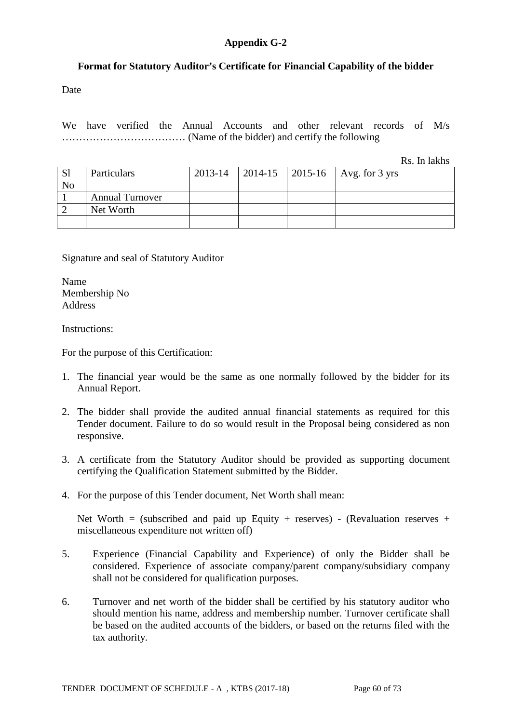### **Appendix G-2**

### **Format for Statutory Auditor's Certificate for Financial Capability of the bidder**

Date

We have verified the Annual Accounts and other relevant records of M/s ……………………………… (Name of the bidder) and certify the following

Rs. In lakhs

| <sub>S1</sub><br>N <sub>0</sub> | Particulars            | 2013-14 |  | 2014-15   2015-16   Avg. for 3 yrs |
|---------------------------------|------------------------|---------|--|------------------------------------|
|                                 | <b>Annual Turnover</b> |         |  |                                    |
|                                 | Net Worth              |         |  |                                    |
|                                 |                        |         |  |                                    |

Signature and seal of Statutory Auditor

Name Membership No Address

Instructions:

For the purpose of this Certification:

- 1. The financial year would be the same as one normally followed by the bidder for its Annual Report.
- 2. The bidder shall provide the audited annual financial statements as required for this Tender document. Failure to do so would result in the Proposal being considered as non responsive.
- 3. A certificate from the Statutory Auditor should be provided as supporting document certifying the Qualification Statement submitted by the Bidder.
- 4. For the purpose of this Tender document, Net Worth shall mean:

Net Worth = (subscribed and paid up Equity + reserves) - (Revaluation reserves + miscellaneous expenditure not written off)

- 5. Experience (Financial Capability and Experience) of only the Bidder shall be considered. Experience of associate company/parent company/subsidiary company shall not be considered for qualification purposes.
- 6. Turnover and net worth of the bidder shall be certified by his statutory auditor who should mention his name, address and membership number. Turnover certificate shall be based on the audited accounts of the bidders, or based on the returns filed with the tax authority.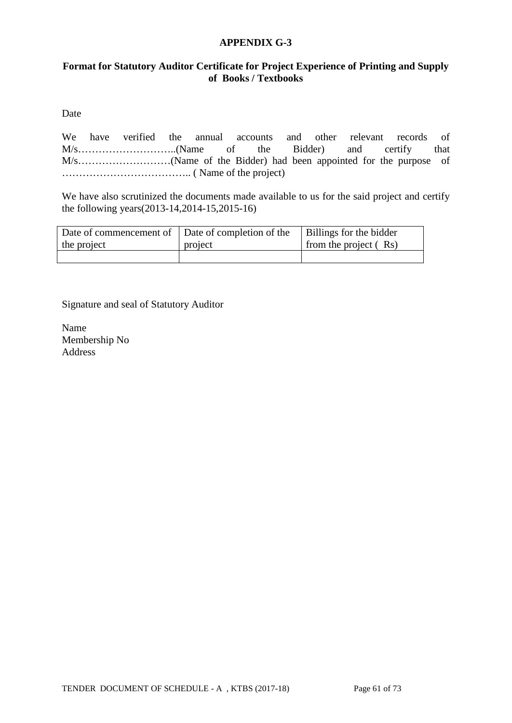### **APPENDIX G-3**

## **Format for Statutory Auditor Certificate for Project Experience of Printing and Supply of Books / Textbooks**

Date

We have verified the annual accounts and other relevant records of M/s………………………..(Name of the Bidder) and certify that M/s………………………(Name of the Bidder) had been appointed for the purpose of ……………………………….. ( Name of the project)

We have also scrutinized the documents made available to us for the said project and certify the following years(2013-14,2014-15,2015-16)

| Date of commencement of Date of completion of the |         | Billings for the bidder |
|---------------------------------------------------|---------|-------------------------|
| the project                                       | project | from the project $(Rs)$ |
|                                                   |         |                         |

Signature and seal of Statutory Auditor

Name Membership No Address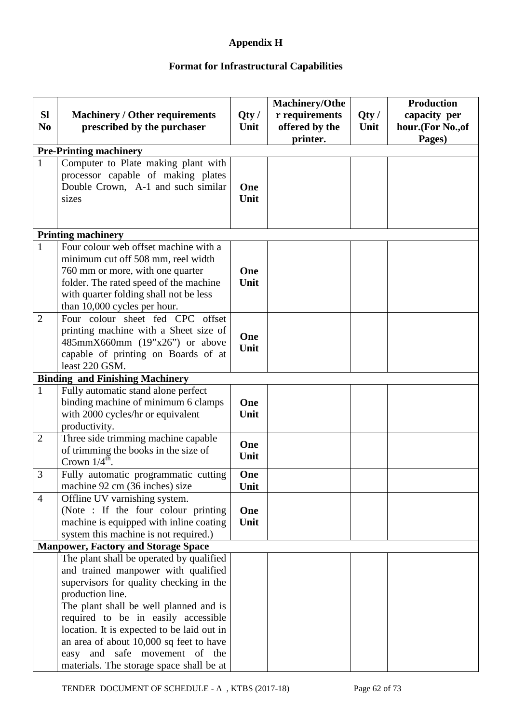## **Appendix H**

## **Format for Infrastructural Capabilities**

| <b>SI</b>      | <b>Machinery / Other requirements</b>                                         | Qty/ | Machinery/Othe<br>r requirements | Qty/ | <b>Production</b><br>capacity per |
|----------------|-------------------------------------------------------------------------------|------|----------------------------------|------|-----------------------------------|
| N <sub>0</sub> | prescribed by the purchaser                                                   | Unit | offered by the<br>printer.       | Unit | hour.(For No., of<br>Pages)       |
|                | <b>Pre-Printing machinery</b>                                                 |      |                                  |      |                                   |
| $\mathbf{1}$   | Computer to Plate making plant with                                           |      |                                  |      |                                   |
|                | processor capable of making plates                                            |      |                                  |      |                                   |
|                | Double Crown, A-1 and such similar                                            | One  |                                  |      |                                   |
|                | sizes                                                                         | Unit |                                  |      |                                   |
|                |                                                                               |      |                                  |      |                                   |
|                |                                                                               |      |                                  |      |                                   |
|                | <b>Printing machinery</b>                                                     |      |                                  |      |                                   |
| $\mathbf{1}$   | Four colour web offset machine with a                                         |      |                                  |      |                                   |
|                | minimum cut off 508 mm, reel width                                            |      |                                  |      |                                   |
|                | 760 mm or more, with one quarter                                              | One  |                                  |      |                                   |
|                | folder. The rated speed of the machine                                        | Unit |                                  |      |                                   |
|                | with quarter folding shall not be less                                        |      |                                  |      |                                   |
|                | than 10,000 cycles per hour.                                                  |      |                                  |      |                                   |
| $\overline{2}$ | Four colour sheet fed CPC offset                                              |      |                                  |      |                                   |
|                | printing machine with a Sheet size of                                         | One  |                                  |      |                                   |
|                | 485mmX660mm (19"x26") or above                                                | Unit |                                  |      |                                   |
|                | capable of printing on Boards of at<br>least 220 GSM.                         |      |                                  |      |                                   |
|                |                                                                               |      |                                  |      |                                   |
| $\mathbf{1}$   | <b>Binding and Finishing Machinery</b><br>Fully automatic stand alone perfect |      |                                  |      |                                   |
|                | binding machine of minimum 6 clamps                                           | One  |                                  |      |                                   |
|                | with 2000 cycles/hr or equivalent                                             | Unit |                                  |      |                                   |
|                | productivity.                                                                 |      |                                  |      |                                   |
| $\overline{2}$ | Three side trimming machine capable                                           |      |                                  |      |                                   |
|                | of trimming the books in the size of                                          | One  |                                  |      |                                   |
|                | Crown $1/4$ <sup>th</sup> .                                                   | Unit |                                  |      |                                   |
| 3              | Fully automatic programmatic cutting                                          | One  |                                  |      |                                   |
|                | machine 92 cm (36 inches) size                                                | Unit |                                  |      |                                   |
| $\overline{4}$ | Offline UV varnishing system.                                                 |      |                                  |      |                                   |
|                | (Note : If the four colour printing                                           | One  |                                  |      |                                   |
|                | machine is equipped with inline coating                                       | Unit |                                  |      |                                   |
|                | system this machine is not required.)                                         |      |                                  |      |                                   |
|                | <b>Manpower, Factory and Storage Space</b>                                    |      |                                  |      |                                   |
|                | The plant shall be operated by qualified                                      |      |                                  |      |                                   |
|                | and trained manpower with qualified                                           |      |                                  |      |                                   |
|                | supervisors for quality checking in the                                       |      |                                  |      |                                   |
|                | production line.                                                              |      |                                  |      |                                   |
|                | The plant shall be well planned and is                                        |      |                                  |      |                                   |
|                | required to be in easily accessible                                           |      |                                  |      |                                   |
|                | location. It is expected to be laid out in                                    |      |                                  |      |                                   |
|                | an area of about 10,000 sq feet to have                                       |      |                                  |      |                                   |
|                | easy and safe movement of the                                                 |      |                                  |      |                                   |
|                | materials. The storage space shall be at                                      |      |                                  |      |                                   |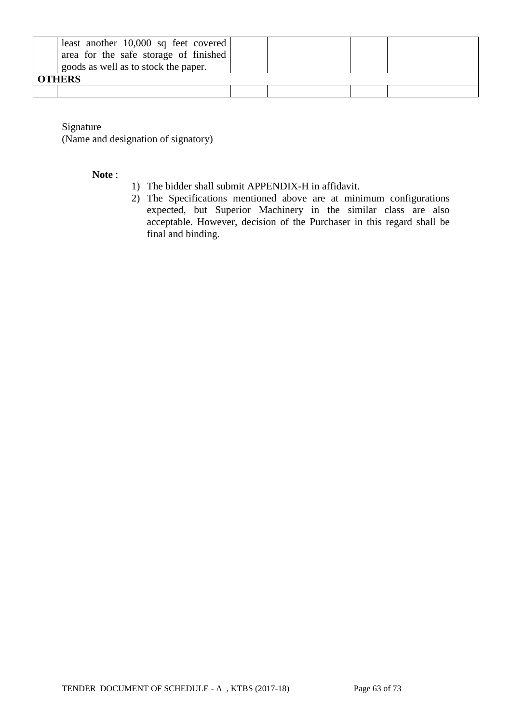| least another $10,000$ sq feet covered<br>area for the safe storage of finished<br>goods as well as to stock the paper.<br><b>OTHERS</b> |  |  |
|------------------------------------------------------------------------------------------------------------------------------------------|--|--|
|                                                                                                                                          |  |  |

Signature

(Name and designation of signatory)

### **Note** :

- 1) The bidder shall submit APPENDIX-H in affidavit.
- 2) The Specifications mentioned above are at minimum configurations expected, but Superior Machinery in the similar class are also acceptable. However, decision of the Purchaser in this regard shall be final and binding.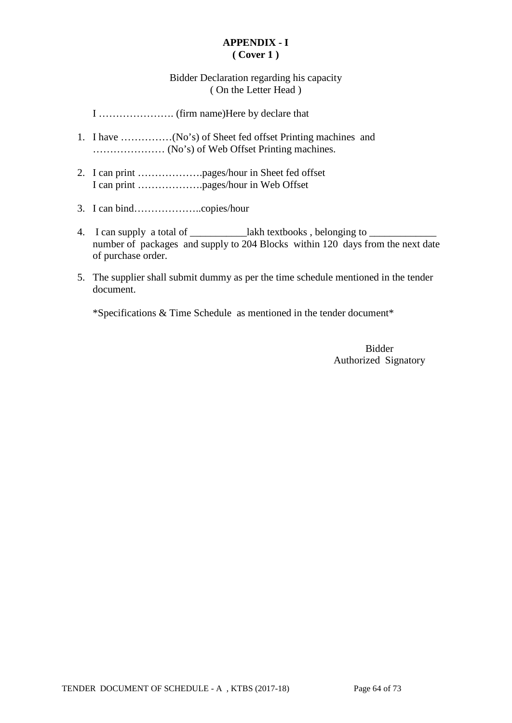### **APPENDIX - I ( Cover 1 )**

## Bidder Declaration regarding his capacity ( On the Letter Head )

I …………………. (firm name)Here by declare that

- 1. I have ……………(No's) of Sheet fed offset Printing machines and ………………… (No's) of Web Offset Printing machines.
- 2. I can print ……………….pages/hour in Sheet fed offset I can print ……………….pages/hour in Web Offset
- 3. I can bind………………..copies/hour
- 4. I can supply a total of \_\_\_\_\_\_\_\_\_\_\_\_\_lakh textbooks, belonging to \_ number of packages and supply to 204 Blocks within 120 days from the next date of purchase order.
- 5. The supplier shall submit dummy as per the time schedule mentioned in the tender document.

\*Specifications & Time Schedule as mentioned in the tender document\*

Bidder Authorized Signatory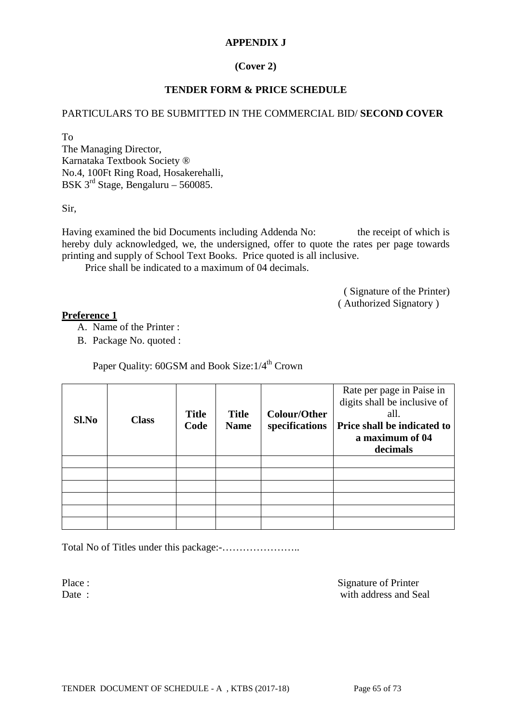### **APPENDIX J**

## **(Cover 2)**

### **TENDER FORM & PRICE SCHEDULE**

### PARTICULARS TO BE SUBMITTED IN THE COMMERCIAL BID/ **SECOND COVER**

To

The Managing Director, Karnataka Textbook Society ® No.4, 100Ft Ring Road, Hosakerehalli, BSK  $3^{rd}$  Stage, Bengaluru – 560085.

Sir,

Having examined the bid Documents including Addenda No: the receipt of which is hereby duly acknowledged, we, the undersigned, offer to quote the rates per page towards printing and supply of School Text Books. Price quoted is all inclusive.

Price shall be indicated to a maximum of 04 decimals.

( Signature of the Printer) ( Authorized Signatory )

### **Preference 1**

- A. Name of the Printer :
- B. Package No. quoted :

Paper Quality: 60GSM and Book Size:  $1/4^{\text{th}}$  Crown

| Sl.No | <b>Class</b> | <b>Title</b><br>Code | <b>Title</b><br><b>Name</b> | <b>Colour/Other</b><br>specifications | Rate per page in Paise in<br>digits shall be inclusive of<br>all.<br>Price shall be indicated to<br>a maximum of 04<br>decimals |
|-------|--------------|----------------------|-----------------------------|---------------------------------------|---------------------------------------------------------------------------------------------------------------------------------|
|       |              |                      |                             |                                       |                                                                                                                                 |
|       |              |                      |                             |                                       |                                                                                                                                 |
|       |              |                      |                             |                                       |                                                                                                                                 |
|       |              |                      |                             |                                       |                                                                                                                                 |
|       |              |                      |                             |                                       |                                                                                                                                 |
|       |              |                      |                             |                                       |                                                                                                                                 |

Total No of Titles under this package:-…………………..

Place : Signature of Printer Date : with address and Seal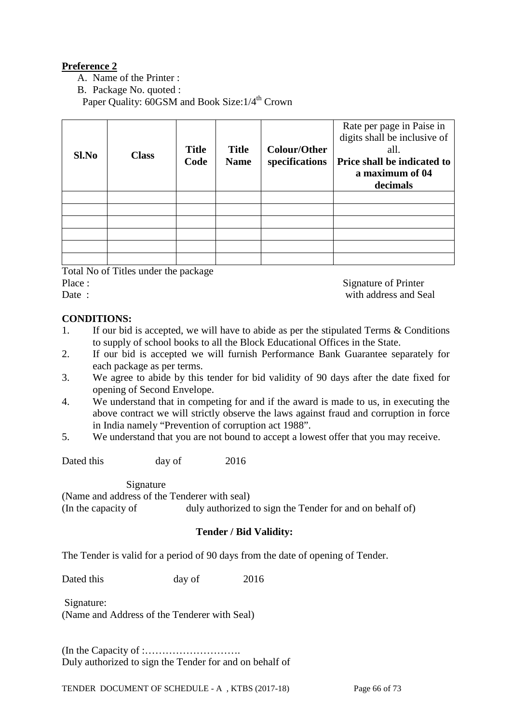## **Preference 2**

- A. Name of the Printer :
- B. Package No. quoted :

Paper Quality: 60GSM and Book Size:  $1/4$ <sup>th</sup> Crown

| Sl.No | <b>Class</b> | <b>Title</b><br>Code | <b>Title</b><br><b>Name</b> | <b>Colour/Other</b><br>specifications | Rate per page in Paise in<br>digits shall be inclusive of<br>all.<br>Price shall be indicated to<br>a maximum of 04<br>decimals |
|-------|--------------|----------------------|-----------------------------|---------------------------------------|---------------------------------------------------------------------------------------------------------------------------------|
|       |              |                      |                             |                                       |                                                                                                                                 |
|       |              |                      |                             |                                       |                                                                                                                                 |
|       |              |                      |                             |                                       |                                                                                                                                 |
|       |              |                      |                             |                                       |                                                                                                                                 |
|       |              |                      |                             |                                       |                                                                                                                                 |
|       |              |                      |                             |                                       |                                                                                                                                 |

Total No of Titles under the package

| нас |  |
|-----|--|
|     |  |

Signature of Printer Date : with address and Seal

## **CONDITIONS:**

- 1. If our bid is accepted, we will have to abide as per the stipulated Terms & Conditions to supply of school books to all the Block Educational Offices in the State.
- 2. If our bid is accepted we will furnish Performance Bank Guarantee separately for each package as per terms.
- 3. We agree to abide by this tender for bid validity of 90 days after the date fixed for opening of Second Envelope.
- 4. We understand that in competing for and if the award is made to us, in executing the above contract we will strictly observe the laws against fraud and corruption in force in India namely "Prevention of corruption act 1988".
- 5. We understand that you are not bound to accept a lowest offer that you may receive.

Dated this day of 2016

Signature

(Name and address of the Tenderer with seal) (In the capacity of duly authorized to sign the Tender for and on behalf of)

## **Tender / Bid Validity:**

The Tender is valid for a period of 90 days from the date of opening of Tender.

Dated this day of 2016

Signature: (Name and Address of the Tenderer with Seal)

(In the Capacity of :………………………. Duly authorized to sign the Tender for and on behalf of

TENDER DOCUMENT OF SCHEDULE - A, KTBS (2017-18) Page 66 of 73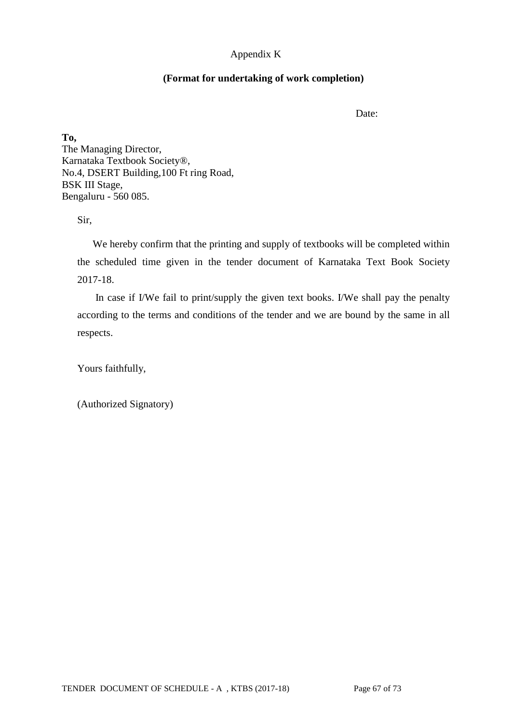## Appendix K

## **(Format for undertaking of work completion)**

Date:

**To,** The Managing Director, Karnataka Textbook Society®, No.4, DSERT Building,100 Ft ring Road, BSK III Stage, Bengaluru - 560 085.

Sir,

 We hereby confirm that the printing and supply of textbooks will be completed within the scheduled time given in the tender document of Karnataka Text Book Society 2017-18.

In case if I/We fail to print/supply the given text books. I/We shall pay the penalty according to the terms and conditions of the tender and we are bound by the same in all respects.

Yours faithfully,

(Authorized Signatory)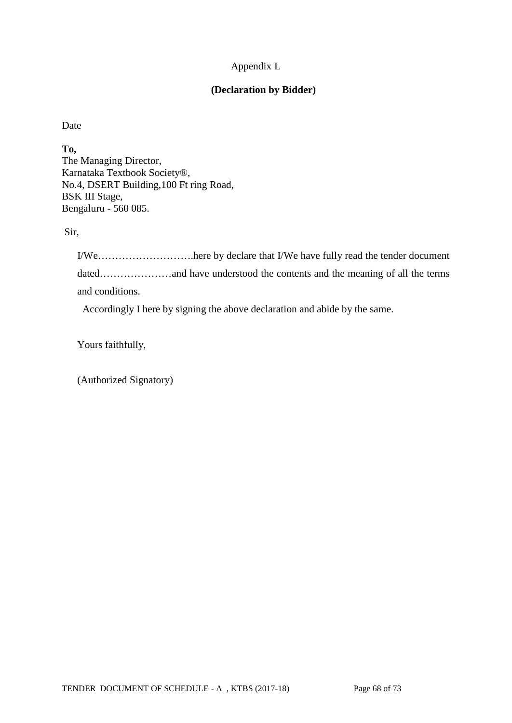## Appendix L

## **(Declaration by Bidder)**

Date

**To,** The Managing Director, Karnataka Textbook Society®, No.4, DSERT Building,100 Ft ring Road, BSK III Stage, Bengaluru - 560 085.

Sir,

I/We……………………….here by declare that I/We have fully read the tender document dated………………and have understood the contents and the meaning of all the terms and conditions.

Accordingly I here by signing the above declaration and abide by the same.

Yours faithfully,

(Authorized Signatory)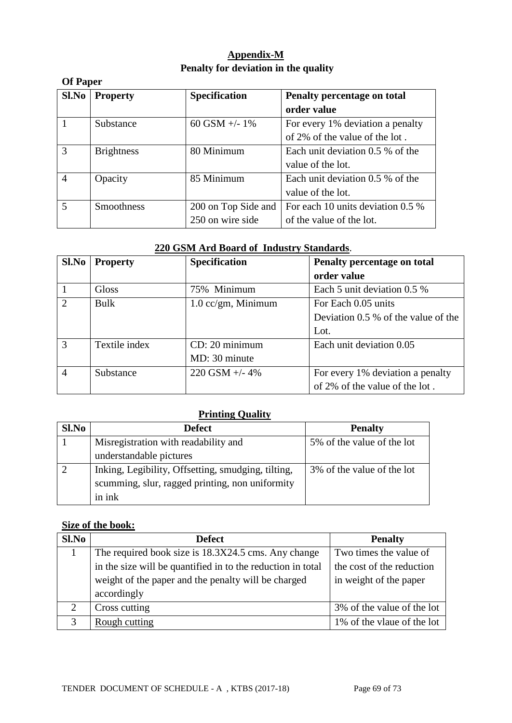## **Appendix-M Penalty for deviation in the quality**

|                | <b>Of Paper</b>   |                      |                                    |  |  |  |  |
|----------------|-------------------|----------------------|------------------------------------|--|--|--|--|
| Sl.No          | <b>Property</b>   | <b>Specification</b> | Penalty percentage on total        |  |  |  |  |
|                |                   |                      | order value                        |  |  |  |  |
|                | Substance         | 60 GSM $+/- 1\%$     | For every 1% deviation a penalty   |  |  |  |  |
|                |                   |                      | of 2% of the value of the lot.     |  |  |  |  |
| 3              | <b>Brightness</b> | 80 Minimum           | Each unit deviation $0.5\%$ of the |  |  |  |  |
|                |                   |                      | value of the lot.                  |  |  |  |  |
| $\overline{A}$ | Opacity           | 85 Minimum           | Each unit deviation 0.5 % of the   |  |  |  |  |
|                |                   |                      | value of the lot.                  |  |  |  |  |
| 5              | <b>Smoothness</b> | 200 on Top Side and  | For each 10 units deviation 0.5 %  |  |  |  |  |
|                |                   | 250 on wire side     | of the value of the lot.           |  |  |  |  |

## **220 GSM Ard Board of Industry Standards**.

| Sl.No                       | <b>Property</b> | Specification                 | Penalty percentage on total           |
|-----------------------------|-----------------|-------------------------------|---------------------------------------|
|                             |                 |                               | order value                           |
|                             | Gloss           | 75% Minimum                   | Each 5 unit deviation 0.5 %           |
| $\mathcal{D}_{\mathcal{L}}$ | Bulk            | $1.0 \text{ cc/gm}$ , Minimum | For Each 0.05 units                   |
|                             |                 |                               | Deviation $0.5\%$ of the value of the |
|                             |                 |                               | Lot.                                  |
| $\mathcal{R}$               | Textile index   | CD: 20 minimum                | Each unit deviation 0.05              |
|                             |                 | MD: 30 minute                 |                                       |
| $\overline{4}$              | Substance       | $220$ GSM $+/- 4\%$           | For every 1% deviation a penalty      |
|                             |                 |                               | of 2% of the value of the lot.        |

## **Printing Quality**

| Sl.No | <b>Defect</b>                                      | <b>Penalty</b>             |
|-------|----------------------------------------------------|----------------------------|
|       | Misregistration with readability and               | 5% of the value of the lot |
|       | understandable pictures                            |                            |
|       | Inking, Legibility, Offsetting, smudging, tilting, | 3% of the value of the lot |
|       | scumming, slur, ragged printing, non uniformity    |                            |
|       | in ink                                             |                            |

## **Size of the book:**

| Sl.No        | <b>Defect</b>                                               | <b>Penalty</b>             |  |  |
|--------------|-------------------------------------------------------------|----------------------------|--|--|
|              | The required book size is 18.3X24.5 cms. Any change         | Two times the value of     |  |  |
|              | in the size will be quantified in to the reduction in total | the cost of the reduction  |  |  |
|              | weight of the paper and the penalty will be charged         | in weight of the paper     |  |  |
|              | accordingly                                                 |                            |  |  |
| റ            | Cross cutting                                               | 3% of the value of the lot |  |  |
| $\mathbf{c}$ | Rough cutting                                               | 1% of the vlaue of the lot |  |  |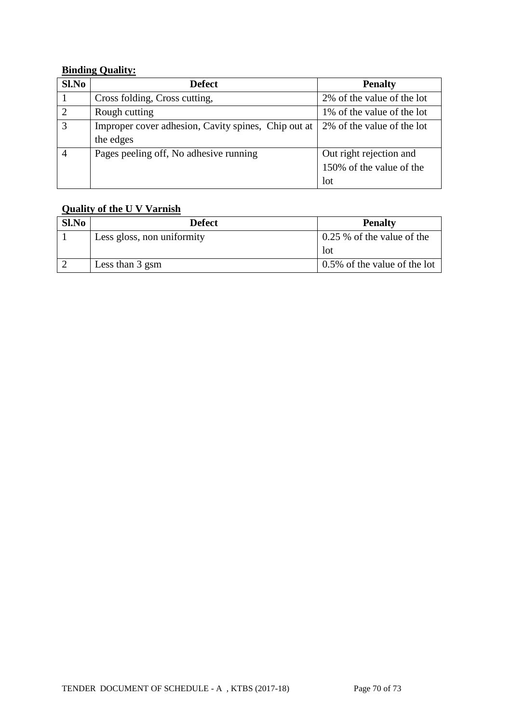## **Binding Quality:**

| S1.No          | <b>Defect</b>                                       | <b>Penalty</b>             |  |  |
|----------------|-----------------------------------------------------|----------------------------|--|--|
|                | Cross folding, Cross cutting,                       | 2% of the value of the lot |  |  |
| $\overline{2}$ | Rough cutting                                       | 1% of the value of the lot |  |  |
| 3              | Improper cover adhesion, Cavity spines, Chip out at | 2% of the value of the lot |  |  |
|                | the edges                                           |                            |  |  |
|                | Pages peeling off, No adhesive running              | Out right rejection and    |  |  |
|                |                                                     | 150% of the value of the   |  |  |
|                |                                                     | lot                        |  |  |

## **Quality of the U V Varnish**

| Sl.No | Defect                     | <b>Penalty</b>               |
|-------|----------------------------|------------------------------|
|       | Less gloss, non uniformity | $0.25\%$ of the value of the |
|       |                            | lot                          |
|       | Less than 3 gsm            | 0.5% of the value of the lot |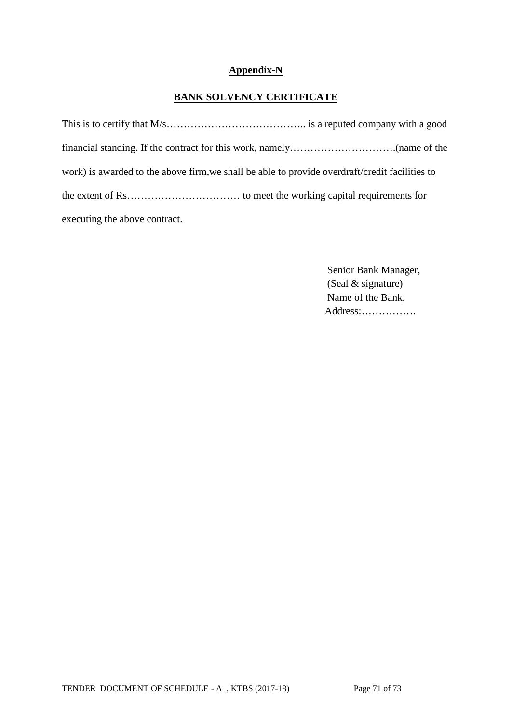## **Appendix-N**

## **BANK SOLVENCY CERTIFICATE**

| work) is awarded to the above firm, we shall be able to provide overdraft/credit facilities to |
|------------------------------------------------------------------------------------------------|
|                                                                                                |
| executing the above contract.                                                                  |

 Senior Bank Manager, (Seal & signature) Name of the Bank, Address:…………….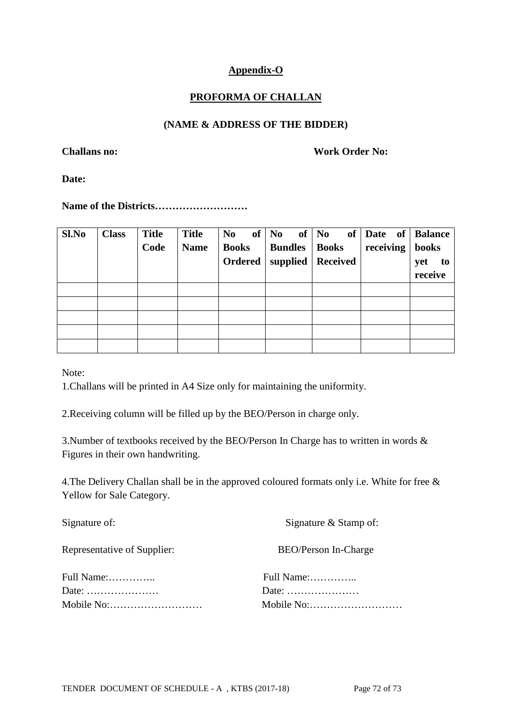## **Appendix-O**

## **PROFORMA OF CHALLAN**

### **(NAME & ADDRESS OF THE BIDDER)**

**Challans no: Work Order No:**

**Date:** 

**Name of the Districts………………………**

| Sl.No | <b>Class</b> | <b>Title</b> | <b>Title</b> | N <sub>0</sub> | of $\begin{array}{ c c c c c } \hline \hline \hline \hline \hline \hline \hline \end{array}$ of $\begin{array}{ c c c c c c c c } \hline \hline \hline \hline \hline \end{array}$ |                     | of   Date of   Balance |           |
|-------|--------------|--------------|--------------|----------------|-----------------------------------------------------------------------------------------------------------------------------------------------------------------------------------|---------------------|------------------------|-----------|
|       |              | Code         | <b>Name</b>  | <b>Books</b>   | <b>Bundles</b>                                                                                                                                                                    | <b>Books</b>        | receiving              | books     |
|       |              |              |              | Ordered        |                                                                                                                                                                                   | supplied   Received |                        | yet<br>to |
|       |              |              |              |                |                                                                                                                                                                                   |                     |                        | receive   |
|       |              |              |              |                |                                                                                                                                                                                   |                     |                        |           |
|       |              |              |              |                |                                                                                                                                                                                   |                     |                        |           |
|       |              |              |              |                |                                                                                                                                                                                   |                     |                        |           |
|       |              |              |              |                |                                                                                                                                                                                   |                     |                        |           |
|       |              |              |              |                |                                                                                                                                                                                   |                     |                        |           |

Note:

1.Challans will be printed in A4 Size only for maintaining the uniformity.

2.Receiving column will be filled up by the BEO/Person in charge only.

3.Number of textbooks received by the BEO/Person In Charge has to written in words & Figures in their own handwriting.

4.The Delivery Challan shall be in the approved coloured formats only i.e. White for free & Yellow for Sale Category.

| Signature & Stamp of:                            |
|--------------------------------------------------|
| BEO/Person In-Charge                             |
|                                                  |
| Date: $\dots\dots\dots\dots\dots\dots\dots\dots$ |
|                                                  |
|                                                  |